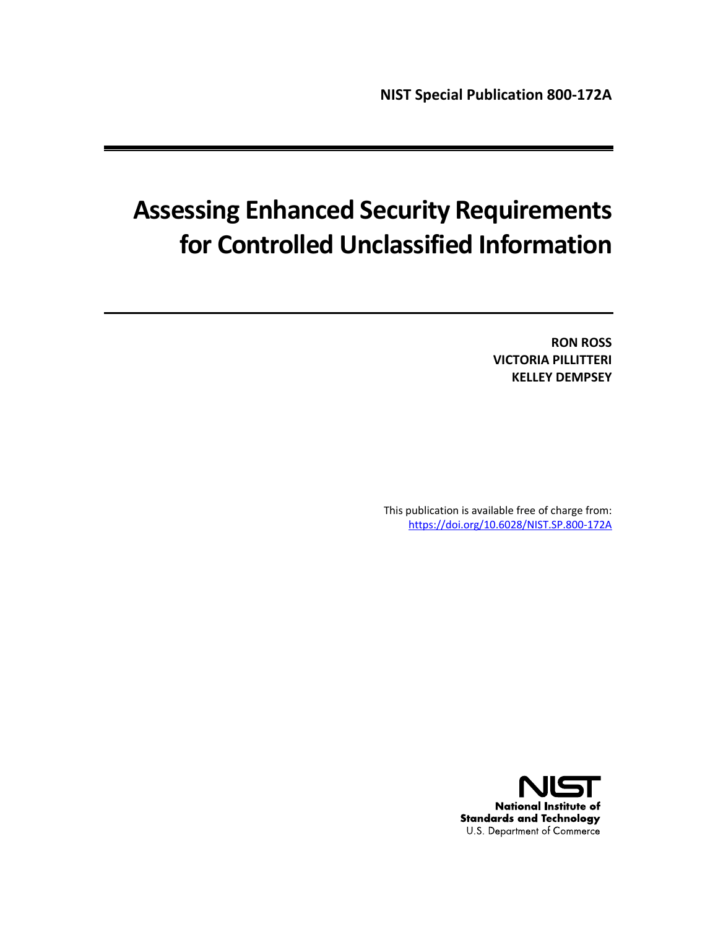# **Assessing Enhanced Security Requirements for Controlled Unclassified Information**

**RON ROSS VICTORIA PILLITTERI KELLEY DEMPSEY**

This publication is available free of charge from: <https://doi.org/10.6028/NIST.SP.800-172A>

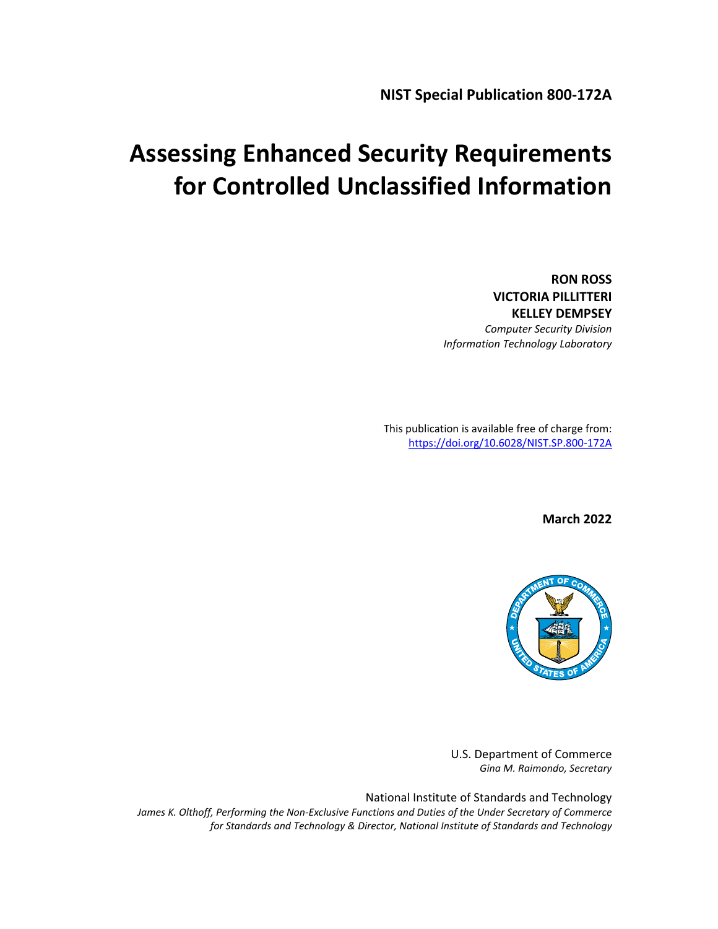**NIST Special Publication 800-172A**

# **Assessing Enhanced Security Requirements for Controlled Unclassified Information**

**RON ROSS VICTORIA PILLITTERI KELLEY DEMPSEY**

*Computer Security Division Information Technology Laboratory*

This publication is available free of charge from: <https://doi.org/10.6028/NIST.SP.800-172A>

**March 2022**



U.S. Department of Commerce *Gina M. Raimondo, Secretary*

National Institute of Standards and Technology *James K. Olthoff, Performing the Non-Exclusive Functions and Duties of the Under Secretary of Commerce for Standards and Technology & Director, National Institute of Standards and Technology*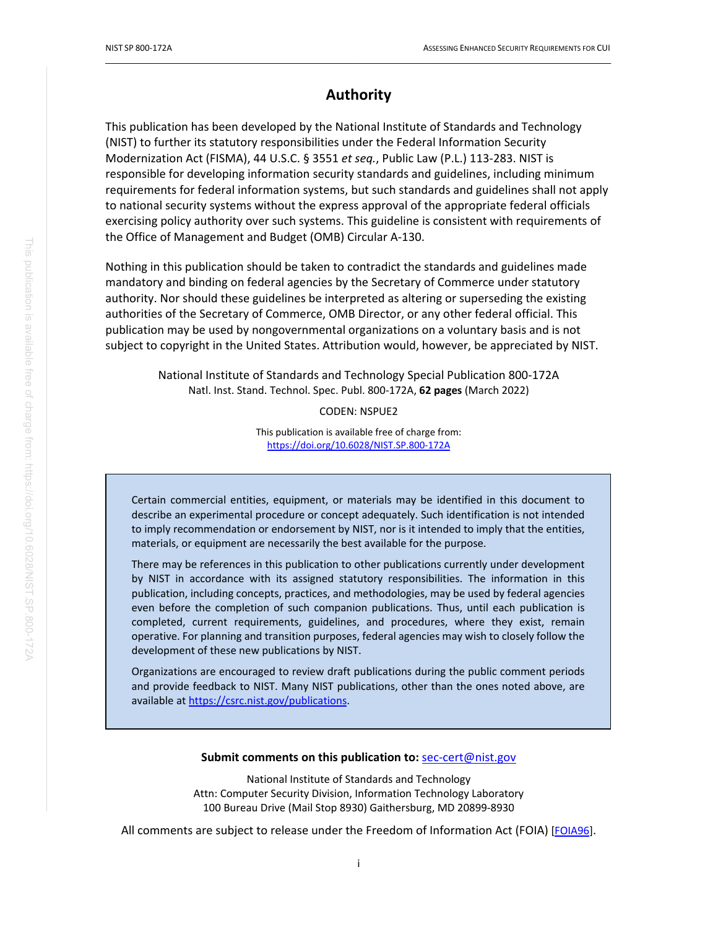## **Authority**

 $\_$  ,  $\_$  ,  $\_$  ,  $\_$  ,  $\_$  ,  $\_$  ,  $\_$  ,  $\_$  ,  $\_$  ,  $\_$  ,  $\_$  ,  $\_$  ,  $\_$  ,  $\_$  ,  $\_$  ,  $\_$  ,  $\_$  ,  $\_$  ,  $\_$  ,  $\_$  ,  $\_$  ,  $\_$  ,  $\_$  ,  $\_$  ,  $\_$  ,  $\_$  ,  $\_$  ,  $\_$  ,  $\_$  ,  $\_$  ,  $\_$  ,  $\_$  ,  $\_$  ,  $\_$  ,  $\_$  ,  $\_$  ,  $\_$  ,

This publication has been developed by the National Institute of Standards and Technology (NIST) to further its statutory responsibilities under the Federal Information Security Modernization Act (FISMA), 44 U.S.C. § 3551 *et seq.*, Public Law (P.L.) 113-283. NIST is responsible for developing information security standards and guidelines, including minimum requirements for federal information systems, but such standards and guidelines shall not apply to national security systems without the express approval of the appropriate federal officials exercising policy authority over such systems. This guideline is consistent with requirements of the Office of Management and Budget (OMB) Circular A-130.

Nothing in this publication should be taken to contradict the standards and guidelines made mandatory and binding on federal agencies by the Secretary of Commerce under statutory authority. Nor should these guidelines be interpreted as altering or superseding the existing authorities of the Secretary of Commerce, OMB Director, or any other federal official. This publication may be used by nongovernmental organizations on a voluntary basis and is not subject to copyright in the United States. Attribution would, however, be appreciated by NIST.

> National Institute of Standards and Technology Special Publication 800-172A Natl. Inst. Stand. Technol. Spec. Publ. 800-172A, **62 pages** (March 2022)

> > CODEN: NSPUE2

This publication is available free of charge from: <https://doi.org/10.6028/NIST.SP.800-172A>

Certain commercial entities, equipment, or materials may be identified in this document to describe an experimental procedure or concept adequately. Such identification is not intended to imply recommendation or endorsement by NIST, nor is it intended to imply that the entities, materials, or equipment are necessarily the best available for the purpose.

There may be references in this publication to other publications currently under development by NIST in accordance with its assigned statutory responsibilities. The information in this publication, including concepts, practices, and methodologies, may be used by federal agencies even before the completion of such companion publications. Thus, until each publication is completed, current requirements, guidelines, and procedures, where they exist, remain operative. For planning and transition purposes, federal agencies may wish to closely follow the development of these new publications by NIST.

Organizations are encouraged to review draft publications during the public comment periods and provide feedback to NIST. Many NIST publications, other than the ones noted above, are available at [https://csrc.nist.gov/publications.](https://csrc.nist.gov/publications)

#### **Submit comments on this publication to:** [sec-cert@nist.gov](mailto:sec-cert@nist.gov)

National Institute of Standards and Technology Attn: Computer Security Division, Information Technology Laboratory 100 Bureau Drive (Mail Stop 8930) Gaithersburg, MD 20899-8930

All comments are subject to release under the Freedom of Information Act (FOIA) [\[FOIA96\]](#page-42-0).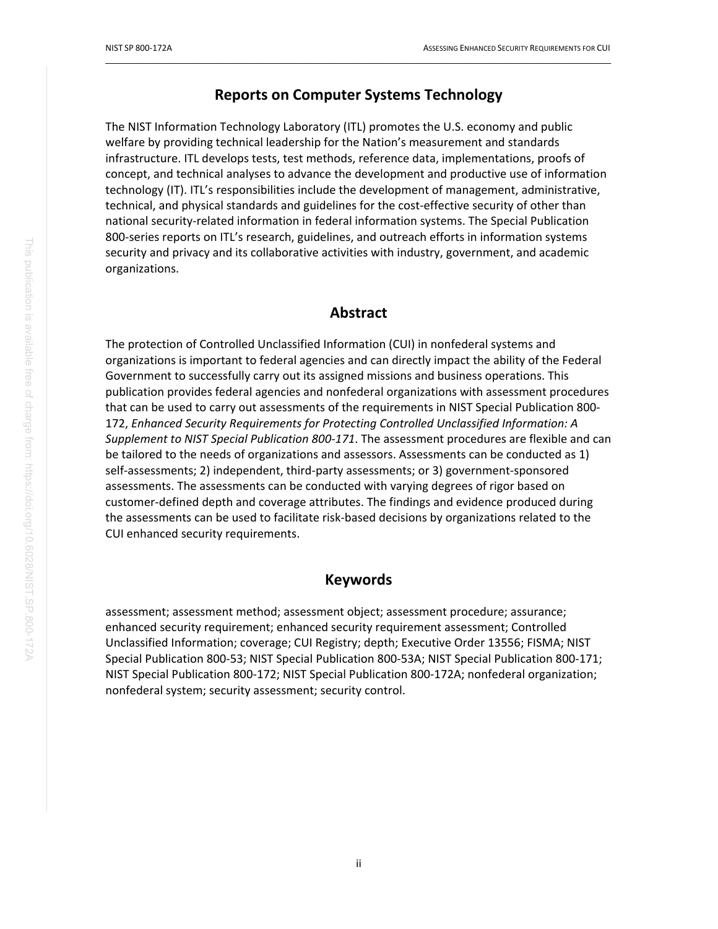### **Reports on Computer Systems Technology**

 $\_$  ,  $\_$  ,  $\_$  ,  $\_$  ,  $\_$  ,  $\_$  ,  $\_$  ,  $\_$  ,  $\_$  ,  $\_$  ,  $\_$  ,  $\_$  ,  $\_$  ,  $\_$  ,  $\_$  ,  $\_$  ,  $\_$  ,  $\_$  ,  $\_$  ,  $\_$  ,  $\_$  ,  $\_$  ,  $\_$  ,  $\_$  ,  $\_$  ,  $\_$  ,  $\_$  ,  $\_$  ,  $\_$  ,  $\_$  ,  $\_$  ,  $\_$  ,  $\_$  ,  $\_$  ,  $\_$  ,  $\_$  ,  $\_$  ,

The NIST Information Technology Laboratory (ITL) promotes the U.S. economy and public welfare by providing technical leadership for the Nation's measurement and standards infrastructure. ITL develops tests, test methods, reference data, implementations, proofs of concept, and technical analyses to advance the development and productive use of information technology (IT). ITL's responsibilities include the development of management, administrative, technical, and physical standards and guidelines for the cost-effective security of other than national security-related information in federal information systems. The Special Publication 800-series reports on ITL's research, guidelines, and outreach efforts in information systems security and privacy and its collaborative activities with industry, government, and academic organizations.

#### **Abstract**

The protection of Controlled Unclassified Information (CUI) in nonfederal systems and organizations is important to federal agencies and can directly impact the ability of the Federal Government to successfully carry out its assigned missions and business operations. This publication provides federal agencies and nonfederal organizations with assessment procedures that can be used to carry out assessments of the requirements in NIST Special Publication 800- 172, *Enhanced Security Requirements for Protecting Controlled Unclassified Information: A Supplement to NIST Special Publication 800-171*. The assessment procedures are flexible and can be tailored to the needs of organizations and assessors. Assessments can be conducted as 1) self-assessments; 2) independent, third-party assessments; or 3) government-sponsored assessments. The assessments can be conducted with varying degrees of rigor based on customer-defined depth and coverage attributes. The findings and evidence produced during the assessments can be used to facilitate risk-based decisions by organizations related to the CUI enhanced security requirements.

### **Keywords**

assessment; assessment method; assessment object; assessment procedure; assurance; enhanced security requirement; enhanced security requirement assessment; Controlled Unclassified Information; coverage; CUI Registry; depth; Executive Order 13556; FISMA; NIST Special Publication 800-53; NIST Special Publication 800-53A; NIST Special Publication 800-171; NIST Special Publication 800-172; NIST Special Publication 800-172A; nonfederal organization; nonfederal system; security assessment; security control.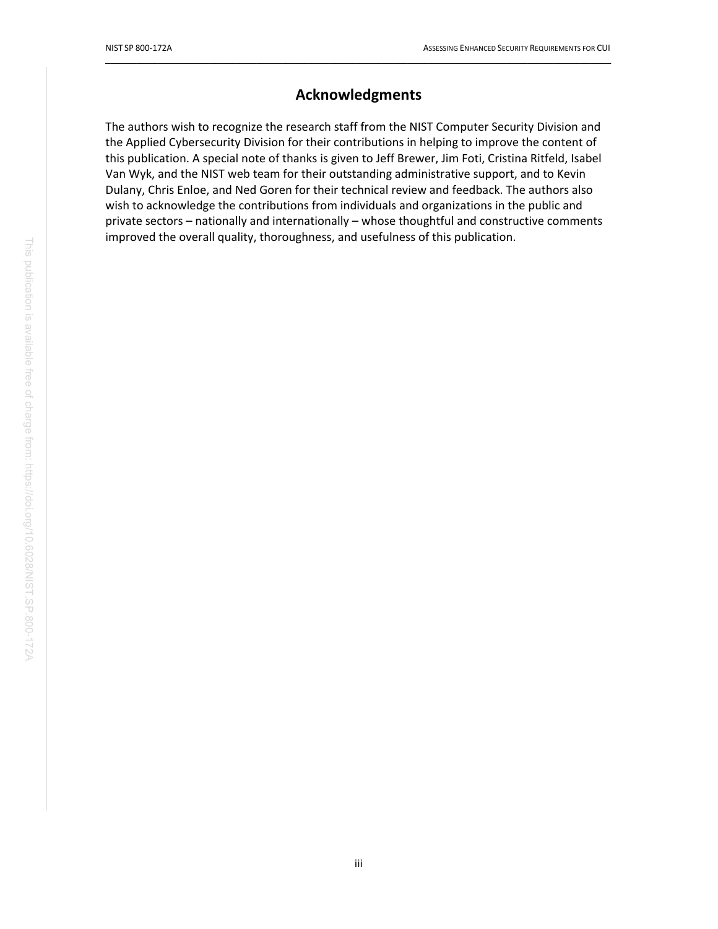# **Acknowledgments**

 $\_$  ,  $\_$  ,  $\_$  ,  $\_$  ,  $\_$  ,  $\_$  ,  $\_$  ,  $\_$  ,  $\_$  ,  $\_$  ,  $\_$  ,  $\_$  ,  $\_$  ,  $\_$  ,  $\_$  ,  $\_$  ,  $\_$  ,  $\_$  ,  $\_$  ,  $\_$  ,  $\_$  ,  $\_$  ,  $\_$  ,  $\_$  ,  $\_$  ,  $\_$  ,  $\_$  ,  $\_$  ,  $\_$  ,  $\_$  ,  $\_$  ,  $\_$  ,  $\_$  ,  $\_$  ,  $\_$  ,  $\_$  ,  $\_$  ,

The authors wish to recognize the research staff from the NIST Computer Security Division and the Applied Cybersecurity Division for their contributions in helping to improve the content of this publication. A special note of thanks is given to Jeff Brewer, Jim Foti, Cristina Ritfeld, Isabel Van Wyk, and the NIST web team for their outstanding administrative support, and to Kevin Dulany, Chris Enloe, and Ned Goren for their technical review and feedback. The authors also wish to acknowledge the contributions from individuals and organizations in the public and private sectors – nationally and internationally – whose thoughtful and constructive comments improved the overall quality, thoroughness, and usefulness of this publication.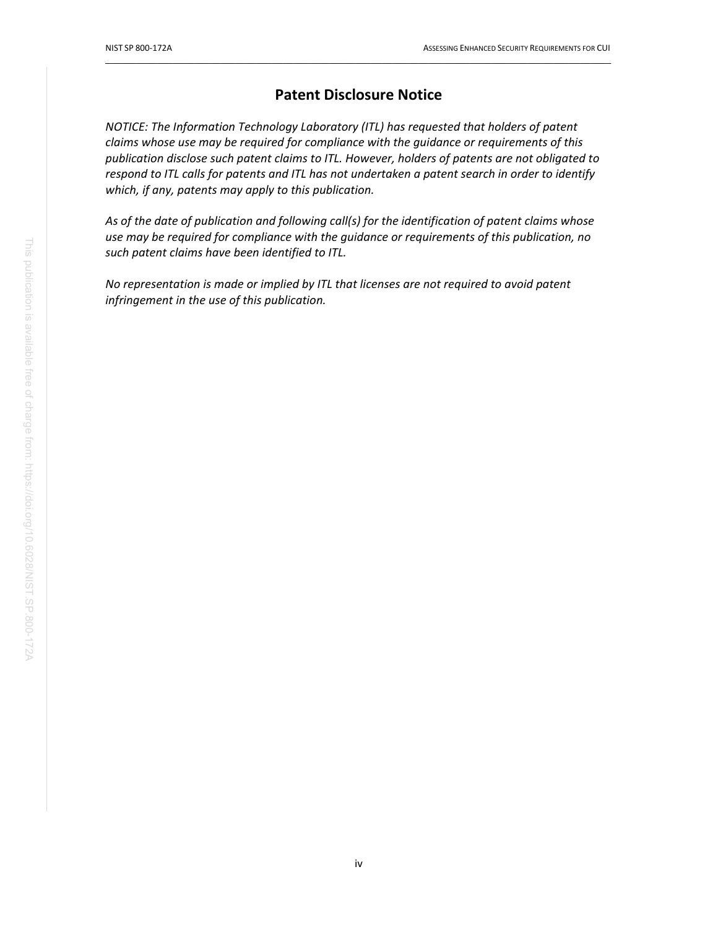## **Patent Disclosure Notice**

 $\_$  ,  $\_$  ,  $\_$  ,  $\_$  ,  $\_$  ,  $\_$  ,  $\_$  ,  $\_$  ,  $\_$  ,  $\_$  ,  $\_$  ,  $\_$  ,  $\_$  ,  $\_$  ,  $\_$  ,  $\_$  ,  $\_$  ,  $\_$  ,  $\_$  ,  $\_$  ,  $\_$  ,  $\_$  ,  $\_$  ,  $\_$  ,  $\_$  ,  $\_$  ,  $\_$  ,  $\_$  ,  $\_$  ,  $\_$  ,  $\_$  ,  $\_$  ,  $\_$  ,  $\_$  ,  $\_$  ,  $\_$  ,  $\_$  ,

*NOTICE: The Information Technology Laboratory (ITL) has requested that holders of patent claims whose use may be required for compliance with the guidance or requirements of this publication disclose such patent claims to ITL. However, holders of patents are not obligated to respond to ITL calls for patents and ITL has not undertaken a patent search in order to identify which, if any, patents may apply to this publication.*

*As of the date of publication and following call(s) for the identification of patent claims whose use may be required for compliance with the guidance or requirements of this publication, no such patent claims have been identified to ITL.*

*No representation is made or implied by ITL that licenses are not required to avoid patent infringement in the use of this publication.*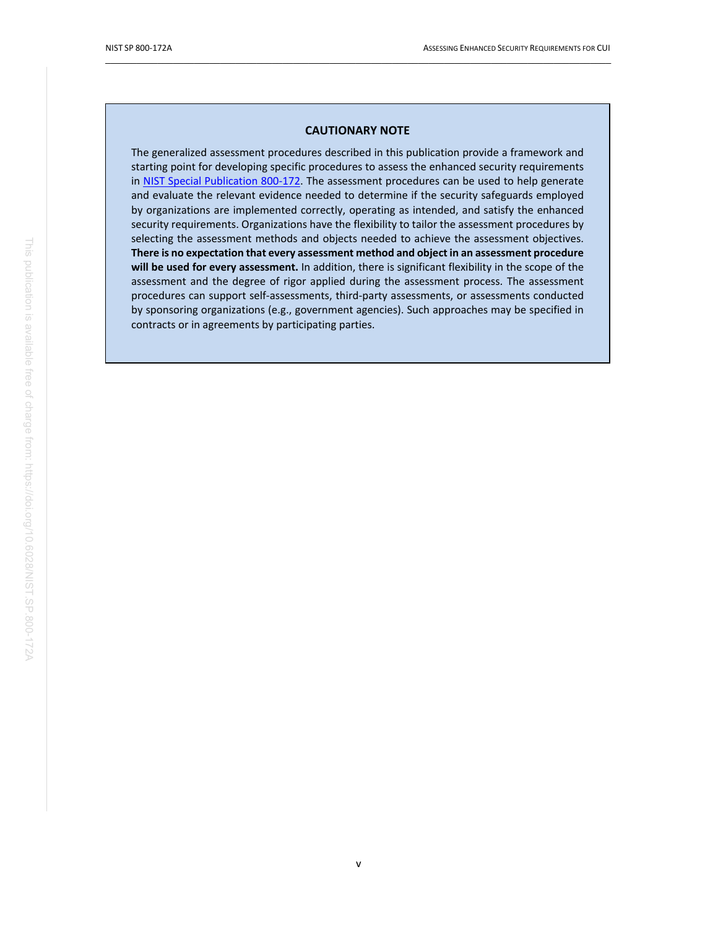#### **CAUTIONARY NOTE**

 $\_$  ,  $\_$  ,  $\_$  ,  $\_$  ,  $\_$  ,  $\_$  ,  $\_$  ,  $\_$  ,  $\_$  ,  $\_$  ,  $\_$  ,  $\_$  ,  $\_$  ,  $\_$  ,  $\_$  ,  $\_$  ,  $\_$  ,  $\_$  ,  $\_$  ,  $\_$  ,  $\_$  ,  $\_$  ,  $\_$  ,  $\_$  ,  $\_$  ,  $\_$  ,  $\_$  ,  $\_$  ,  $\_$  ,  $\_$  ,  $\_$  ,  $\_$  ,  $\_$  ,  $\_$  ,  $\_$  ,  $\_$  ,  $\_$  ,

The generalized assessment procedures described in this publication provide a framework and starting point for developing specific procedures to assess the enhanced security requirements in [NIST Special Publication 800-172.](#page-44-0) The assessment procedures can be used to help generate and evaluate the relevant evidence needed to determine if the security safeguards employed by organizations are implemented correctly, operating as intended, and satisfy the enhanced security requirements. Organizations have the flexibility to tailor the assessment procedures by selecting the assessment methods and objects needed to achieve the assessment objectives. **There is no expectation that every assessment method and object in an assessment procedure will be used for every assessment.** In addition, there is significant flexibility in the scope of the assessment and the degree of rigor applied during the assessment process. The assessment procedures can support self-assessments, third-party assessments, or assessments conducted by sponsoring organizations (e.g., government agencies). Such approaches may be specified in contracts or in agreements by participating parties.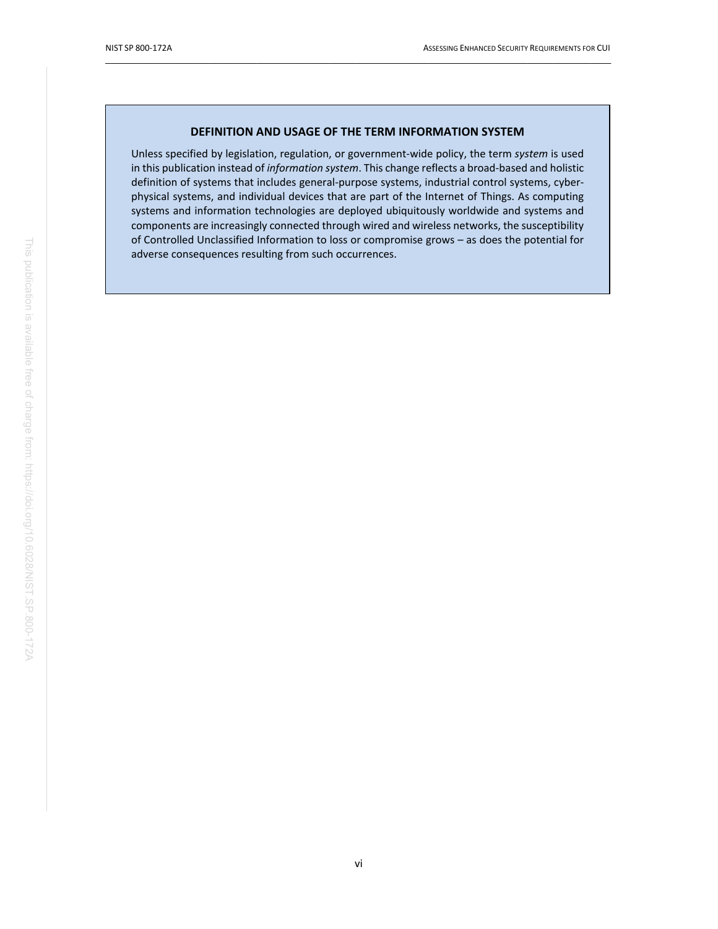#### **DEFINITION AND USAGE OF THE TERM INFORMATION SYSTEM**

 $\_$  ,  $\_$  ,  $\_$  ,  $\_$  ,  $\_$  ,  $\_$  ,  $\_$  ,  $\_$  ,  $\_$  ,  $\_$  ,  $\_$  ,  $\_$  ,  $\_$  ,  $\_$  ,  $\_$  ,  $\_$  ,  $\_$  ,  $\_$  ,  $\_$  ,  $\_$  ,  $\_$  ,  $\_$  ,  $\_$  ,  $\_$  ,  $\_$  ,  $\_$  ,  $\_$  ,  $\_$  ,  $\_$  ,  $\_$  ,  $\_$  ,  $\_$  ,  $\_$  ,  $\_$  ,  $\_$  ,  $\_$  ,  $\_$  ,

Unless specified by legislation, regulation, or government-wide policy, the term *system* is used in this publication instead of *information system*. This change reflects a broad-based and holistic definition of systems that includes general-purpose systems, industrial control systems, cyberphysical systems, and individual devices that are part of the Internet of Things. As computing systems and information technologies are deployed ubiquitously worldwide and systems and components are increasingly connected through wired and wireless networks, the susceptibility of Controlled Unclassified Information to loss or compromise grows – as does the potential for adverse consequences resulting from such occurrences.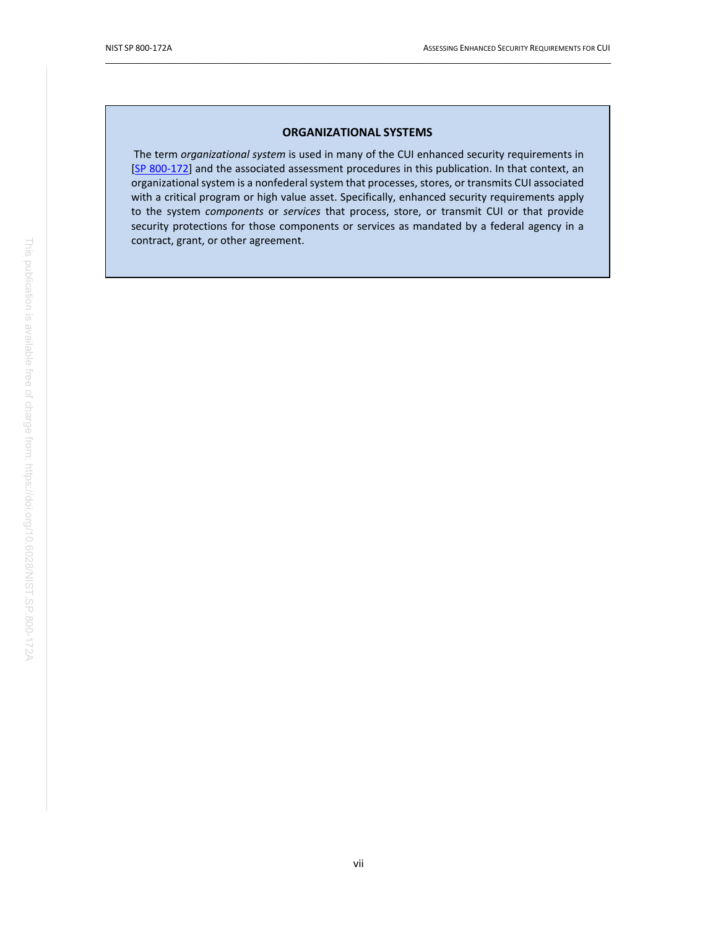#### **ORGANIZATIONAL SYSTEMS**

 $\_$  ,  $\_$  ,  $\_$  ,  $\_$  ,  $\_$  ,  $\_$  ,  $\_$  ,  $\_$  ,  $\_$  ,  $\_$  ,  $\_$  ,  $\_$  ,  $\_$  ,  $\_$  ,  $\_$  ,  $\_$  ,  $\_$  ,  $\_$  ,  $\_$  ,  $\_$  ,  $\_$  ,  $\_$  ,  $\_$  ,  $\_$  ,  $\_$  ,  $\_$  ,  $\_$  ,  $\_$  ,  $\_$  ,  $\_$  ,  $\_$  ,  $\_$  ,  $\_$  ,  $\_$  ,  $\_$  ,  $\_$  ,  $\_$  ,

The term *organizational system* is used in many of the CUI enhanced security requirements in [\[SP 800-172\]](#page-44-0) and the associated assessment procedures in this publication. In that context, an organizational system is a nonfederal system that processes, stores, or transmits CUI associated with a critical program or high value asset. Specifically, enhanced security requirements apply to the system *components* or *services* that process, store, or transmit CUI or that provide security protections for those components or services as mandated by a federal agency in a contract, grant, or other agreement.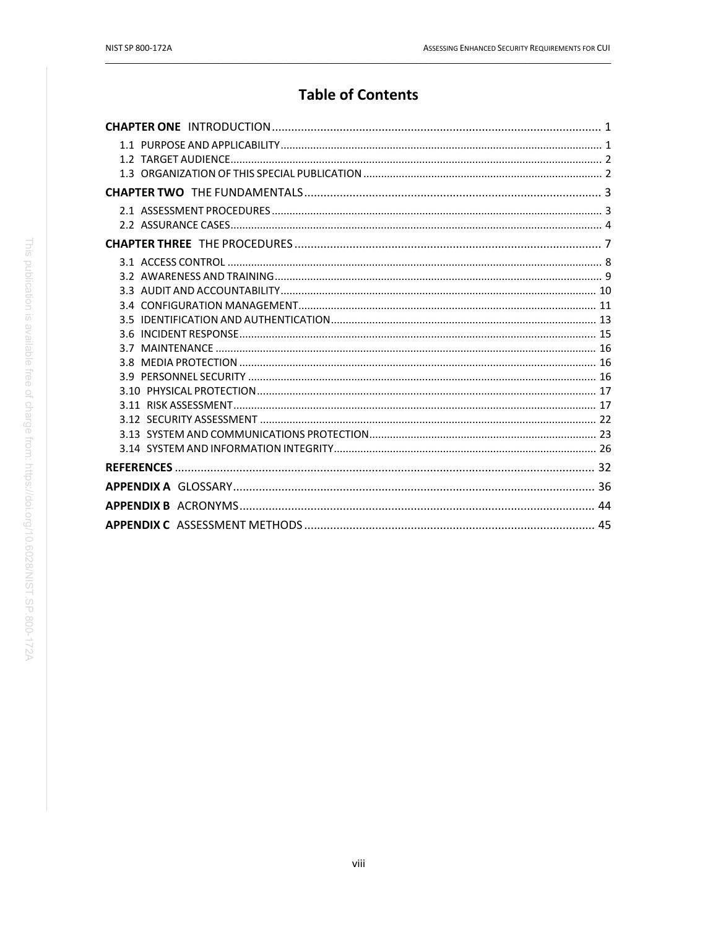# **Table of Contents**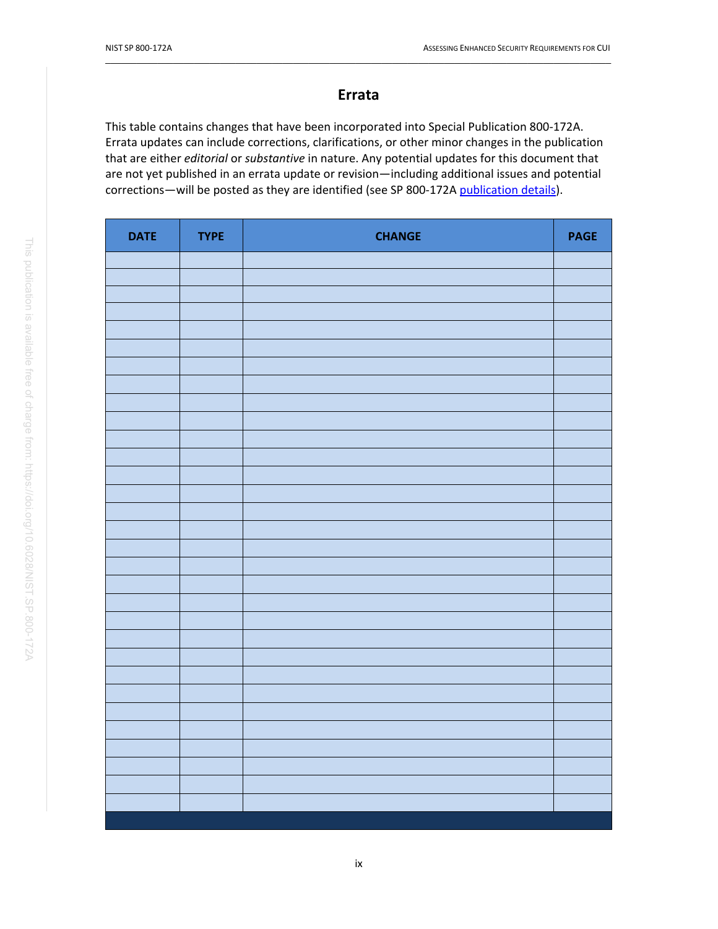### **Errata**

 $\_$  ,  $\_$  ,  $\_$  ,  $\_$  ,  $\_$  ,  $\_$  ,  $\_$  ,  $\_$  ,  $\_$  ,  $\_$  ,  $\_$  ,  $\_$  ,  $\_$  ,  $\_$  ,  $\_$  ,  $\_$  ,  $\_$  ,  $\_$  ,  $\_$  ,  $\_$  ,  $\_$  ,  $\_$  ,  $\_$  ,  $\_$  ,  $\_$  ,  $\_$  ,  $\_$  ,  $\_$  ,  $\_$  ,  $\_$  ,  $\_$  ,  $\_$  ,  $\_$  ,  $\_$  ,  $\_$  ,  $\_$  ,  $\_$  ,

This table contains changes that have been incorporated into Special Publication 800-172A. Errata updates can include corrections, clarifications, or other minor changes in the publication that are either *editorial* or *substantive* in nature. Any potential updates for this document that are not yet published in an errata update or revision—including additional issues and potential corrections—will be posted as they are identified (see SP 800-172A [publication details\)](https://csrc.nist.gov/publications/detail/sp/800-172a/final).

| <b>DATE</b> | <b>TYPE</b> | <b>CHANGE</b> | <b>PAGE</b> |
|-------------|-------------|---------------|-------------|
|             |             |               |             |
|             |             |               |             |
|             |             |               |             |
|             |             |               |             |
|             |             |               |             |
|             |             |               |             |
|             |             |               |             |
|             |             |               |             |
|             |             |               |             |
|             |             |               |             |
|             |             |               |             |
|             |             |               |             |
|             |             |               |             |
|             |             |               |             |
|             |             |               |             |
|             |             |               |             |
|             |             |               |             |
|             |             |               |             |
|             |             |               |             |
|             |             |               |             |
|             |             |               |             |
|             |             |               |             |
|             |             |               |             |
|             |             |               |             |
|             |             |               |             |
|             |             |               |             |
|             |             |               |             |
|             |             |               |             |
|             |             |               |             |
|             |             |               |             |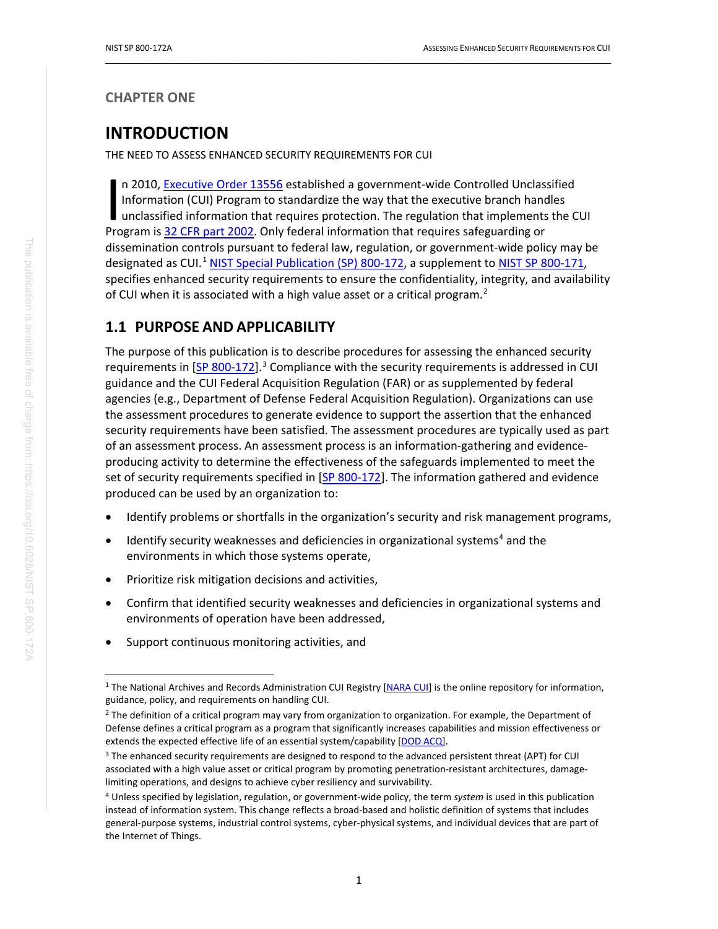### <span id="page-11-0"></span>**CHAPTER ONE**

# **INTRODUCTION**

THE NEED TO ASSESS ENHANCED SECURITY REQUIREMENTS FOR CUI

n 2010[, Executive Order 13556](#page-42-2) established a government-wide Controlled Unclassified Information (CUI) Program to standardize the way that the executive branch handles unclassified information that requires protection. The regulation that implements the CUI n 2010, Executive Order 13556 established a government-wide Controlled Unclass Information (CUI) Program to standardize the way that the executive branch hand unclassified information that requires protection. The regulati dissemination controls pursuant to federal law, regulation, or government-wide policy may be designated as CUI.<sup>[1](#page-11-2)</sup> [NIST Special Publication](#page-44-0) (SP) 800-172, a supplement to [NIST SP 800-171,](#page-44-1) specifies enhanced security requirements to ensure the confidentiality, integrity, and availability of CUI when it is associated with a high value asset or a critical program.<sup>[2](#page-11-3)</sup>

 $\_$  ,  $\_$  ,  $\_$  ,  $\_$  ,  $\_$  ,  $\_$  ,  $\_$  ,  $\_$  ,  $\_$  ,  $\_$  ,  $\_$  ,  $\_$  ,  $\_$  ,  $\_$  ,  $\_$  ,  $\_$  ,  $\_$  ,  $\_$  ,  $\_$  ,  $\_$  ,  $\_$  ,  $\_$  ,  $\_$  ,  $\_$  ,  $\_$  ,  $\_$  ,  $\_$  ,  $\_$  ,  $\_$  ,  $\_$  ,  $\_$  ,  $\_$  ,  $\_$  ,  $\_$  ,  $\_$  ,  $\_$  ,  $\_$  ,

## <span id="page-11-1"></span>**1.1 PURPOSE AND APPLICABILITY**

The purpose of this publication is to describe procedures for assessing the enhanced security requirements in [\[SP 800-172\]](#page-44-0).<sup>[3](#page-11-4)</sup> Compliance with the security requirements is addressed in CUI guidance and the CUI Federal Acquisition Regulation (FAR) or as supplemented by federal agencies (e.g., Department of Defense Federal Acquisition Regulation). Organizations can use the assessment procedures to generate evidence to support the assertion that the enhanced security requirements have been satisfied. The assessment procedures are typically used as part of an assessment process. An assessment process is an information-gathering and evidenceproducing activity to determine the effectiveness of the safeguards implemented to meet the set of security requirements specified in [\[SP 800-172\]](#page-44-0). The information gathered and evidence produced can be used by an organization to:

- Identify problems or shortfalls in the organization's security and risk management programs,
- Identify security weaknesses and deficiencies in organizational systems<sup>[4](#page-11-5)</sup> and the environments in which those systems operate,
- Prioritize risk mitigation decisions and activities,
- Confirm that identified security weaknesses and deficiencies in organizational systems and environments of operation have been addressed,
- Support continuous monitoring activities, and

<span id="page-11-2"></span><sup>&</sup>lt;sup>1</sup> The National Archives and Records Administration CUI Registry [\[NARA CUI\]](#page-44-2) is the online repository for information, guidance, policy, and requirements on handling CUI.

<span id="page-11-3"></span> $<sup>2</sup>$  The definition of a critical program may vary from organization to organization. For example, the Department of</sup> Defense defines a critical program as a program that significantly increases capabilities and mission effectiveness or extends the expected effective life of an essential system/capability [\[DOD ACQ\]](#page-44-3).

<span id="page-11-4"></span><sup>&</sup>lt;sup>3</sup> The enhanced security requirements are designed to respond to the advanced persistent threat (APT) for CUI associated with a high value asset or critical program by promoting penetration-resistant architectures, damagelimiting operations, and designs to achieve cyber resiliency and survivability.

<span id="page-11-5"></span><sup>4</sup> Unless specified by legislation, regulation, or government-wide policy, the term *system* is used in this publication instead of information system. This change reflects a broad-based and holistic definition of systems that includes general-purpose systems, industrial control systems, cyber-physical systems, and individual devices that are part of the Internet of Things.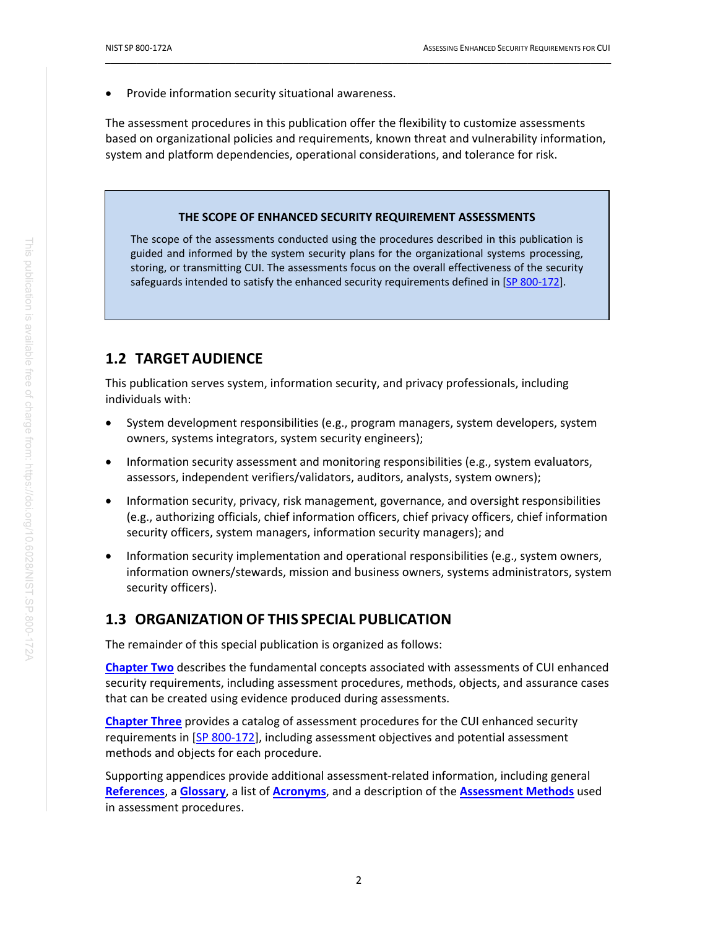Provide information security situational awareness.

The assessment procedures in this publication offer the flexibility to customize assessments based on organizational policies and requirements, known threat and vulnerability information, system and platform dependencies, operational considerations, and tolerance for risk.

 $\_$  ,  $\_$  ,  $\_$  ,  $\_$  ,  $\_$  ,  $\_$  ,  $\_$  ,  $\_$  ,  $\_$  ,  $\_$  ,  $\_$  ,  $\_$  ,  $\_$  ,  $\_$  ,  $\_$  ,  $\_$  ,  $\_$  ,  $\_$  ,  $\_$  ,  $\_$  ,  $\_$  ,  $\_$  ,  $\_$  ,  $\_$  ,  $\_$  ,  $\_$  ,  $\_$  ,  $\_$  ,  $\_$  ,  $\_$  ,  $\_$  ,  $\_$  ,  $\_$  ,  $\_$  ,  $\_$  ,  $\_$  ,  $\_$  ,

#### **THE SCOPE OF ENHANCED SECURITY REQUIREMENT ASSESSMENTS**

The scope of the assessments conducted using the procedures described in this publication is guided and informed by the system security plans for the organizational systems processing, storing, or transmitting CUI. The assessments focus on the overall effectiveness of the security safeguards intended to satisfy the enhanced security requirements defined in [\[SP 800-172\]](#page-44-0).

### <span id="page-12-0"></span>**1.2 TARGET AUDIENCE**

This publication serves system, information security, and privacy professionals, including individuals with:

- System development responsibilities (e.g., program managers, system developers, system owners, systems integrators, system security engineers);
- Information security assessment and monitoring responsibilities (e.g., system evaluators, assessors, independent verifiers/validators, auditors, analysts, system owners);
- Information security, privacy, risk management, governance, and oversight responsibilities (e.g., authorizing officials, chief information officers, chief privacy officers, chief information security officers, system managers, information security managers); and
- Information security implementation and operational responsibilities (e.g., system owners, information owners/stewards, mission and business owners, systems administrators, system security officers).

### <span id="page-12-1"></span>**1.3 ORGANIZATION OF THIS SPECIAL PUBLICATION**

The remainder of this special publication is organized as follows:

**[Chapter Two](#page-13-0)** describes the fundamental concepts associated with assessments of CUI enhanced security requirements, including assessment procedures, methods, objects, and assurance cases that can be created using evidence produced during assessments.

**[Chapter Three](#page-17-0)** provides a catalog of assessment procedures for the CUI enhanced security requirements in [\[SP 800-172\]](#page-44-0), including assessment objectives and potential assessment methods and objects for each procedure.

Supporting appendices provide additional assessment-related information, including general **[References](#page-42-1)**, a **[Glossary](#page-46-0)**, a list of **[Acronyms](#page-54-0)**, and a description of the **[Assessment Methods](#page-55-0)** used in assessment procedures.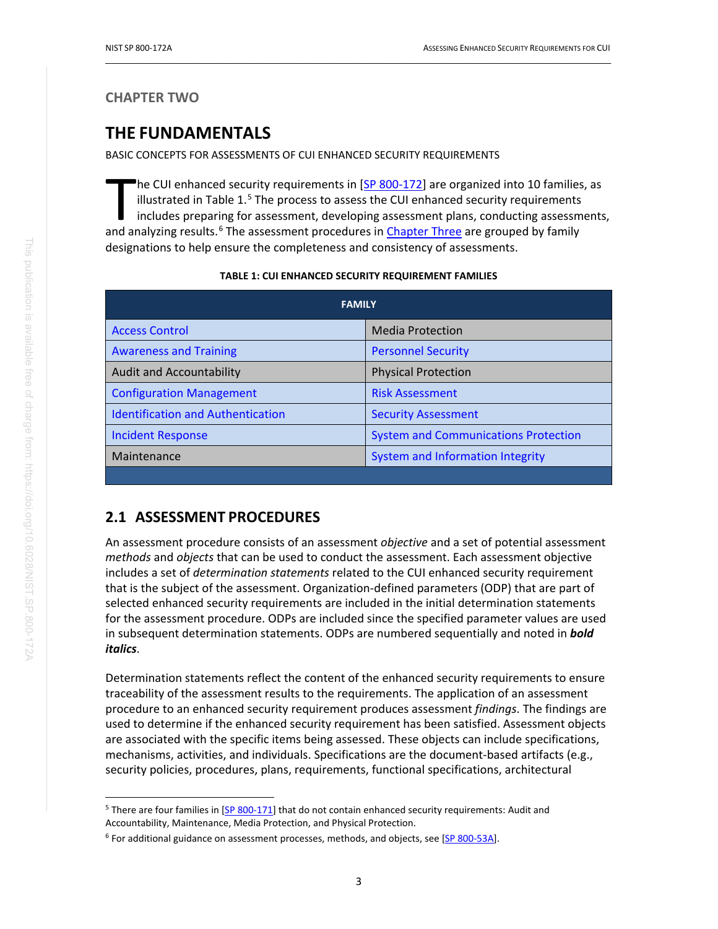#### <span id="page-13-0"></span>**CHAPTER TWO**

# **THE FUNDAMENTALS**

BASIC CONCEPTS FOR ASSESSMENTS OF CUI ENHANCED SECURITY REQUIREMENTS

<sup>t</sup>he CUI enhanced security requirements in [\[SP 800-172\]](#page-44-0) are organized into 10 families, as illustrated in Table  $1<sup>5</sup>$  $1<sup>5</sup>$  $1<sup>5</sup>$  The process to assess the CUI enhanced security requirements includes preparing for assessment, developing assessment plans, conducting assessments, The CUI enhanced security requirements in [SP 800-172] are organized into 10 families<br>
illustrated in Table 1.<sup>5</sup> The process to assess the CUI enhanced security requirements<br>
includes preparing for assessment, developing designations to help ensure the completeness and consistency of assessments.

 $\_$  ,  $\_$  ,  $\_$  ,  $\_$  ,  $\_$  ,  $\_$  ,  $\_$  ,  $\_$  ,  $\_$  ,  $\_$  ,  $\_$  ,  $\_$  ,  $\_$  ,  $\_$  ,  $\_$  ,  $\_$  ,  $\_$  ,  $\_$  ,  $\_$  ,  $\_$  ,  $\_$  ,  $\_$  ,  $\_$  ,  $\_$  ,  $\_$  ,  $\_$  ,  $\_$  ,  $\_$  ,  $\_$  ,  $\_$  ,  $\_$  ,  $\_$  ,  $\_$  ,  $\_$  ,  $\_$  ,  $\_$  ,  $\_$  ,

#### **TABLE 1: CUI ENHANCED SECURITY REQUIREMENT FAMILIES**

<span id="page-13-4"></span>

| <b>FAMILY</b>                            |                                             |  |  |
|------------------------------------------|---------------------------------------------|--|--|
| <b>Access Control</b>                    | <b>Media Protection</b>                     |  |  |
| <b>Awareness and Training</b>            | <b>Personnel Security</b>                   |  |  |
| <b>Audit and Accountability</b>          | <b>Physical Protection</b>                  |  |  |
| <b>Configuration Management</b>          | <b>Risk Assessment</b>                      |  |  |
| <b>Identification and Authentication</b> | <b>Security Assessment</b>                  |  |  |
| <b>Incident Response</b>                 | <b>System and Communications Protection</b> |  |  |
| Maintenance                              | System and Information Integrity            |  |  |
|                                          |                                             |  |  |

### <span id="page-13-1"></span>**2.1 ASSESSMENT PROCEDURES**

An assessment procedure consists of an assessment *objective* and a set of potential assessment *methods* and *objects* that can be used to conduct the assessment. Each assessment objective includes a set of *determination statements* related to the CUI enhanced security requirement that is the subject of the assessment. Organization-defined parameters (ODP) that are part of selected enhanced security requirements are included in the initial determination statements for the assessment procedure. ODPs are included since the specified parameter values are used in subsequent determination statements. ODPs are numbered sequentially and noted in *bold italics*.

Determination statements reflect the content of the enhanced security requirements to ensure traceability of the assessment results to the requirements. The application of an assessment procedure to an enhanced security requirement produces assessment *findings*. The findings are used to determine if the enhanced security requirement has been satisfied. Assessment objects are associated with the specific items being assessed. These objects can include specifications, mechanisms, activities, and individuals. Specifications are the document-based artifacts (e.g., security policies, procedures, plans, requirements, functional specifications, architectural

<span id="page-13-2"></span><sup>&</sup>lt;sup>5</sup> There are four families in [\[SP 800-171\]](#page-44-1) that do not contain enhanced security requirements: Audit and Accountability, Maintenance, Media Protection, and Physical Protection.

<span id="page-13-3"></span><sup>&</sup>lt;sup>6</sup> For additional guidance on assessment processes, methods, and objects, see [\[SP 800-53A\]](#page-44-4).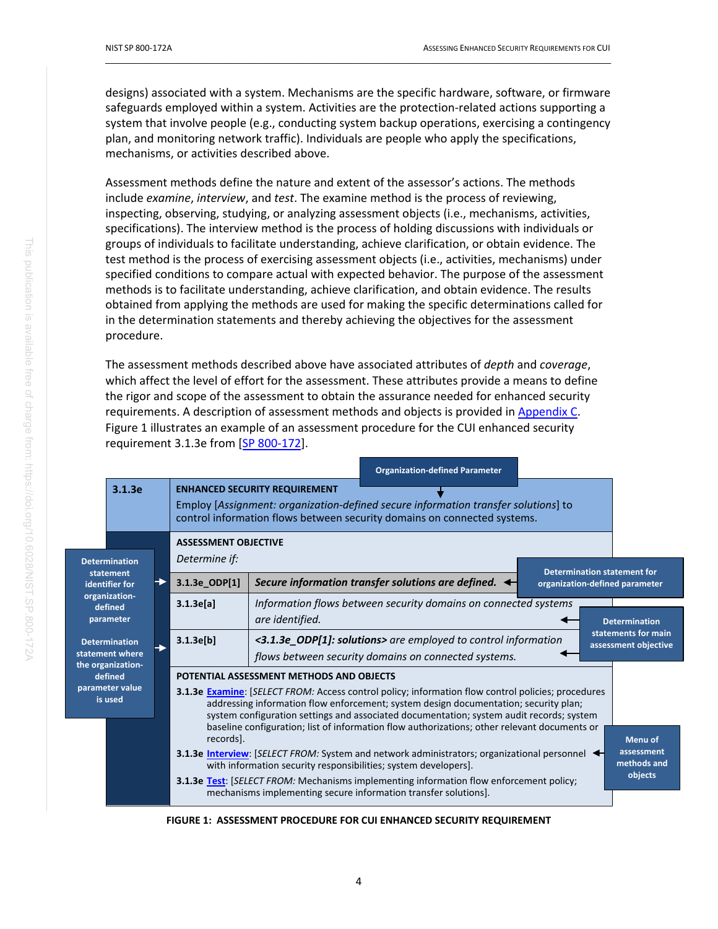designs) associated with a system. Mechanisms are the specific hardware, software, or firmware safeguards employed within a system. Activities are the protection-related actions supporting a system that involve people (e.g., conducting system backup operations, exercising a contingency plan, and monitoring network traffic). Individuals are people who apply the specifications, mechanisms, or activities described above.

 $\_$  ,  $\_$  ,  $\_$  ,  $\_$  ,  $\_$  ,  $\_$  ,  $\_$  ,  $\_$  ,  $\_$  ,  $\_$  ,  $\_$  ,  $\_$  ,  $\_$  ,  $\_$  ,  $\_$  ,  $\_$  ,  $\_$  ,  $\_$  ,  $\_$  ,  $\_$  ,  $\_$  ,  $\_$  ,  $\_$  ,  $\_$  ,  $\_$  ,  $\_$  ,  $\_$  ,  $\_$  ,  $\_$  ,  $\_$  ,  $\_$  ,  $\_$  ,  $\_$  ,  $\_$  ,  $\_$  ,  $\_$  ,  $\_$  ,

Assessment methods define the nature and extent of the assessor's actions. The methods include *examine*, *interview*, and *test*. The examine method is the process of reviewing, inspecting, observing, studying, or analyzing assessment objects (i.e., mechanisms, activities, specifications). The interview method is the process of holding discussions with individuals or groups of individuals to facilitate understanding, achieve clarification, or obtain evidence. The test method is the process of exercising assessment objects (i.e., activities, mechanisms) under specified conditions to compare actual with expected behavior. The purpose of the assessment methods is to facilitate understanding, achieve clarification, and obtain evidence. The results obtained from applying the methods are used for making the specific determinations called for in the determination statements and thereby achieving the objectives for the assessment procedure.

The assessment methods described above have associated attributes of *depth* and *coverage*, which affect the level of effort for the assessment. These attributes provide a means to define the rigor and scope of the assessment to obtain the assurance needed for enhanced security requirements. A description of assessment methods and objects is provided in [Appendix C.](#page-55-0) Figure 1 illustrates an example of an assessment procedure for the CUI enhanced security requirement 3.1.3e from [\[SP 800-172\]](#page-44-0).

|                                                                                                                                                |                                   |                                                                                                                                                                       | <b>Organization-defined Parameter</b>                                                                                                                                                                                                                                                                                                                                                                                                                                                                                                                                                                                                                                                                                                                                                  |                                                 |
|------------------------------------------------------------------------------------------------------------------------------------------------|-----------------------------------|-----------------------------------------------------------------------------------------------------------------------------------------------------------------------|----------------------------------------------------------------------------------------------------------------------------------------------------------------------------------------------------------------------------------------------------------------------------------------------------------------------------------------------------------------------------------------------------------------------------------------------------------------------------------------------------------------------------------------------------------------------------------------------------------------------------------------------------------------------------------------------------------------------------------------------------------------------------------------|-------------------------------------------------|
|                                                                                                                                                | 3.1.3e                            |                                                                                                                                                                       | <b>ENHANCED SECURITY REQUIREMENT</b><br>Employ [Assignment: organization-defined secure information transfer solutions] to<br>control information flows between security domains on connected systems.                                                                                                                                                                                                                                                                                                                                                                                                                                                                                                                                                                                 |                                                 |
|                                                                                                                                                | <b>Determination</b><br>statement | <b>ASSESSMENT OBJECTIVE</b><br>Determine if:                                                                                                                          | <b>Determination statement for</b>                                                                                                                                                                                                                                                                                                                                                                                                                                                                                                                                                                                                                                                                                                                                                     |                                                 |
|                                                                                                                                                | identifier for                    | 3.1.3e_ODP[1]                                                                                                                                                         | Secure information transfer solutions are defined.<br>organization-defined parameter                                                                                                                                                                                                                                                                                                                                                                                                                                                                                                                                                                                                                                                                                                   |                                                 |
| organization-<br>defined<br>parameter<br><b>Determination</b><br>statement where<br>the organization-<br>defined<br>parameter value<br>is used |                                   | 3.1.3e[a]                                                                                                                                                             | Information flows between security domains on connected systems<br>are identified.<br><b>Determination</b>                                                                                                                                                                                                                                                                                                                                                                                                                                                                                                                                                                                                                                                                             |                                                 |
|                                                                                                                                                | 3.1.3e[b]                         | statements for main<br><3.1.3e_ODP[1]: solutions> are employed to control information<br>assessment objective<br>flows between security domains on connected systems. |                                                                                                                                                                                                                                                                                                                                                                                                                                                                                                                                                                                                                                                                                                                                                                                        |                                                 |
|                                                                                                                                                |                                   | records].                                                                                                                                                             | POTENTIAL ASSESSMENT METHODS AND OBJECTS<br><b>3.1.3e Examine: SELECT FROM: Access control policy; information flow control policies; procedures</b><br>addressing information flow enforcement; system design documentation; security plan;<br>system configuration settings and associated documentation; system audit records; system<br>baseline configuration; list of information flow authorizations; other relevant documents or<br><b>3.1.3e Interview:</b> [SELECT FROM: System and network administrators; organizational personnel<br>with information security responsibilities; system developers].<br><b>3.1.3e Test:</b> [SELECT FROM: Mechanisms implementing information flow enforcement policy;<br>mechanisms implementing secure information transfer solutions]. | Menu of<br>assessment<br>methods and<br>objects |

<span id="page-14-0"></span>**FIGURE 1: ASSESSMENT PROCEDURE FOR CUI ENHANCED SECURITY REQUIREMENT**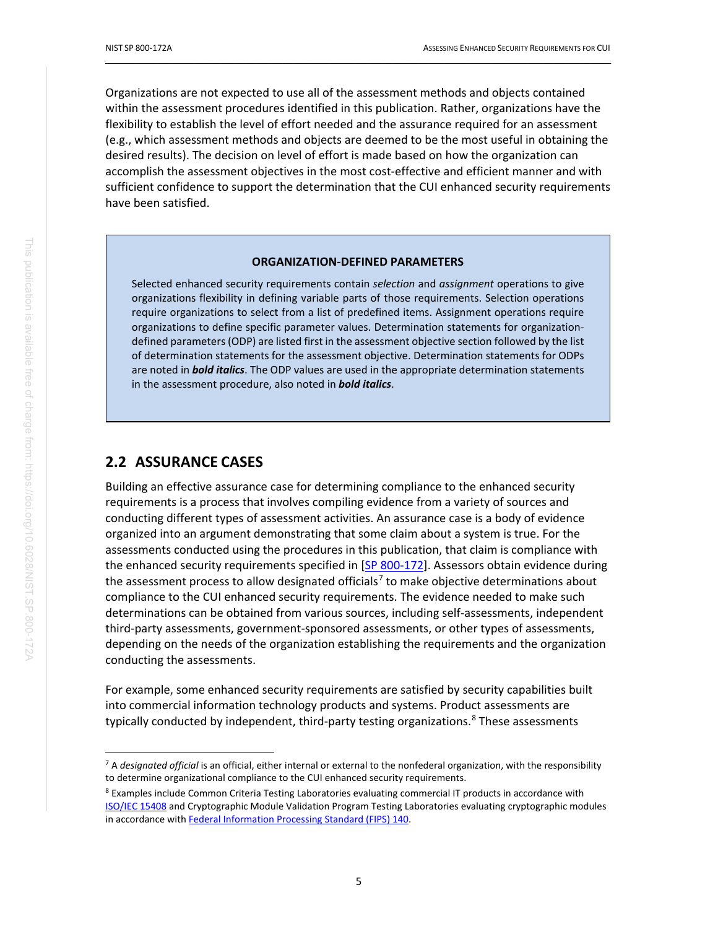Organizations are not expected to use all of the assessment methods and objects contained within the assessment procedures identified in this publication. Rather, organizations have the flexibility to establish the level of effort needed and the assurance required for an assessment (e.g., which assessment methods and objects are deemed to be the most useful in obtaining the desired results). The decision on level of effort is made based on how the organization can accomplish the assessment objectives in the most cost-effective and efficient manner and with sufficient confidence to support the determination that the CUI enhanced security requirements have been satisfied.

 $\_$  ,  $\_$  ,  $\_$  ,  $\_$  ,  $\_$  ,  $\_$  ,  $\_$  ,  $\_$  ,  $\_$  ,  $\_$  ,  $\_$  ,  $\_$  ,  $\_$  ,  $\_$  ,  $\_$  ,  $\_$  ,  $\_$  ,  $\_$  ,  $\_$  ,  $\_$  ,  $\_$  ,  $\_$  ,  $\_$  ,  $\_$  ,  $\_$  ,  $\_$  ,  $\_$  ,  $\_$  ,  $\_$  ,  $\_$  ,  $\_$  ,  $\_$  ,  $\_$  ,  $\_$  ,  $\_$  ,  $\_$  ,  $\_$  ,

#### **ORGANIZATION-DEFINED PARAMETERS**

Selected enhanced security requirements contain *selection* and *assignment* operations to give organizations flexibility in defining variable parts of those requirements. Selection operations require organizations to select from a list of predefined items. Assignment operations require organizations to define specific parameter values. Determination statements for organizationdefined parameters (ODP) are listed first in the assessment objective section followed by the list of determination statements for the assessment objective. Determination statements for ODPs are noted in *bold italics*. The ODP values are used in the appropriate determination statements in the assessment procedure, also noted in *bold italics*.

### **2.2 ASSURANCE CASES**

Building an effective assurance case for determining compliance to the enhanced security requirements is a process that involves compiling evidence from a variety of sources and conducting different types of assessment activities. An assurance case is a body of evidence organized into an argument demonstrating that some claim about a system is true. For the assessments conducted using the procedures in this publication, that claim is compliance with the enhanced security requirements specified in [\[SP 800-172\]](#page-44-0). Assessors obtain evidence during the assessment process to allow designated officials<sup>[7](#page-15-0)</sup> to make objective determinations about compliance to the CUI enhanced security requirements. The evidence needed to make such determinations can be obtained from various sources, including self-assessments, independent third-party assessments, government-sponsored assessments, or other types of assessments, depending on the needs of the organization establishing the requirements and the organization conducting the assessments.

For example, some enhanced security requirements are satisfied by security capabilities built into commercial information technology products and systems. Product assessments are typically conducted by independent, third-party testing organizations.<sup>[8](#page-15-1)</sup> These assessments

<span id="page-15-0"></span><sup>7</sup> A *designated official* is an official, either internal or external to the nonfederal organization, with the responsibility to determine organizational compliance to the CUI enhanced security requirements.

<span id="page-15-1"></span><sup>&</sup>lt;sup>8</sup> Examples include Common Criteria Testing Laboratories evaluating commercial IT products in accordance with [ISO/IEC 15408](#page-43-0) and Cryptographic Module Validation Program Testing Laboratories evaluating cryptographic modules in accordance with [Federal Information Processing Standard \(FIPS\) 140.](#page-43-1)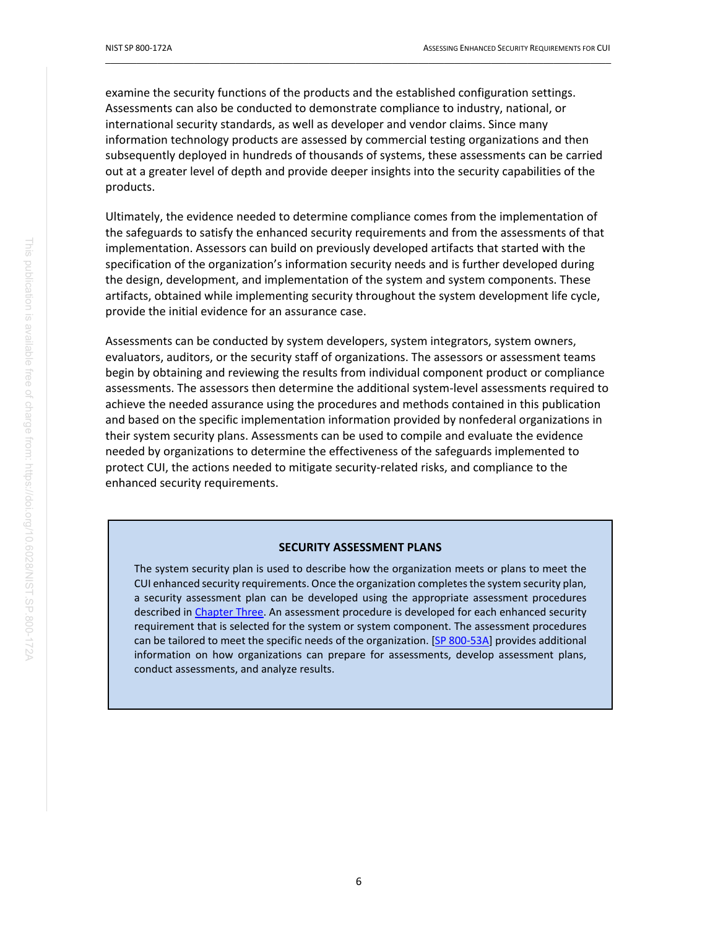examine the security functions of the products and the established configuration settings. Assessments can also be conducted to demonstrate compliance to industry, national, or international security standards, as well as developer and vendor claims. Since many information technology products are assessed by commercial testing organizations and then subsequently deployed in hundreds of thousands of systems, these assessments can be carried out at a greater level of depth and provide deeper insights into the security capabilities of the products.

 $\_$  ,  $\_$  ,  $\_$  ,  $\_$  ,  $\_$  ,  $\_$  ,  $\_$  ,  $\_$  ,  $\_$  ,  $\_$  ,  $\_$  ,  $\_$  ,  $\_$  ,  $\_$  ,  $\_$  ,  $\_$  ,  $\_$  ,  $\_$  ,  $\_$  ,  $\_$  ,  $\_$  ,  $\_$  ,  $\_$  ,  $\_$  ,  $\_$  ,  $\_$  ,  $\_$  ,  $\_$  ,  $\_$  ,  $\_$  ,  $\_$  ,  $\_$  ,  $\_$  ,  $\_$  ,  $\_$  ,  $\_$  ,  $\_$  ,

Ultimately, the evidence needed to determine compliance comes from the implementation of the safeguards to satisfy the enhanced security requirements and from the assessments of that implementation. Assessors can build on previously developed artifacts that started with the specification of the organization's information security needs and is further developed during the design, development, and implementation of the system and system components. These artifacts, obtained while implementing security throughout the system development life cycle, provide the initial evidence for an assurance case.

Assessments can be conducted by system developers, system integrators, system owners, evaluators, auditors, or the security staff of organizations. The assessors or assessment teams begin by obtaining and reviewing the results from individual component product or compliance assessments. The assessors then determine the additional system-level assessments required to achieve the needed assurance using the procedures and methods contained in this publication and based on the specific implementation information provided by nonfederal organizations in their system security plans. Assessments can be used to compile and evaluate the evidence needed by organizations to determine the effectiveness of the safeguards implemented to protect CUI, the actions needed to mitigate security-related risks, and compliance to the enhanced security requirements.

#### **SECURITY ASSESSMENT PLANS**

The system security plan is used to describe how the organization meets or plans to meet the CUI enhanced security requirements. Once the organization completes the system security plan, a security assessment plan can be developed using the appropriate assessment procedures described i[n Chapter Three.](#page-17-0) An assessment procedure is developed for each enhanced security requirement that is selected for the system or system component. The assessment procedures can be tailored to meet the specific needs of the organization. [\[SP 800-53A\]](#page-44-4) provides additional information on how organizations can prepare for assessments, develop assessment plans, conduct assessments, and analyze results.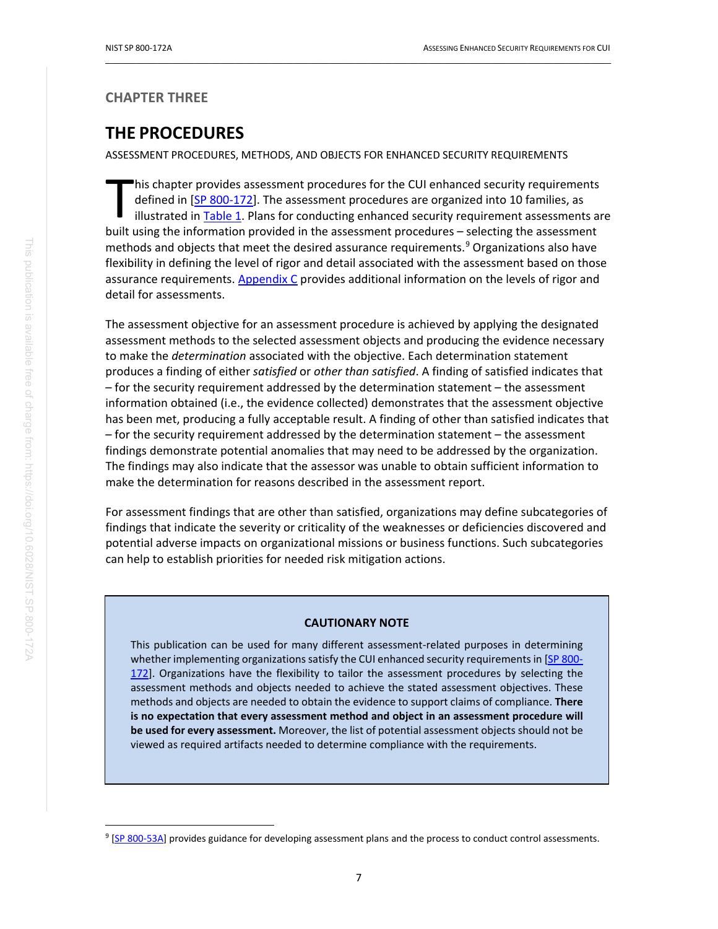### <span id="page-17-0"></span>**CHAPTER THREE**

# **THE PROCEDURES**

ASSESSMENT PROCEDURES, METHODS, AND OBJECTS FOR ENHANCED SECURITY REQUIREMENTS

his chapter provides assessment procedures for the CUI enhanced security requirements defined in [\[SP 800-172\]](#page-44-0). The assessment procedures are organized into 10 families, as illustrated in [Table 1.](#page-13-4) Plans for conducting enhanced security requirement assessments are his chapter provides assessment procedures for the CUI enhanced security requirements<br>defined in [SP 800-172]. The assessment procedures are organized into 10 families, as<br>illustrated in **Table 1**. Plans for conducting enh methods and objects that meet the desired assurance requirements. [9](#page-17-1) Organizations also have flexibility in defining the level of rigor and detail associated with the assessment based on those assurance requirements. [Appendix C](#page-55-0) provides additional information on the levels of rigor and detail for assessments.

 $\_$  ,  $\_$  ,  $\_$  ,  $\_$  ,  $\_$  ,  $\_$  ,  $\_$  ,  $\_$  ,  $\_$  ,  $\_$  ,  $\_$  ,  $\_$  ,  $\_$  ,  $\_$  ,  $\_$  ,  $\_$  ,  $\_$  ,  $\_$  ,  $\_$  ,  $\_$  ,  $\_$  ,  $\_$  ,  $\_$  ,  $\_$  ,  $\_$  ,  $\_$  ,  $\_$  ,  $\_$  ,  $\_$  ,  $\_$  ,  $\_$  ,  $\_$  ,  $\_$  ,  $\_$  ,  $\_$  ,  $\_$  ,  $\_$  ,

The assessment objective for an assessment procedure is achieved by applying the designated assessment methods to the selected assessment objects and producing the evidence necessary to make the *determination* associated with the objective. Each determination statement produces a finding of either *satisfied* or *other than satisfied*. A finding of satisfied indicates that – for the security requirement addressed by the determination statement – the assessment information obtained (i.e., the evidence collected) demonstrates that the assessment objective has been met, producing a fully acceptable result. A finding of other than satisfied indicates that – for the security requirement addressed by the determination statement – the assessment findings demonstrate potential anomalies that may need to be addressed by the organization. The findings may also indicate that the assessor was unable to obtain sufficient information to make the determination for reasons described in the assessment report.

For assessment findings that are other than satisfied, organizations may define subcategories of findings that indicate the severity or criticality of the weaknesses or deficiencies discovered and potential adverse impacts on organizational missions or business functions. Such subcategories can help to establish priorities for needed risk mitigation actions.

#### **CAUTIONARY NOTE**

This publication can be used for many different assessment-related purposes in determining whether implementing organizations satisfy the CUI enhanced security requirements in [\[SP 800-](#page-44-0) [172\]](#page-44-0). Organizations have the flexibility to tailor the assessment procedures by selecting the assessment methods and objects needed to achieve the stated assessment objectives. These methods and objects are needed to obtain the evidence to support claims of compliance. **There is no expectation that every assessment method and object in an assessment procedure will be used for every assessment.** Moreover, the list of potential assessment objects should not be viewed as required artifacts needed to determine compliance with the requirements.

<span id="page-17-1"></span><sup>&</sup>lt;sup>9</sup> [\[SP 800-53A\]](#page-44-4) provides guidance for developing assessment plans and the process to conduct control assessments.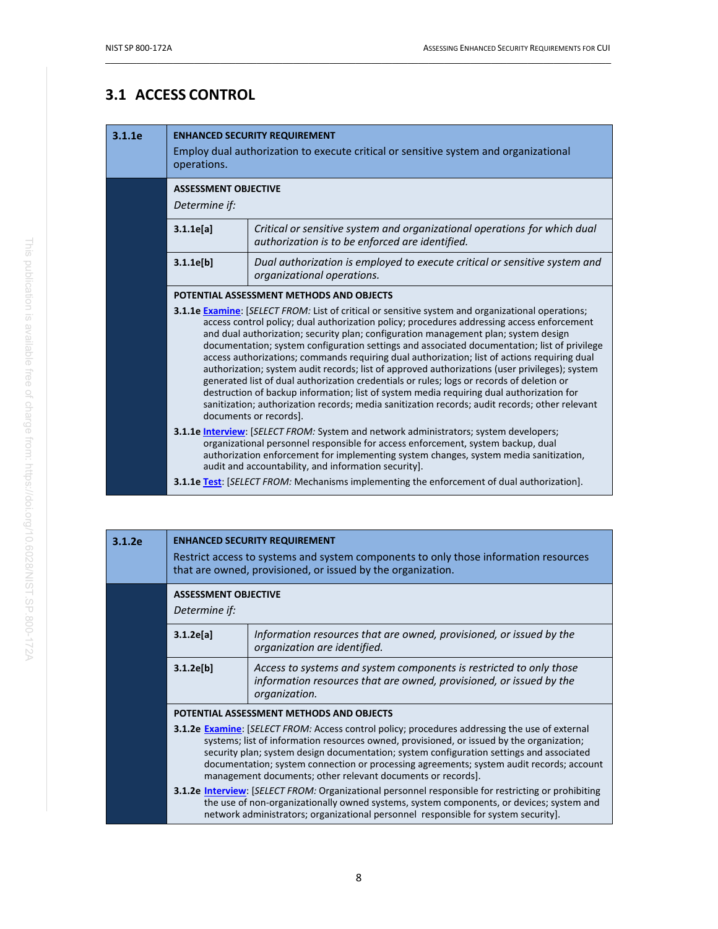# <span id="page-18-0"></span>**3.1 ACCESS CONTROL**

| 3.1.1e | <b>ENHANCED SECURITY REQUIREMENT</b><br>Employ dual authorization to execute critical or sensitive system and organizational<br>operations.                                                                                                                                                                                                                                                                                                                                                                                                                                                                                                                                                                                                                                                                                                                                                                          |                                                                                                          |  |
|--------|----------------------------------------------------------------------------------------------------------------------------------------------------------------------------------------------------------------------------------------------------------------------------------------------------------------------------------------------------------------------------------------------------------------------------------------------------------------------------------------------------------------------------------------------------------------------------------------------------------------------------------------------------------------------------------------------------------------------------------------------------------------------------------------------------------------------------------------------------------------------------------------------------------------------|----------------------------------------------------------------------------------------------------------|--|
|        | <b>ASSESSMENT OBJECTIVE</b><br>Determine if:                                                                                                                                                                                                                                                                                                                                                                                                                                                                                                                                                                                                                                                                                                                                                                                                                                                                         |                                                                                                          |  |
|        | Critical or sensitive system and organizational operations for which dual<br>3.1.1e[a]<br>authorization is to be enforced are identified.                                                                                                                                                                                                                                                                                                                                                                                                                                                                                                                                                                                                                                                                                                                                                                            |                                                                                                          |  |
|        | 3.1.1e[b]                                                                                                                                                                                                                                                                                                                                                                                                                                                                                                                                                                                                                                                                                                                                                                                                                                                                                                            | Dual authorization is employed to execute critical or sensitive system and<br>organizational operations. |  |
|        |                                                                                                                                                                                                                                                                                                                                                                                                                                                                                                                                                                                                                                                                                                                                                                                                                                                                                                                      | POTENTIAL ASSESSMENT METHODS AND OBJECTS                                                                 |  |
|        | <b>3.1.1e Examine:</b> [SELECT FROM: List of critical or sensitive system and organizational operations;<br>access control policy; dual authorization policy; procedures addressing access enforcement<br>and dual authorization; security plan; configuration management plan; system design<br>documentation; system configuration settings and associated documentation; list of privilege<br>access authorizations; commands requiring dual authorization; list of actions requiring dual<br>authorization; system audit records; list of approved authorizations (user privileges); system<br>generated list of dual authorization credentials or rules; logs or records of deletion or<br>destruction of backup information; list of system media requiring dual authorization for<br>sanitization; authorization records; media sanitization records; audit records; other relevant<br>documents or records]. |                                                                                                          |  |
|        | 3.1.1e Interview: [SELECT FROM: System and network administrators; system developers;<br>organizational personnel responsible for access enforcement, system backup, dual<br>authorization enforcement for implementing system changes, system media sanitization,<br>audit and accountability, and information security].                                                                                                                                                                                                                                                                                                                                                                                                                                                                                                                                                                                           |                                                                                                          |  |
|        | <b>3.1.1e Test:</b> [SELECT FROM: Mechanisms implementing the enforcement of dual authorization].                                                                                                                                                                                                                                                                                                                                                                                                                                                                                                                                                                                                                                                                                                                                                                                                                    |                                                                                                          |  |

| 3.1.2e                                   | <b>ENHANCED SECURITY REQUIREMENT</b><br>Restrict access to systems and system components to only those information resources<br>that are owned, provisioned, or issued by the organization. |                                                                                                                                                                                                                                                                                                                                                                                                                                                    |  |
|------------------------------------------|---------------------------------------------------------------------------------------------------------------------------------------------------------------------------------------------|----------------------------------------------------------------------------------------------------------------------------------------------------------------------------------------------------------------------------------------------------------------------------------------------------------------------------------------------------------------------------------------------------------------------------------------------------|--|
|                                          | <b>ASSESSMENT OBJECTIVE</b><br>Determine if:                                                                                                                                                |                                                                                                                                                                                                                                                                                                                                                                                                                                                    |  |
|                                          | 3.1.2e[a]                                                                                                                                                                                   | Information resources that are owned, provisioned, or issued by the<br>organization are identified.                                                                                                                                                                                                                                                                                                                                                |  |
|                                          | 3.1.2e[b]                                                                                                                                                                                   | Access to systems and system components is restricted to only those<br>information resources that are owned, provisioned, or issued by the<br>organization.                                                                                                                                                                                                                                                                                        |  |
| POTENTIAL ASSESSMENT METHODS AND OBJECTS |                                                                                                                                                                                             |                                                                                                                                                                                                                                                                                                                                                                                                                                                    |  |
|                                          |                                                                                                                                                                                             | 3.1.2e Examine: [SELECT FROM: Access control policy; procedures addressing the use of external<br>systems; list of information resources owned, provisioned, or issued by the organization;<br>security plan; system design documentation; system configuration settings and associated<br>documentation; system connection or processing agreements; system audit records; account<br>management documents; other relevant documents or records]. |  |
|                                          |                                                                                                                                                                                             | <b>3.1.2e Interview:</b> [SELECT FROM: Organizational personnel responsible for restricting or prohibiting<br>the use of non-organizationally owned systems, system components, or devices; system and<br>network administrators; organizational personnel responsible for system security].                                                                                                                                                       |  |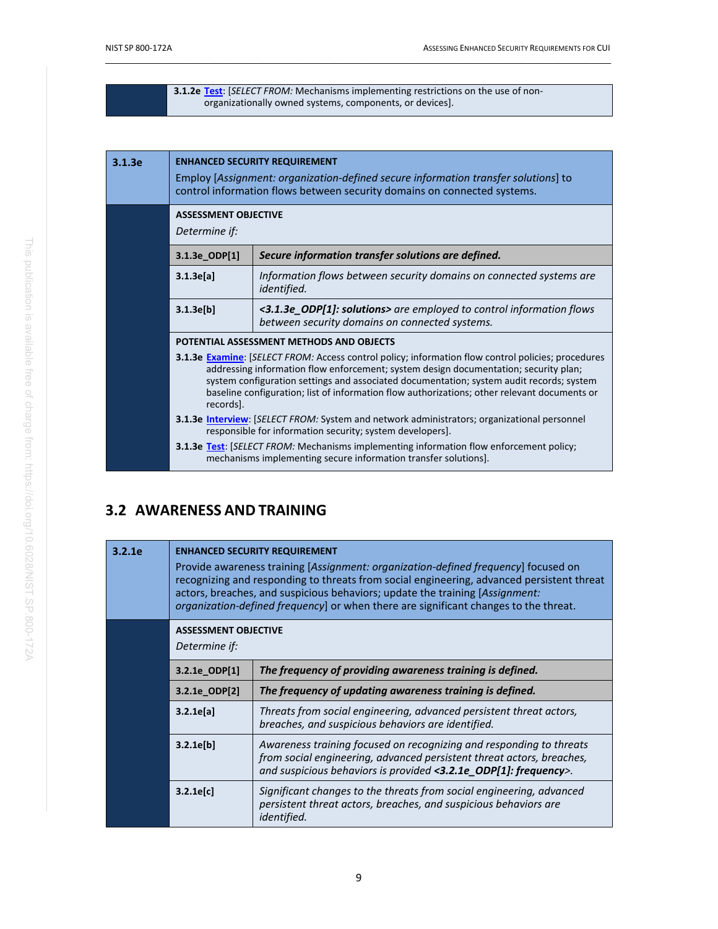| 3.1.2e Test: [SELECT FROM: Mechanisms implementing restrictions on the use of non- |  |
|------------------------------------------------------------------------------------|--|
| organizationally owned systems, components, or devices].                           |  |

| 3.1.3e                 | <b>ENHANCED SECURITY REQUIREMENT</b><br>Employ [Assignment: organization-defined secure information transfer solutions] to<br>control information flows between security domains on connected systems.                                                                                                                                                                                                                                                                                                                                                                                                                                                                                                                                                                                         |                                                                                                                        |
|------------------------|------------------------------------------------------------------------------------------------------------------------------------------------------------------------------------------------------------------------------------------------------------------------------------------------------------------------------------------------------------------------------------------------------------------------------------------------------------------------------------------------------------------------------------------------------------------------------------------------------------------------------------------------------------------------------------------------------------------------------------------------------------------------------------------------|------------------------------------------------------------------------------------------------------------------------|
|                        | <b>ASSESSMENT OBJECTIVE</b><br>Determine if:                                                                                                                                                                                                                                                                                                                                                                                                                                                                                                                                                                                                                                                                                                                                                   |                                                                                                                        |
|                        | 3.1.3e ODP[1]                                                                                                                                                                                                                                                                                                                                                                                                                                                                                                                                                                                                                                                                                                                                                                                  | Secure information transfer solutions are defined.                                                                     |
| 3.1.3e[a]<br>3.1.3e[b] |                                                                                                                                                                                                                                                                                                                                                                                                                                                                                                                                                                                                                                                                                                                                                                                                | Information flows between security domains on connected systems are<br><i>identified.</i>                              |
|                        |                                                                                                                                                                                                                                                                                                                                                                                                                                                                                                                                                                                                                                                                                                                                                                                                | <3.1.3e_ODP[1]: solutions> are employed to control information flows<br>between security domains on connected systems. |
|                        | POTENTIAL ASSESSMENT METHODS AND OBJECTS<br><b>3.1.3e Examine:</b> [SELECT FROM: Access control policy; information flow control policies; procedures<br>addressing information flow enforcement; system design documentation; security plan;<br>system configuration settings and associated documentation; system audit records; system<br>baseline configuration; list of information flow authorizations; other relevant documents or<br>records].<br><b>3.1.3e Interview: [SELECT FROM: System and network administrators; organizational personnel</b><br>responsible for information security; system developers].<br><b>3.1.3e Test:</b> [SELECT FROM: Mechanisms implementing information flow enforcement policy;<br>mechanisms implementing secure information transfer solutions]. |                                                                                                                        |
|                        |                                                                                                                                                                                                                                                                                                                                                                                                                                                                                                                                                                                                                                                                                                                                                                                                |                                                                                                                        |
|                        |                                                                                                                                                                                                                                                                                                                                                                                                                                                                                                                                                                                                                                                                                                                                                                                                |                                                                                                                        |
|                        |                                                                                                                                                                                                                                                                                                                                                                                                                                                                                                                                                                                                                                                                                                                                                                                                |                                                                                                                        |

# <span id="page-19-0"></span>**3.2 AWARENESS AND TRAINING**

| 3.2.1e | <b>ENHANCED SECURITY REQUIREMENT</b><br>Provide awareness training [Assignment: organization-defined frequency] focused on<br>recognizing and responding to threats from social engineering, advanced persistent threat<br>actors, breaches, and suspicious behaviors; update the training [Assignment:<br>organization-defined frequency] or when there are significant changes to the threat. |                                                                                                                                                                                                                           |  |
|--------|-------------------------------------------------------------------------------------------------------------------------------------------------------------------------------------------------------------------------------------------------------------------------------------------------------------------------------------------------------------------------------------------------|---------------------------------------------------------------------------------------------------------------------------------------------------------------------------------------------------------------------------|--|
|        | <b>ASSESSMENT OBJECTIVE</b><br>Determine if:                                                                                                                                                                                                                                                                                                                                                    |                                                                                                                                                                                                                           |  |
|        | 3.2.1e ODP[1]                                                                                                                                                                                                                                                                                                                                                                                   | The frequency of providing awareness training is defined.                                                                                                                                                                 |  |
|        | 3.2.1e ODP[2]                                                                                                                                                                                                                                                                                                                                                                                   | The frequency of updating awareness training is defined.                                                                                                                                                                  |  |
|        | 3.2.1e[a]                                                                                                                                                                                                                                                                                                                                                                                       | Threats from social engineering, advanced persistent threat actors,<br>breaches, and suspicious behaviors are identified.                                                                                                 |  |
|        | 3.2.1e[b]                                                                                                                                                                                                                                                                                                                                                                                       | Awareness training focused on recognizing and responding to threats<br>from social engineering, advanced persistent threat actors, breaches,<br>and suspicious behaviors is provided $\langle 3.2.1e$ ODP[1]: frequency>. |  |
|        | 3.2.1e[c]                                                                                                                                                                                                                                                                                                                                                                                       | Significant changes to the threats from social engineering, advanced<br>persistent threat actors, breaches, and suspicious behaviors are<br><i>identified.</i>                                                            |  |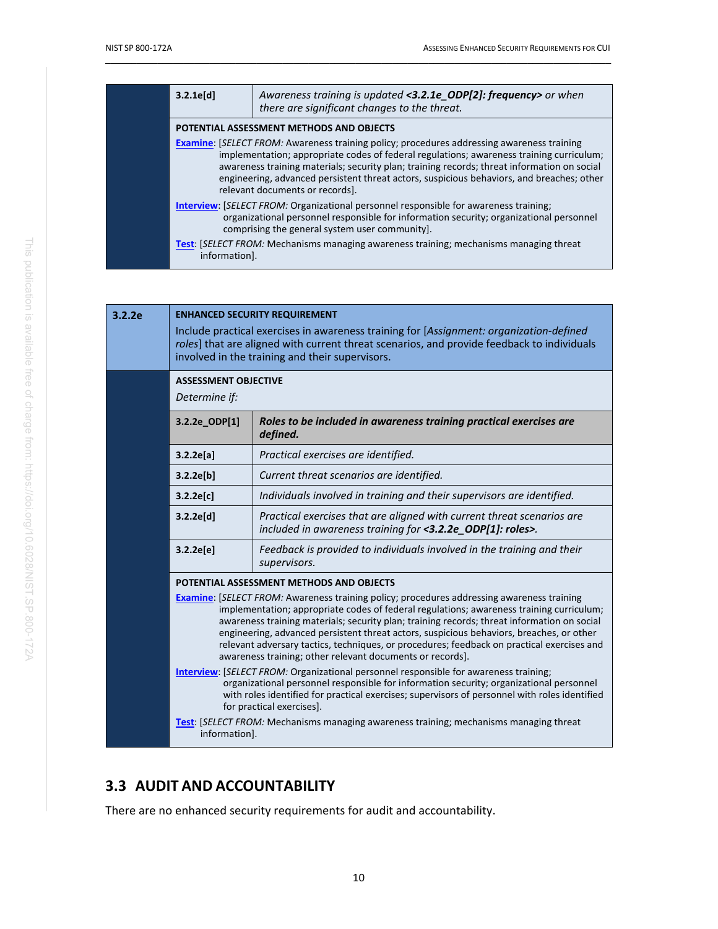| 3.2.1e[d]                                                                                                                                                                                                                                                                                                                                                                                                                    | Awareness training is updated <3.2.1e_ODP[2]: frequency> or when<br>there are significant changes to the threat. |  |
|------------------------------------------------------------------------------------------------------------------------------------------------------------------------------------------------------------------------------------------------------------------------------------------------------------------------------------------------------------------------------------------------------------------------------|------------------------------------------------------------------------------------------------------------------|--|
|                                                                                                                                                                                                                                                                                                                                                                                                                              | POTENTIAL ASSESSMENT METHODS AND OBJECTS                                                                         |  |
| <b>Examine:</b> [SELECT FROM: Awareness training policy; procedures addressing awareness training<br>implementation; appropriate codes of federal regulations; awareness training curriculum;<br>awareness training materials; security plan; training records; threat information on social<br>engineering, advanced persistent threat actors, suspicious behaviors, and breaches; other<br>relevant documents or records]. |                                                                                                                  |  |
| <b>Interview:</b> [SELECT FROM: Organizational personnel responsible for awareness training;<br>organizational personnel responsible for information security; organizational personnel<br>comprising the general system user community].                                                                                                                                                                                    |                                                                                                                  |  |
| information].                                                                                                                                                                                                                                                                                                                                                                                                                | <b>Test:</b> [SELECT FROM: Mechanisms managing awareness training; mechanisms managing threat                    |  |

| 3.2.2e | <b>ENHANCED SECURITY REQUIREMENT</b><br>Include practical exercises in awareness training for [Assignment: organization-defined<br>roles] that are aligned with current threat scenarios, and provide feedback to individuals<br>involved in the training and their supervisors. |                                                                                                                                                                                                                                                                                                                                                                                                                                                                                                                                                     |  |
|--------|----------------------------------------------------------------------------------------------------------------------------------------------------------------------------------------------------------------------------------------------------------------------------------|-----------------------------------------------------------------------------------------------------------------------------------------------------------------------------------------------------------------------------------------------------------------------------------------------------------------------------------------------------------------------------------------------------------------------------------------------------------------------------------------------------------------------------------------------------|--|
|        | <b>ASSESSMENT OBJECTIVE</b><br>Determine if:                                                                                                                                                                                                                                     |                                                                                                                                                                                                                                                                                                                                                                                                                                                                                                                                                     |  |
|        | 3.2.2e_ODP[1]                                                                                                                                                                                                                                                                    | Roles to be included in awareness training practical exercises are<br>defined.                                                                                                                                                                                                                                                                                                                                                                                                                                                                      |  |
|        | 3.2.2e[a]                                                                                                                                                                                                                                                                        | Practical exercises are identified.                                                                                                                                                                                                                                                                                                                                                                                                                                                                                                                 |  |
|        | 3.2.2e[b]                                                                                                                                                                                                                                                                        | Current threat scenarios are identified.                                                                                                                                                                                                                                                                                                                                                                                                                                                                                                            |  |
|        | 3.2.2e[c]                                                                                                                                                                                                                                                                        | Individuals involved in training and their supervisors are identified.                                                                                                                                                                                                                                                                                                                                                                                                                                                                              |  |
|        | 3.2.2e[d]                                                                                                                                                                                                                                                                        | Practical exercises that are aligned with current threat scenarios are<br>included in awareness training for <3.2.2e ODP[1]: roles>.                                                                                                                                                                                                                                                                                                                                                                                                                |  |
|        | 3.2.2e[e]                                                                                                                                                                                                                                                                        | Feedback is provided to individuals involved in the training and their<br>supervisors.                                                                                                                                                                                                                                                                                                                                                                                                                                                              |  |
|        |                                                                                                                                                                                                                                                                                  | POTENTIAL ASSESSMENT METHODS AND OBJECTS                                                                                                                                                                                                                                                                                                                                                                                                                                                                                                            |  |
|        |                                                                                                                                                                                                                                                                                  | <b>Examine:</b> [SELECT FROM: Awareness training policy; procedures addressing awareness training<br>implementation; appropriate codes of federal regulations; awareness training curriculum;<br>awareness training materials; security plan; training records; threat information on social<br>engineering, advanced persistent threat actors, suspicious behaviors, breaches, or other<br>relevant adversary tactics, techniques, or procedures; feedback on practical exercises and<br>awareness training; other relevant documents or records]. |  |
|        |                                                                                                                                                                                                                                                                                  | <b>Interview:</b> [SELECT FROM: Organizational personnel responsible for awareness training;<br>organizational personnel responsible for information security; organizational personnel<br>with roles identified for practical exercises; supervisors of personnel with roles identified<br>for practical exercises].                                                                                                                                                                                                                               |  |
|        | information].                                                                                                                                                                                                                                                                    | <b>Test:</b> [SELECT FROM: Mechanisms managing awareness training; mechanisms managing threat                                                                                                                                                                                                                                                                                                                                                                                                                                                       |  |

# <span id="page-20-0"></span>**3.3 AUDIT AND ACCOUNTABILITY**

There are no enhanced security requirements for audit and accountability.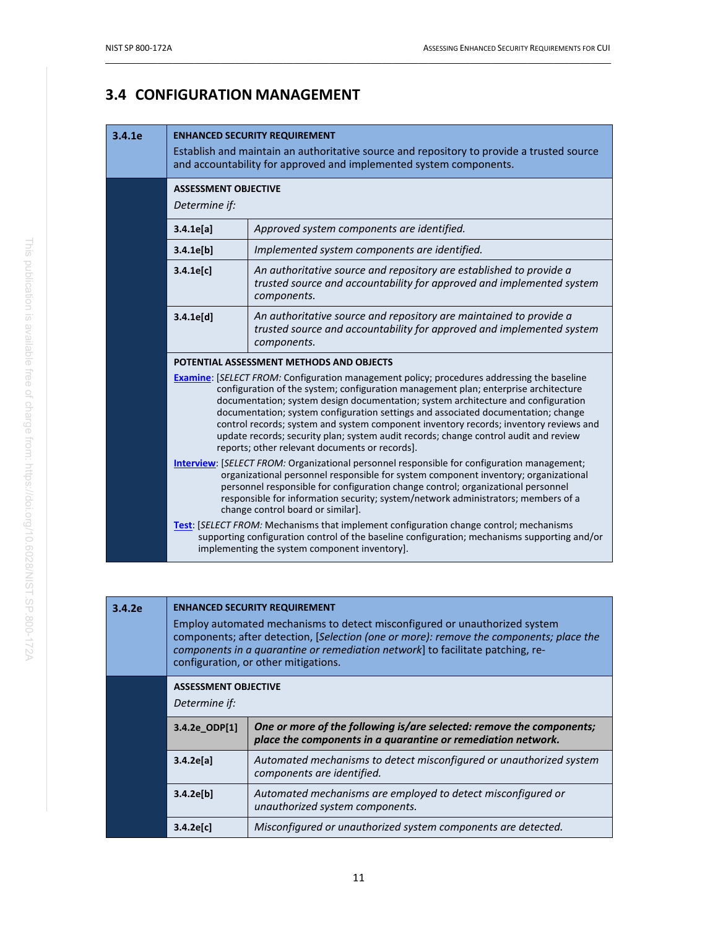# <span id="page-21-0"></span>**3.4 CONFIGURATION MANAGEMENT**

#### **3.4.1e ENHANCED SECURITY REQUIREMENT**

|  | Establish and maintain an authoritative source and repository to provide a trusted source<br>and accountability for approved and implemented system components.                                                                                                                                                                                                                                                                                                                                                                                                                                                                             |                                                                                                                                                             |
|--|---------------------------------------------------------------------------------------------------------------------------------------------------------------------------------------------------------------------------------------------------------------------------------------------------------------------------------------------------------------------------------------------------------------------------------------------------------------------------------------------------------------------------------------------------------------------------------------------------------------------------------------------|-------------------------------------------------------------------------------------------------------------------------------------------------------------|
|  | <b>ASSESSMENT OBJECTIVE</b><br>Determine if:                                                                                                                                                                                                                                                                                                                                                                                                                                                                                                                                                                                                |                                                                                                                                                             |
|  | 3.4.1e[a]                                                                                                                                                                                                                                                                                                                                                                                                                                                                                                                                                                                                                                   | Approved system components are identified.                                                                                                                  |
|  | 3.4.1e[b]                                                                                                                                                                                                                                                                                                                                                                                                                                                                                                                                                                                                                                   | Implemented system components are identified.                                                                                                               |
|  | 3.4.1e[c]                                                                                                                                                                                                                                                                                                                                                                                                                                                                                                                                                                                                                                   | An authoritative source and repository are established to provide a<br>trusted source and accountability for approved and implemented system<br>components. |
|  | 3.4.1e[d]                                                                                                                                                                                                                                                                                                                                                                                                                                                                                                                                                                                                                                   | An authoritative source and repository are maintained to provide a<br>trusted source and accountability for approved and implemented system<br>components.  |
|  |                                                                                                                                                                                                                                                                                                                                                                                                                                                                                                                                                                                                                                             | POTENTIAL ASSESSMENT METHODS AND OBJECTS                                                                                                                    |
|  | <b>Examine:</b> [SELECT FROM: Configuration management policy; procedures addressing the baseline<br>configuration of the system; configuration management plan; enterprise architecture<br>documentation; system design documentation; system architecture and configuration<br>documentation; system configuration settings and associated documentation; change<br>control records; system and system component inventory records; inventory reviews and<br>update records; security plan; system audit records; change control audit and review<br>reports; other relevant documents or records].                                       |                                                                                                                                                             |
|  | Interview: [SELECT FROM: Organizational personnel responsible for configuration management;<br>organizational personnel responsible for system component inventory; organizational<br>personnel responsible for configuration change control; organizational personnel<br>responsible for information security; system/network administrators; members of a<br>change control board or similar].<br>Test: [SELECT FROM: Mechanisms that implement configuration change control; mechanisms<br>supporting configuration control of the baseline configuration; mechanisms supporting and/or<br>implementing the system component inventory]. |                                                                                                                                                             |
|  |                                                                                                                                                                                                                                                                                                                                                                                                                                                                                                                                                                                                                                             |                                                                                                                                                             |

| 3.4.2e                                       | <b>ENHANCED SECURITY REQUIREMENT</b><br>Employ automated mechanisms to detect misconfigured or unauthorized system<br>components; after detection, [Selection (one or more): remove the components; place the<br>components in a quarantine or remediation network] to facilitate patching, re-<br>configuration, or other mitigations. |                                                                                                                                      |
|----------------------------------------------|-----------------------------------------------------------------------------------------------------------------------------------------------------------------------------------------------------------------------------------------------------------------------------------------------------------------------------------------|--------------------------------------------------------------------------------------------------------------------------------------|
| <b>ASSESSMENT OBJECTIVE</b><br>Determine if: |                                                                                                                                                                                                                                                                                                                                         |                                                                                                                                      |
|                                              | 3.4.2e ODP[1]                                                                                                                                                                                                                                                                                                                           | One or more of the following is/are selected: remove the components;<br>place the components in a quarantine or remediation network. |
|                                              | 3.4.2e[a]                                                                                                                                                                                                                                                                                                                               | Automated mechanisms to detect misconfigured or unauthorized system<br>components are identified.                                    |
|                                              | 3.4.2e[b]                                                                                                                                                                                                                                                                                                                               | Automated mechanisms are employed to detect misconfigured or<br>unauthorized system components.                                      |
|                                              | $3.4.2e$ [c]                                                                                                                                                                                                                                                                                                                            | Misconfigured or unauthorized system components are detected.                                                                        |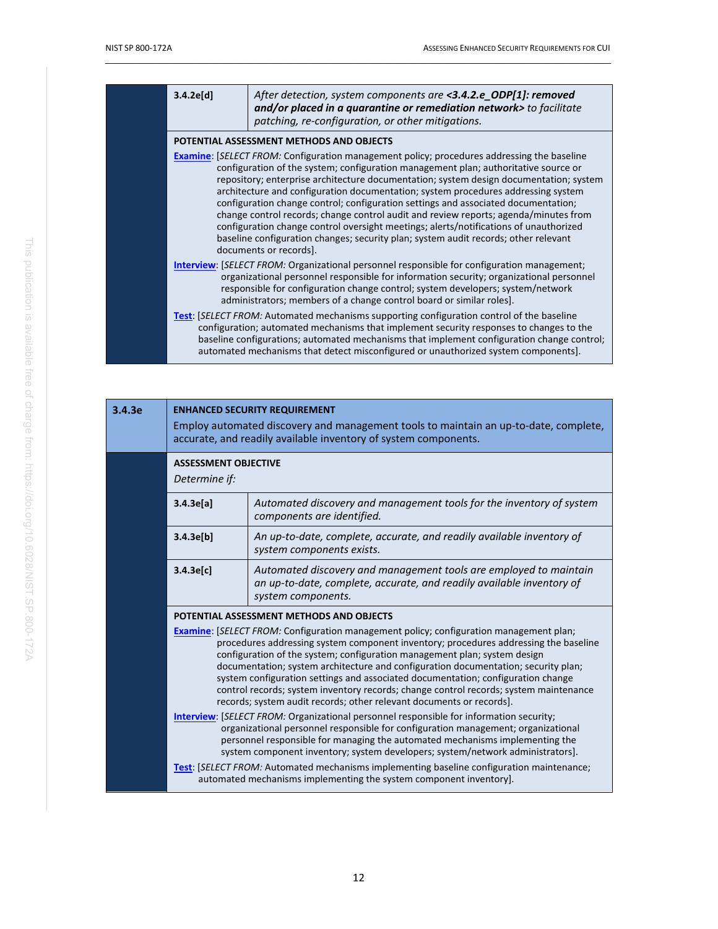| 3.4.2e[d]                                                                                                                                                                                                                                                                                                                                                                                                                                                                                                                                                                                                                                                                                                                                                       | After detection, system components are <3.4.2.e_ODP[1]: removed<br>and/or placed in a quarantine or remediation network> to facilitate<br>patching, re-configuration, or other mitigations.                                                                                                                                                                              |
|-----------------------------------------------------------------------------------------------------------------------------------------------------------------------------------------------------------------------------------------------------------------------------------------------------------------------------------------------------------------------------------------------------------------------------------------------------------------------------------------------------------------------------------------------------------------------------------------------------------------------------------------------------------------------------------------------------------------------------------------------------------------|--------------------------------------------------------------------------------------------------------------------------------------------------------------------------------------------------------------------------------------------------------------------------------------------------------------------------------------------------------------------------|
|                                                                                                                                                                                                                                                                                                                                                                                                                                                                                                                                                                                                                                                                                                                                                                 | POTENTIAL ASSESSMENT METHODS AND OBJECTS                                                                                                                                                                                                                                                                                                                                 |
| <b>Examine:</b> [SELECT FROM: Configuration management policy; procedures addressing the baseline<br>configuration of the system; configuration management plan; authoritative source or<br>repository; enterprise architecture documentation; system design documentation; system<br>architecture and configuration documentation; system procedures addressing system<br>configuration change control; configuration settings and associated documentation;<br>change control records; change control audit and review reports; agenda/minutes from<br>configuration change control oversight meetings; alerts/notifications of unauthorized<br>baseline configuration changes; security plan; system audit records; other relevant<br>documents or records]. |                                                                                                                                                                                                                                                                                                                                                                          |
|                                                                                                                                                                                                                                                                                                                                                                                                                                                                                                                                                                                                                                                                                                                                                                 | <b>Interview:</b> [SELECT FROM: Organizational personnel responsible for configuration management;<br>organizational personnel responsible for information security; organizational personnel<br>responsible for configuration change control; system developers; system/network<br>administrators; members of a change control board or similar roles].                 |
|                                                                                                                                                                                                                                                                                                                                                                                                                                                                                                                                                                                                                                                                                                                                                                 | Test: [SELECT FROM: Automated mechanisms supporting configuration control of the baseline<br>configuration; automated mechanisms that implement security responses to changes to the<br>baseline configurations; automated mechanisms that implement configuration change control;<br>automated mechanisms that detect misconfigured or unauthorized system components]. |

<span id="page-22-0"></span>

| 3.4.3e | <b>ENHANCED SECURITY REQUIREMENT</b><br>Employ automated discovery and management tools to maintain an up-to-date, complete,<br>accurate, and readily available inventory of system components.                                                                                                                                                                                                                                                                                                                                                                                                               |                                                                                                                                                                        |
|--------|---------------------------------------------------------------------------------------------------------------------------------------------------------------------------------------------------------------------------------------------------------------------------------------------------------------------------------------------------------------------------------------------------------------------------------------------------------------------------------------------------------------------------------------------------------------------------------------------------------------|------------------------------------------------------------------------------------------------------------------------------------------------------------------------|
|        | <b>ASSESSMENT OBJECTIVE</b><br>Determine if:                                                                                                                                                                                                                                                                                                                                                                                                                                                                                                                                                                  |                                                                                                                                                                        |
|        | 3.4.3e[a]                                                                                                                                                                                                                                                                                                                                                                                                                                                                                                                                                                                                     | Automated discovery and management tools for the inventory of system<br>components are identified.                                                                     |
|        | 3.4.3e[b]                                                                                                                                                                                                                                                                                                                                                                                                                                                                                                                                                                                                     | An up-to-date, complete, accurate, and readily available inventory of<br>system components exists.                                                                     |
|        | 3.4.3e[c]                                                                                                                                                                                                                                                                                                                                                                                                                                                                                                                                                                                                     | Automated discovery and management tools are employed to maintain<br>an up-to-date, complete, accurate, and readily available inventory of<br>system components.       |
|        |                                                                                                                                                                                                                                                                                                                                                                                                                                                                                                                                                                                                               | POTENTIAL ASSESSMENT METHODS AND OBJECTS                                                                                                                               |
|        | <b>Examine:</b> [SELECT FROM: Configuration management policy; configuration management plan;<br>procedures addressing system component inventory; procedures addressing the baseline<br>configuration of the system; configuration management plan; system design<br>documentation; system architecture and configuration documentation; security plan;<br>system configuration settings and associated documentation; configuration change<br>control records; system inventory records; change control records; system maintenance<br>records; system audit records; other relevant documents or records]. |                                                                                                                                                                        |
|        | <b>Interview: [SELECT FROM: Organizational personnel responsible for information security;</b><br>organizational personnel responsible for configuration management; organizational<br>personnel responsible for managing the automated mechanisms implementing the<br>system component inventory; system developers; system/network administrators].                                                                                                                                                                                                                                                         |                                                                                                                                                                        |
|        |                                                                                                                                                                                                                                                                                                                                                                                                                                                                                                                                                                                                               | <b>Test:</b> [SELECT FROM: Automated mechanisms implementing baseline configuration maintenance;<br>automated mechanisms implementing the system component inventory]. |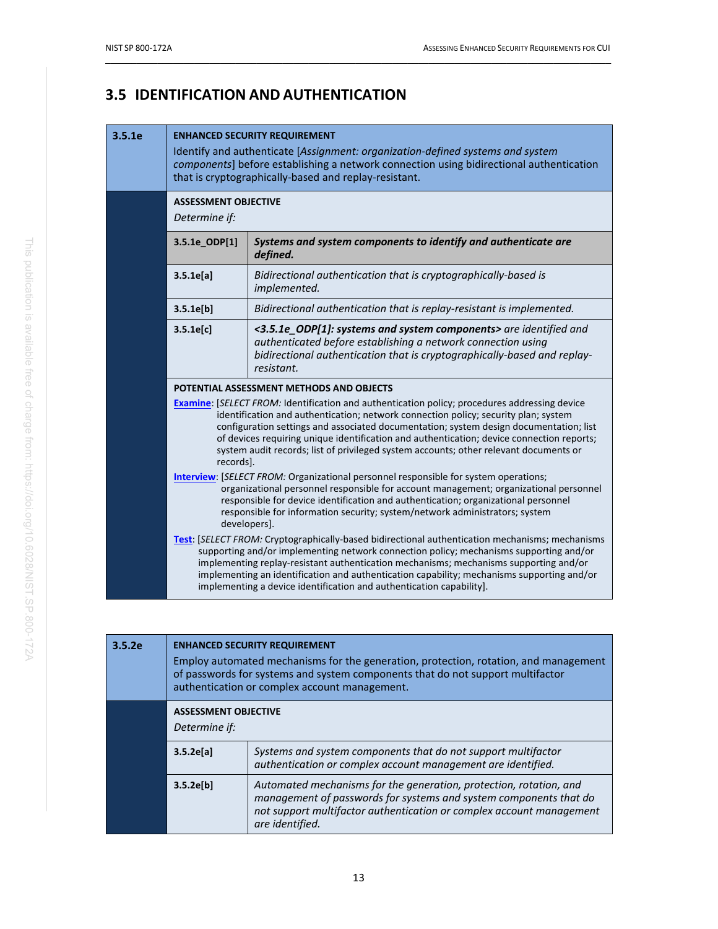# **3.5 IDENTIFICATION AND AUTHENTICATION**

#### **3.5.1e ENHANCED SECURITY REQUIREMENT**

Identify and authenticate [*Assignment: organization-defined systems and system components*] before establishing a network connection using bidirectional authentication that is cryptographically-based and replay-resistant.

 $\_$  ,  $\_$  ,  $\_$  ,  $\_$  ,  $\_$  ,  $\_$  ,  $\_$  ,  $\_$  ,  $\_$  ,  $\_$  ,  $\_$  ,  $\_$  ,  $\_$  ,  $\_$  ,  $\_$  ,  $\_$  ,  $\_$  ,  $\_$  ,  $\_$  ,  $\_$  ,  $\_$  ,  $\_$  ,  $\_$  ,  $\_$  ,  $\_$  ,  $\_$  ,  $\_$  ,  $\_$  ,  $\_$  ,  $\_$  ,  $\_$  ,  $\_$  ,  $\_$  ,  $\_$  ,  $\_$  ,  $\_$  ,  $\_$  ,

**ASSESSMENT OBJECTIVE**

*Determine if:*

| יוי שנווווווי ושי                                                                                                                                                                                                                                                                                                                                                                                                                                               |                                                                                                                                                                                                                                                                                                                                                                                                                                                                             |  |
|-----------------------------------------------------------------------------------------------------------------------------------------------------------------------------------------------------------------------------------------------------------------------------------------------------------------------------------------------------------------------------------------------------------------------------------------------------------------|-----------------------------------------------------------------------------------------------------------------------------------------------------------------------------------------------------------------------------------------------------------------------------------------------------------------------------------------------------------------------------------------------------------------------------------------------------------------------------|--|
| 3.5.1e_ODP[1]                                                                                                                                                                                                                                                                                                                                                                                                                                                   | Systems and system components to identify and authenticate are<br>defined.                                                                                                                                                                                                                                                                                                                                                                                                  |  |
| 3.5.1e[a]                                                                                                                                                                                                                                                                                                                                                                                                                                                       | Bidirectional authentication that is cryptographically-based is<br>implemented.                                                                                                                                                                                                                                                                                                                                                                                             |  |
| 3.5.1e[b]                                                                                                                                                                                                                                                                                                                                                                                                                                                       | Bidirectional authentication that is replay-resistant is implemented.                                                                                                                                                                                                                                                                                                                                                                                                       |  |
| 3.5.1e[c]                                                                                                                                                                                                                                                                                                                                                                                                                                                       | <3.5.1e_ODP[1]: systems and system components> are identified and<br>authenticated before establishing a network connection using<br>bidirectional authentication that is cryptographically-based and replay-<br>resistant.                                                                                                                                                                                                                                                 |  |
|                                                                                                                                                                                                                                                                                                                                                                                                                                                                 | POTENTIAL ASSESSMENT METHODS AND OBJECTS                                                                                                                                                                                                                                                                                                                                                                                                                                    |  |
| records].                                                                                                                                                                                                                                                                                                                                                                                                                                                       | <b>Examine:</b> [SELECT FROM: Identification and authentication policy; procedures addressing device<br>identification and authentication; network connection policy; security plan; system<br>configuration settings and associated documentation; system design documentation; list<br>of devices requiring unique identification and authentication; device connection reports;<br>system audit records; list of privileged system accounts; other relevant documents or |  |
|                                                                                                                                                                                                                                                                                                                                                                                                                                                                 | <b>Interview:</b> [SELECT FROM: Organizational personnel responsible for system operations;<br>organizational personnel responsible for account management; organizational personnel<br>responsible for device identification and authentication; organizational personnel<br>responsible for information security; system/network administrators; system<br>developers].                                                                                                   |  |
| <b>Test:</b> [SELECT FROM: Cryptographically-based bidirectional authentication mechanisms; mechanisms<br>supporting and/or implementing network connection policy; mechanisms supporting and/or<br>implementing replay-resistant authentication mechanisms; mechanisms supporting and/or<br>implementing an identification and authentication capability; mechanisms supporting and/or<br>implementing a device identification and authentication capability]. |                                                                                                                                                                                                                                                                                                                                                                                                                                                                             |  |
|                                                                                                                                                                                                                                                                                                                                                                                                                                                                 |                                                                                                                                                                                                                                                                                                                                                                                                                                                                             |  |

| 3.5.2e | <b>ENHANCED SECURITY REQUIREMENT</b><br>Employ automated mechanisms for the generation, protection, rotation, and management<br>of passwords for systems and system components that do not support multifactor<br>authentication or complex account management. |                                                                                                                                                                                                                                    |
|--------|-----------------------------------------------------------------------------------------------------------------------------------------------------------------------------------------------------------------------------------------------------------------|------------------------------------------------------------------------------------------------------------------------------------------------------------------------------------------------------------------------------------|
|        | <b>ASSESSMENT OBJECTIVE</b><br>Determine if:                                                                                                                                                                                                                    |                                                                                                                                                                                                                                    |
|        | 3.5.2e[a]                                                                                                                                                                                                                                                       | Systems and system components that do not support multifactor<br>authentication or complex account management are identified.                                                                                                      |
|        | 3.5.2e[b]                                                                                                                                                                                                                                                       | Automated mechanisms for the generation, protection, rotation, and<br>management of passwords for systems and system components that do<br>not support multifactor authentication or complex account management<br>are identified. |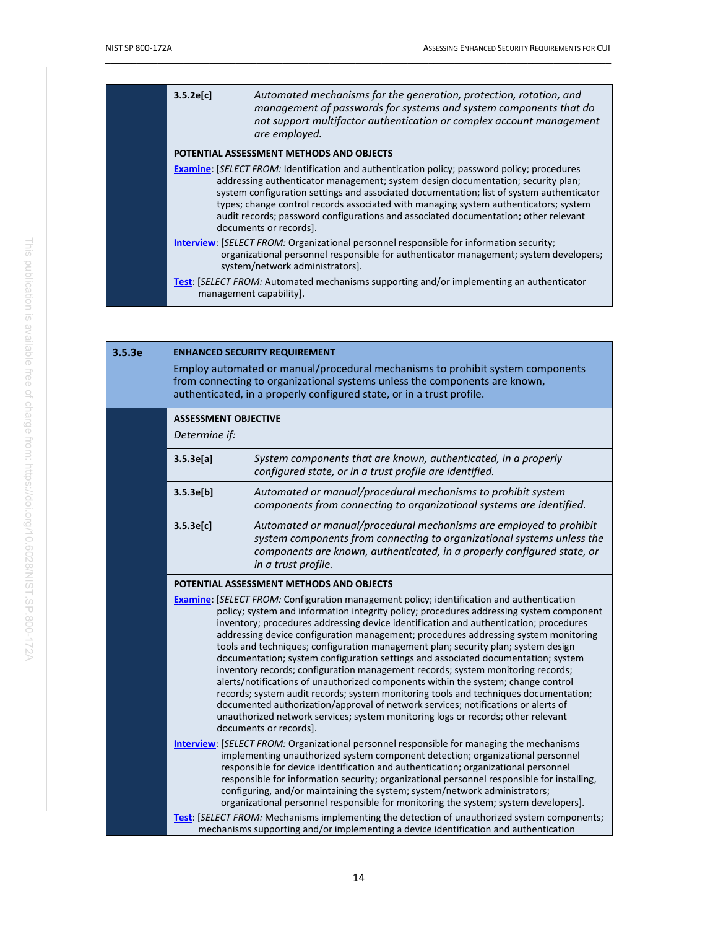| 3.5.2e[c]                                                                                                                                                                                                                                                                                                                                                                                                                                                                                    | Automated mechanisms for the generation, protection, rotation, and<br>management of passwords for systems and system components that do<br>not support multifactor authentication or complex account management<br>are employed. |
|----------------------------------------------------------------------------------------------------------------------------------------------------------------------------------------------------------------------------------------------------------------------------------------------------------------------------------------------------------------------------------------------------------------------------------------------------------------------------------------------|----------------------------------------------------------------------------------------------------------------------------------------------------------------------------------------------------------------------------------|
|                                                                                                                                                                                                                                                                                                                                                                                                                                                                                              | POTENTIAL ASSESSMENT METHODS AND OBJECTS                                                                                                                                                                                         |
| <b>Examine:</b> [SELECT FROM: Identification and authentication policy; password policy; procedures<br>addressing authenticator management; system design documentation; security plan;<br>system configuration settings and associated documentation; list of system authenticator<br>types; change control records associated with managing system authenticators; system<br>audit records; password configurations and associated documentation; other relevant<br>documents or records]. |                                                                                                                                                                                                                                  |
| <b>Interview: [SELECT FROM: Organizational personnel responsible for information security;</b><br>organizational personnel responsible for authenticator management; system developers;<br>system/network administrators].                                                                                                                                                                                                                                                                   |                                                                                                                                                                                                                                  |
|                                                                                                                                                                                                                                                                                                                                                                                                                                                                                              | <b>Test:</b> [SELECT FROM: Automated mechanisms supporting and/or implementing an authenticator<br>management capability].                                                                                                       |

| 3.5.3e | <b>ENHANCED SECURITY REQUIREMENT</b><br>Employ automated or manual/procedural mechanisms to prohibit system components<br>from connecting to organizational systems unless the components are known,<br>authenticated, in a properly configured state, or in a trust profile.                                                                                                                                                                                                                                                                                                                                                                                                                                                                                                                                                                                                                                                                                                                                                                                        |                                                                                                                                                                                                                                                |
|--------|----------------------------------------------------------------------------------------------------------------------------------------------------------------------------------------------------------------------------------------------------------------------------------------------------------------------------------------------------------------------------------------------------------------------------------------------------------------------------------------------------------------------------------------------------------------------------------------------------------------------------------------------------------------------------------------------------------------------------------------------------------------------------------------------------------------------------------------------------------------------------------------------------------------------------------------------------------------------------------------------------------------------------------------------------------------------|------------------------------------------------------------------------------------------------------------------------------------------------------------------------------------------------------------------------------------------------|
|        | <b>ASSESSMENT OBJECTIVE</b><br>Determine if:                                                                                                                                                                                                                                                                                                                                                                                                                                                                                                                                                                                                                                                                                                                                                                                                                                                                                                                                                                                                                         |                                                                                                                                                                                                                                                |
|        | 3.5.3e[a]                                                                                                                                                                                                                                                                                                                                                                                                                                                                                                                                                                                                                                                                                                                                                                                                                                                                                                                                                                                                                                                            | System components that are known, authenticated, in a properly<br>configured state, or in a trust profile are identified.                                                                                                                      |
|        | 3.5.3e[b]                                                                                                                                                                                                                                                                                                                                                                                                                                                                                                                                                                                                                                                                                                                                                                                                                                                                                                                                                                                                                                                            | Automated or manual/procedural mechanisms to prohibit system<br>components from connecting to organizational systems are identified.                                                                                                           |
|        | 3.5.3e[c]                                                                                                                                                                                                                                                                                                                                                                                                                                                                                                                                                                                                                                                                                                                                                                                                                                                                                                                                                                                                                                                            | Automated or manual/procedural mechanisms are employed to prohibit<br>system components from connecting to organizational systems unless the<br>components are known, authenticated, in a properly configured state, or<br>in a trust profile. |
|        | POTENTIAL ASSESSMENT METHODS AND OBJECTS<br><b>Examine:</b> [SELECT FROM: Configuration management policy; identification and authentication<br>policy; system and information integrity policy; procedures addressing system component<br>inventory; procedures addressing device identification and authentication; procedures<br>addressing device configuration management; procedures addressing system monitoring<br>tools and techniques; configuration management plan; security plan; system design<br>documentation; system configuration settings and associated documentation; system<br>inventory records; configuration management records; system monitoring records;<br>alerts/notifications of unauthorized components within the system; change control<br>records; system audit records; system monitoring tools and techniques documentation;<br>documented authorization/approval of network services; notifications or alerts of<br>unauthorized network services; system monitoring logs or records; other relevant<br>documents or records]. |                                                                                                                                                                                                                                                |
|        | <b>Interview:</b> [SELECT FROM: Organizational personnel responsible for managing the mechanisms<br>implementing unauthorized system component detection; organizational personnel<br>responsible for device identification and authentication; organizational personnel<br>responsible for information security; organizational personnel responsible for installing,<br>configuring, and/or maintaining the system; system/network administrators;<br>organizational personnel responsible for monitoring the system; system developers].                                                                                                                                                                                                                                                                                                                                                                                                                                                                                                                          |                                                                                                                                                                                                                                                |
|        |                                                                                                                                                                                                                                                                                                                                                                                                                                                                                                                                                                                                                                                                                                                                                                                                                                                                                                                                                                                                                                                                      | Test: [SELECT FROM: Mechanisms implementing the detection of unauthorized system components;<br>mechanisms supporting and/or implementing a device identification and authentication                                                           |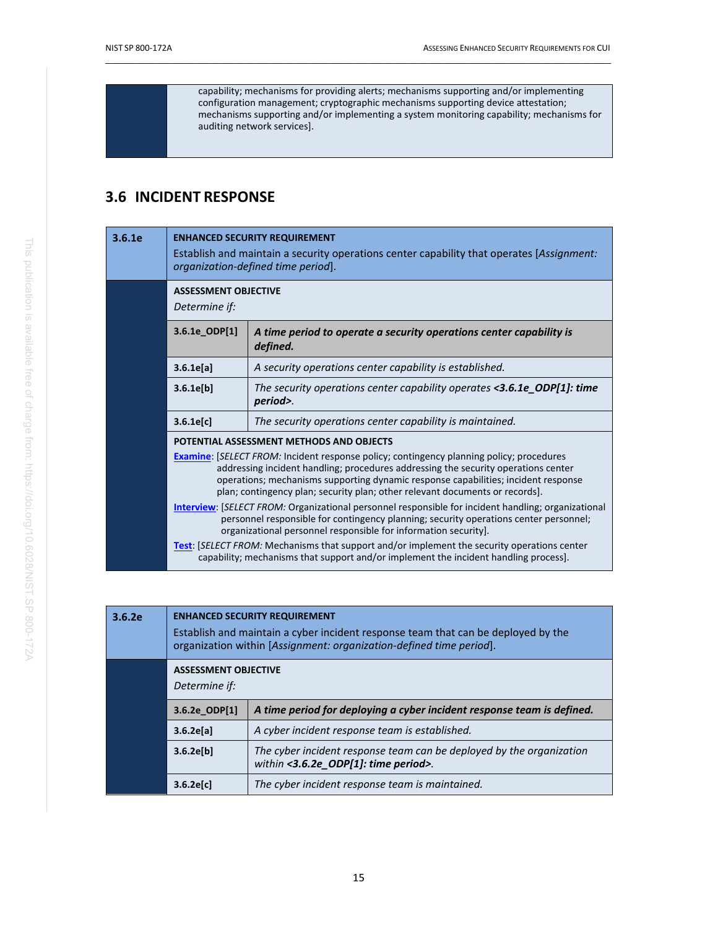capability; mechanisms for providing alerts; mechanisms supporting and/or implementing configuration management; cryptographic mechanisms supporting device attestation; mechanisms supporting and/or implementing a system monitoring capability; mechanisms for auditing network services].

 $\_$  ,  $\_$  ,  $\_$  ,  $\_$  ,  $\_$  ,  $\_$  ,  $\_$  ,  $\_$  ,  $\_$  ,  $\_$  ,  $\_$  ,  $\_$  ,  $\_$  ,  $\_$  ,  $\_$  ,  $\_$  ,  $\_$  ,  $\_$  ,  $\_$  ,  $\_$  ,  $\_$  ,  $\_$  ,  $\_$  ,  $\_$  ,  $\_$  ,  $\_$  ,  $\_$  ,  $\_$  ,  $\_$  ,  $\_$  ,  $\_$  ,  $\_$  ,  $\_$  ,  $\_$  ,  $\_$  ,  $\_$  ,  $\_$  ,

### <span id="page-25-0"></span>**3.6 INCIDENT RESPONSE**

| 3.6.1e | <b>ENHANCED SECURITY REQUIREMENT</b><br>Establish and maintain a security operations center capability that operates [Assignment:<br>organization-defined time period].                                                                                                                                                                                                                                                                                                                                                                                                                                                               |                                                                                                                                                                                            |
|--------|---------------------------------------------------------------------------------------------------------------------------------------------------------------------------------------------------------------------------------------------------------------------------------------------------------------------------------------------------------------------------------------------------------------------------------------------------------------------------------------------------------------------------------------------------------------------------------------------------------------------------------------|--------------------------------------------------------------------------------------------------------------------------------------------------------------------------------------------|
|        | <b>ASSESSMENT OBJECTIVE</b><br>Determine if:                                                                                                                                                                                                                                                                                                                                                                                                                                                                                                                                                                                          |                                                                                                                                                                                            |
|        | 3.6.1e_ODP[1]                                                                                                                                                                                                                                                                                                                                                                                                                                                                                                                                                                                                                         | A time period to operate a security operations center capability is<br>defined.                                                                                                            |
|        | 3.6.1e[a]                                                                                                                                                                                                                                                                                                                                                                                                                                                                                                                                                                                                                             | A security operations center capability is established.                                                                                                                                    |
|        | 3.6.1e[b]                                                                                                                                                                                                                                                                                                                                                                                                                                                                                                                                                                                                                             | The security operations center capability operates <3.6.1e ODP[1]: time<br>period>.                                                                                                        |
|        | 3.6.1e[c]                                                                                                                                                                                                                                                                                                                                                                                                                                                                                                                                                                                                                             | The security operations center capability is maintained.                                                                                                                                   |
|        |                                                                                                                                                                                                                                                                                                                                                                                                                                                                                                                                                                                                                                       | POTENTIAL ASSESSMENT METHODS AND OBJECTS                                                                                                                                                   |
|        | <b>Examine:</b> [SELECT FROM: Incident response policy; contingency planning policy; procedures<br>addressing incident handling; procedures addressing the security operations center<br>operations; mechanisms supporting dynamic response capabilities; incident response<br>plan; contingency plan; security plan; other relevant documents or records].<br><b>Interview:</b> [SELECT FROM: Organizational personnel responsible for incident handling; organizational<br>personnel responsible for contingency planning; security operations center personnel;<br>organizational personnel responsible for information security]. |                                                                                                                                                                                            |
|        |                                                                                                                                                                                                                                                                                                                                                                                                                                                                                                                                                                                                                                       |                                                                                                                                                                                            |
|        |                                                                                                                                                                                                                                                                                                                                                                                                                                                                                                                                                                                                                                       | <b>Test:</b> [SELECT FROM: Mechanisms that support and/or implement the security operations center<br>capability; mechanisms that support and/or implement the incident handling process]. |

| 3.6.2e | <b>ENHANCED SECURITY REQUIREMENT</b><br>Establish and maintain a cyber incident response team that can be deployed by the<br>organization within [Assignment: organization-defined time period]. |                                                                                                              |
|--------|--------------------------------------------------------------------------------------------------------------------------------------------------------------------------------------------------|--------------------------------------------------------------------------------------------------------------|
|        | <b>ASSESSMENT OBJECTIVE</b><br>Determine if:                                                                                                                                                     |                                                                                                              |
|        | 3.6.2e ODP[1]                                                                                                                                                                                    | A time period for deploying a cyber incident response team is defined.                                       |
|        | 3.6.2e[a]                                                                                                                                                                                        | A cyber incident response team is established.                                                               |
|        | 3.6.2e[b]                                                                                                                                                                                        | The cyber incident response team can be deployed by the organization<br>within <3.6.2e_ODP[1]: time period>. |
|        | 3.6.2e[c]                                                                                                                                                                                        | The cyber incident response team is maintained.                                                              |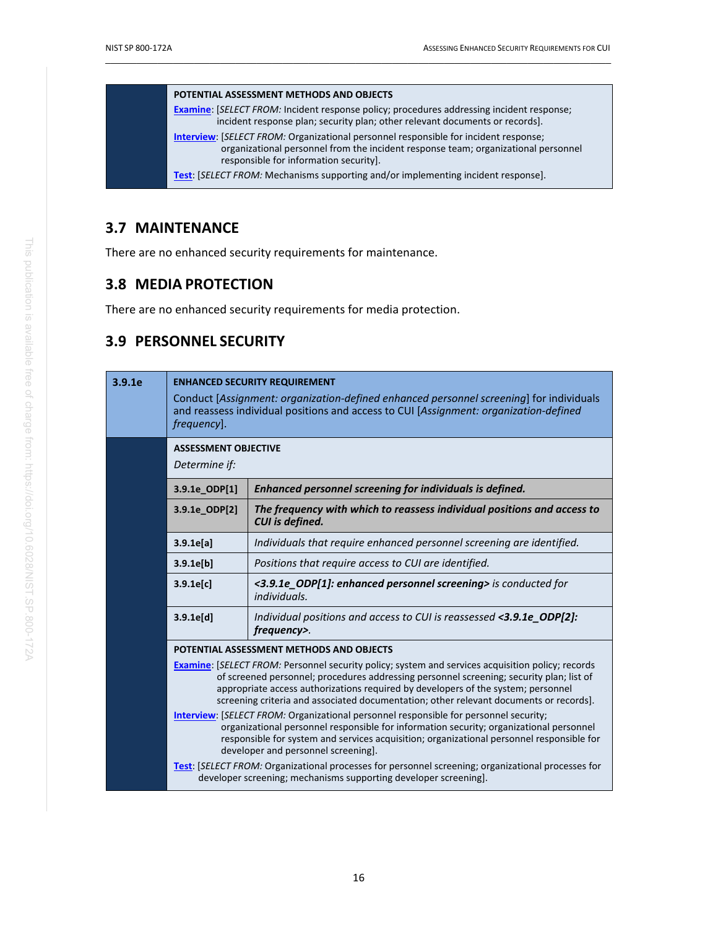#### **POTENTIAL ASSESSMENT METHODS AND OBJECTS**

**[Examine](#page-56-0)**: [*SELECT FROM:* Incident response policy; procedures addressing incident response; incident response plan; security plan; other relevant documents or records].

**[Interview](#page-58-0)**: [*SELECT FROM:* Organizational personnel responsible for incident response; organizational personnel from the incident response team; organizational personnel responsible for information security].

**[Test](#page-60-0)**: [*SELECT FROM:* Mechanisms supporting and/or implementing incident response].

 $\_$  ,  $\_$  ,  $\_$  ,  $\_$  ,  $\_$  ,  $\_$  ,  $\_$  ,  $\_$  ,  $\_$  ,  $\_$  ,  $\_$  ,  $\_$  ,  $\_$  ,  $\_$  ,  $\_$  ,  $\_$  ,  $\_$  ,  $\_$  ,  $\_$  ,  $\_$  ,  $\_$  ,  $\_$  ,  $\_$  ,  $\_$  ,  $\_$  ,  $\_$  ,  $\_$  ,  $\_$  ,  $\_$  ,  $\_$  ,  $\_$  ,  $\_$  ,  $\_$  ,  $\_$  ,  $\_$  ,  $\_$  ,  $\_$  ,

### <span id="page-26-0"></span>**3.7 MAINTENANCE**

There are no enhanced security requirements for maintenance.

### <span id="page-26-1"></span>**3.8 MEDIA PROTECTION**

There are no enhanced security requirements for media protection.

### <span id="page-26-2"></span>**3.9 PERSONNEL SECURITY**

| 3.9.1e | <b>ENHANCED SECURITY REQUIREMENT</b><br>Conduct [Assignment: organization-defined enhanced personnel screening] for individuals<br>and reassess individual positions and access to CUI [Assignment: organization-defined<br>frequency].                                                                                                                                                                                                                                                                                                                                                                                                                                                                                                                                                                                                                                                                                                         |                                                                                                   |
|--------|-------------------------------------------------------------------------------------------------------------------------------------------------------------------------------------------------------------------------------------------------------------------------------------------------------------------------------------------------------------------------------------------------------------------------------------------------------------------------------------------------------------------------------------------------------------------------------------------------------------------------------------------------------------------------------------------------------------------------------------------------------------------------------------------------------------------------------------------------------------------------------------------------------------------------------------------------|---------------------------------------------------------------------------------------------------|
|        | <b>ASSESSMENT OBJECTIVE</b><br>Determine if:                                                                                                                                                                                                                                                                                                                                                                                                                                                                                                                                                                                                                                                                                                                                                                                                                                                                                                    |                                                                                                   |
|        | 3.9.1e_ODP[1]                                                                                                                                                                                                                                                                                                                                                                                                                                                                                                                                                                                                                                                                                                                                                                                                                                                                                                                                   | Enhanced personnel screening for individuals is defined.                                          |
|        | 3.9.1e_ODP[2]                                                                                                                                                                                                                                                                                                                                                                                                                                                                                                                                                                                                                                                                                                                                                                                                                                                                                                                                   | The frequency with which to reassess individual positions and access to<br><b>CUI</b> is defined. |
|        | 3.9.1e[a]                                                                                                                                                                                                                                                                                                                                                                                                                                                                                                                                                                                                                                                                                                                                                                                                                                                                                                                                       | Individuals that require enhanced personnel screening are identified.                             |
|        | 3.9.1e[b]                                                                                                                                                                                                                                                                                                                                                                                                                                                                                                                                                                                                                                                                                                                                                                                                                                                                                                                                       | Positions that require access to CUI are identified.                                              |
|        | 3.9.1e[c]                                                                                                                                                                                                                                                                                                                                                                                                                                                                                                                                                                                                                                                                                                                                                                                                                                                                                                                                       | <3.9.1e_ODP[1]: enhanced personnel screening> is conducted for<br>individuals.                    |
|        | 3.9.1e[d]                                                                                                                                                                                                                                                                                                                                                                                                                                                                                                                                                                                                                                                                                                                                                                                                                                                                                                                                       | Individual positions and access to CUI is reassessed <3.9.1e_ODP[2]:<br>frequency>.               |
|        | POTENTIAL ASSESSMENT METHODS AND OBJECTS<br><b>Examine:</b> [SELECT FROM: Personnel security policy; system and services acquisition policy; records<br>of screened personnel; procedures addressing personnel screening; security plan; list of<br>appropriate access authorizations required by developers of the system; personnel<br>screening criteria and associated documentation; other relevant documents or records].<br><b>Interview:</b> [SELECT FROM: Organizational personnel responsible for personnel security;<br>organizational personnel responsible for information security; organizational personnel<br>responsible for system and services acquisition; organizational personnel responsible for<br>developer and personnel screening].<br><b>Test:</b> [SELECT FROM: Organizational processes for personnel screening; organizational processes for<br>developer screening; mechanisms supporting developer screening]. |                                                                                                   |
|        |                                                                                                                                                                                                                                                                                                                                                                                                                                                                                                                                                                                                                                                                                                                                                                                                                                                                                                                                                 |                                                                                                   |
|        |                                                                                                                                                                                                                                                                                                                                                                                                                                                                                                                                                                                                                                                                                                                                                                                                                                                                                                                                                 |                                                                                                   |
|        |                                                                                                                                                                                                                                                                                                                                                                                                                                                                                                                                                                                                                                                                                                                                                                                                                                                                                                                                                 |                                                                                                   |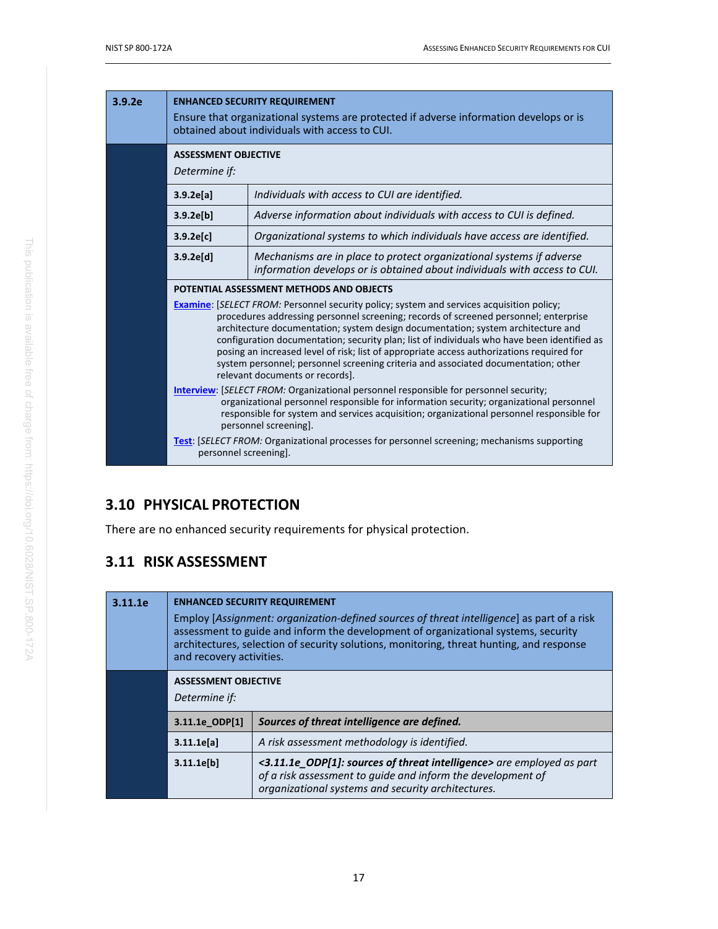| 3.9.2e | <b>ENHANCED SECURITY REQUIREMENT</b><br>Ensure that organizational systems are protected if adverse information develops or is<br>obtained about individuals with access to CUI.                                                                                                                                                                                                                                                                                                                                                                                                                                                                                                                                                                                                                                                                                                                                   |                                                                                                                                                   |
|--------|--------------------------------------------------------------------------------------------------------------------------------------------------------------------------------------------------------------------------------------------------------------------------------------------------------------------------------------------------------------------------------------------------------------------------------------------------------------------------------------------------------------------------------------------------------------------------------------------------------------------------------------------------------------------------------------------------------------------------------------------------------------------------------------------------------------------------------------------------------------------------------------------------------------------|---------------------------------------------------------------------------------------------------------------------------------------------------|
|        | <b>ASSESSMENT OBJECTIVE</b><br>Determine if:                                                                                                                                                                                                                                                                                                                                                                                                                                                                                                                                                                                                                                                                                                                                                                                                                                                                       |                                                                                                                                                   |
|        | 3.9.2e[a]                                                                                                                                                                                                                                                                                                                                                                                                                                                                                                                                                                                                                                                                                                                                                                                                                                                                                                          | Individuals with access to CUI are identified.                                                                                                    |
|        | 3.9.2e[b]                                                                                                                                                                                                                                                                                                                                                                                                                                                                                                                                                                                                                                                                                                                                                                                                                                                                                                          | Adverse information about individuals with access to CUI is defined.                                                                              |
|        | 3.9.2e[c]                                                                                                                                                                                                                                                                                                                                                                                                                                                                                                                                                                                                                                                                                                                                                                                                                                                                                                          | Organizational systems to which individuals have access are identified.                                                                           |
|        | 3.9.2e[d]                                                                                                                                                                                                                                                                                                                                                                                                                                                                                                                                                                                                                                                                                                                                                                                                                                                                                                          | Mechanisms are in place to protect organizational systems if adverse<br>information develops or is obtained about individuals with access to CUI. |
|        |                                                                                                                                                                                                                                                                                                                                                                                                                                                                                                                                                                                                                                                                                                                                                                                                                                                                                                                    | POTENTIAL ASSESSMENT METHODS AND OBJECTS                                                                                                          |
|        | <b>Examine:</b> [SELECT FROM: Personnel security policy; system and services acquisition policy;<br>procedures addressing personnel screening; records of screened personnel; enterprise<br>architecture documentation; system design documentation; system architecture and<br>configuration documentation; security plan; list of individuals who have been identified as<br>posing an increased level of risk; list of appropriate access authorizations required for<br>system personnel; personnel screening criteria and associated documentation; other<br>relevant documents or records].<br><b>Interview:</b> [SELECT FROM: Organizational personnel responsible for personnel security;<br>organizational personnel responsible for information security; organizational personnel<br>responsible for system and services acquisition; organizational personnel responsible for<br>personnel screening]. |                                                                                                                                                   |
|        |                                                                                                                                                                                                                                                                                                                                                                                                                                                                                                                                                                                                                                                                                                                                                                                                                                                                                                                    |                                                                                                                                                   |
|        | personnel screening].                                                                                                                                                                                                                                                                                                                                                                                                                                                                                                                                                                                                                                                                                                                                                                                                                                                                                              | <b>Test:</b> [SELECT FROM: Organizational processes for personnel screening; mechanisms supporting                                                |

# <span id="page-27-0"></span>**3.10 PHYSICAL PROTECTION**

There are no enhanced security requirements for physical protection.

# <span id="page-27-1"></span>**3.11 RISK ASSESSMENT**

| 3.11.1e                                                       | <b>ENHANCED SECURITY REQUIREMENT</b><br>Employ [Assignment: organization-defined sources of threat intelligence] as part of a risk<br>assessment to guide and inform the development of organizational systems, security<br>architectures, selection of security solutions, monitoring, threat hunting, and response<br>and recovery activities. |                                                                                                                                                                                            |
|---------------------------------------------------------------|--------------------------------------------------------------------------------------------------------------------------------------------------------------------------------------------------------------------------------------------------------------------------------------------------------------------------------------------------|--------------------------------------------------------------------------------------------------------------------------------------------------------------------------------------------|
|                                                               | <b>ASSESSMENT OBJECTIVE</b><br>Determine if:                                                                                                                                                                                                                                                                                                     |                                                                                                                                                                                            |
| Sources of threat intelligence are defined.<br>3.11.1e ODP[1] |                                                                                                                                                                                                                                                                                                                                                  |                                                                                                                                                                                            |
|                                                               | 3.11.1e[a]                                                                                                                                                                                                                                                                                                                                       | A risk assessment methodology is identified.                                                                                                                                               |
|                                                               | 3.11.1e[b]                                                                                                                                                                                                                                                                                                                                       | <3.11.1e_ODP[1]: sources of threat intelligence> are employed as part<br>of a risk assessment to guide and inform the development of<br>organizational systems and security architectures. |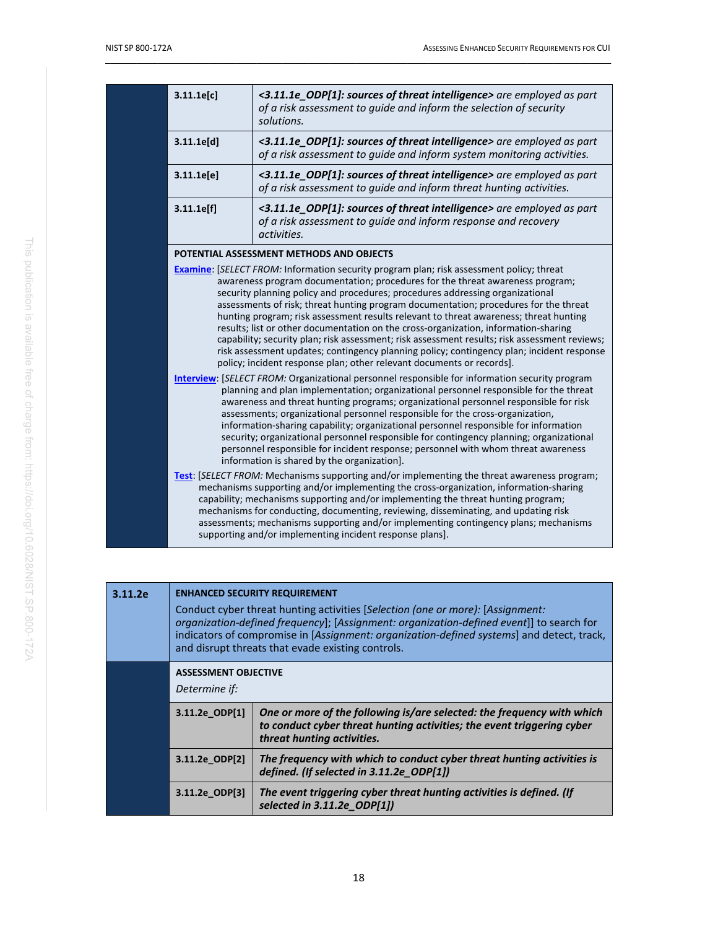| 3.11.1e[c]                                                                                                                                                                                                                                                                                                                                                                                                                                                                                                                                                                                                                                                                                                                                                                                                       | <3.11.1e_ODP[1]: sources of threat intelligence> are employed as part<br>of a risk assessment to guide and inform the selection of security<br>solutions.                                                                                                                                                                                                                                                                                                                                                            |  |
|------------------------------------------------------------------------------------------------------------------------------------------------------------------------------------------------------------------------------------------------------------------------------------------------------------------------------------------------------------------------------------------------------------------------------------------------------------------------------------------------------------------------------------------------------------------------------------------------------------------------------------------------------------------------------------------------------------------------------------------------------------------------------------------------------------------|----------------------------------------------------------------------------------------------------------------------------------------------------------------------------------------------------------------------------------------------------------------------------------------------------------------------------------------------------------------------------------------------------------------------------------------------------------------------------------------------------------------------|--|
| 3.11.1e[d]                                                                                                                                                                                                                                                                                                                                                                                                                                                                                                                                                                                                                                                                                                                                                                                                       | <3.11.1e_ODP[1]: sources of threat intelligence> are employed as part<br>of a risk assessment to guide and inform system monitoring activities.                                                                                                                                                                                                                                                                                                                                                                      |  |
| 3.11.1e[e]                                                                                                                                                                                                                                                                                                                                                                                                                                                                                                                                                                                                                                                                                                                                                                                                       | <3.11.1e_ODP[1]: sources of threat intelligence> are employed as part<br>of a risk assessment to guide and inform threat hunting activities.                                                                                                                                                                                                                                                                                                                                                                         |  |
| 3.11.1e[f]                                                                                                                                                                                                                                                                                                                                                                                                                                                                                                                                                                                                                                                                                                                                                                                                       | <3.11.1e_ODP[1]: sources of threat intelligence> are employed as part<br>of a risk assessment to guide and inform response and recovery<br>activities.                                                                                                                                                                                                                                                                                                                                                               |  |
|                                                                                                                                                                                                                                                                                                                                                                                                                                                                                                                                                                                                                                                                                                                                                                                                                  | POTENTIAL ASSESSMENT METHODS AND OBJECTS                                                                                                                                                                                                                                                                                                                                                                                                                                                                             |  |
| <b>Examine:</b> [SELECT FROM: Information security program plan; risk assessment policy; threat<br>awareness program documentation; procedures for the threat awareness program;<br>security planning policy and procedures; procedures addressing organizational<br>assessments of risk; threat hunting program documentation; procedures for the threat<br>hunting program; risk assessment results relevant to threat awareness; threat hunting<br>results; list or other documentation on the cross-organization, information-sharing<br>capability; security plan; risk assessment; risk assessment results; risk assessment reviews;<br>risk assessment updates; contingency planning policy; contingency plan; incident response<br>policy; incident response plan; other relevant documents or records]. |                                                                                                                                                                                                                                                                                                                                                                                                                                                                                                                      |  |
| <b>Interview:</b> [SELECT FROM: Organizational personnel responsible for information security program<br>planning and plan implementation; organizational personnel responsible for the threat<br>awareness and threat hunting programs; organizational personnel responsible for risk<br>assessments; organizational personnel responsible for the cross-organization,<br>information-sharing capability; organizational personnel responsible for information<br>security; organizational personnel responsible for contingency planning; organizational<br>personnel responsible for incident response; personnel with whom threat awareness<br>information is shared by the organization].                                                                                                                   |                                                                                                                                                                                                                                                                                                                                                                                                                                                                                                                      |  |
|                                                                                                                                                                                                                                                                                                                                                                                                                                                                                                                                                                                                                                                                                                                                                                                                                  | Test: [SELECT FROM: Mechanisms supporting and/or implementing the threat awareness program;<br>mechanisms supporting and/or implementing the cross-organization, information-sharing<br>capability; mechanisms supporting and/or implementing the threat hunting program;<br>mechanisms for conducting, documenting, reviewing, disseminating, and updating risk<br>assessments; mechanisms supporting and/or implementing contingency plans; mechanisms<br>supporting and/or implementing incident response plans]. |  |

| 3.11.2e | <b>ENHANCED SECURITY REQUIREMENT</b><br>Conduct cyber threat hunting activities [Selection (one or more): [Assignment:<br>organization-defined frequency]; [Assignment: organization-defined event]] to search for<br>indicators of compromise in [Assignment: organization-defined systems] and detect, track,<br>and disrupt threats that evade existing controls. |                                                                                                                                                                                |
|---------|----------------------------------------------------------------------------------------------------------------------------------------------------------------------------------------------------------------------------------------------------------------------------------------------------------------------------------------------------------------------|--------------------------------------------------------------------------------------------------------------------------------------------------------------------------------|
|         | <b>ASSESSMENT OBJECTIVE</b><br>Determine if:                                                                                                                                                                                                                                                                                                                         |                                                                                                                                                                                |
|         | 3.11.2e ODP[1]                                                                                                                                                                                                                                                                                                                                                       | One or more of the following is/are selected: the frequency with which<br>to conduct cyber threat hunting activities; the event triggering cyber<br>threat hunting activities. |
|         | 3.11.2e ODP[2]                                                                                                                                                                                                                                                                                                                                                       | The frequency with which to conduct cyber threat hunting activities is<br>defined. (If selected in 3.11.2e ODP[1])                                                             |
|         | 3.11.2e ODP[3]                                                                                                                                                                                                                                                                                                                                                       | The event triggering cyber threat hunting activities is defined. (If<br>selected in $3.11.2e$ ODP $[1]$                                                                        |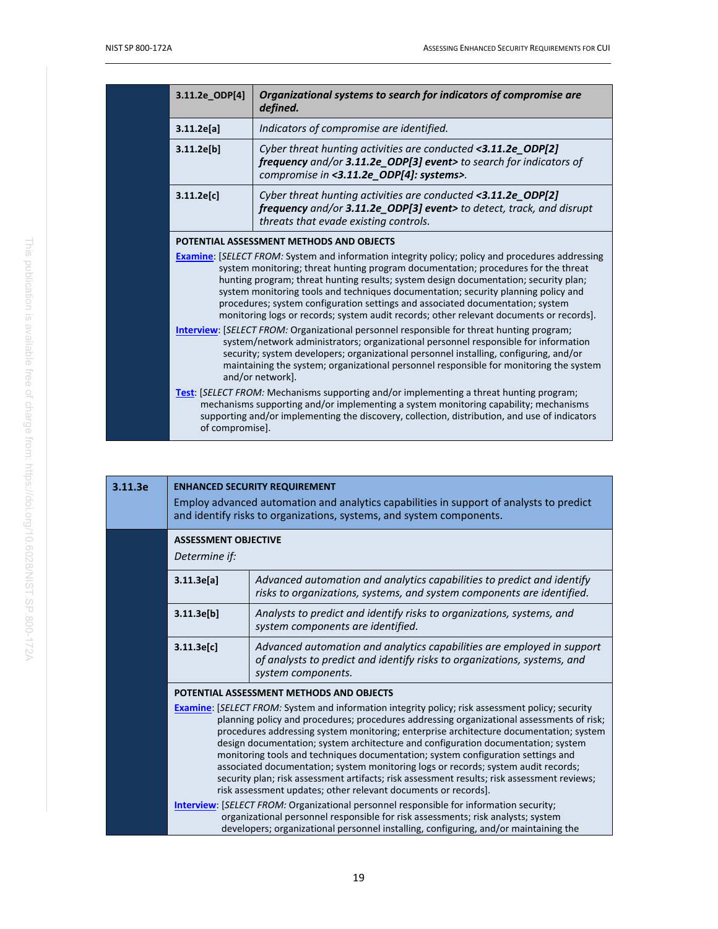| 3.11.2e ODP[4]                                                                                                                                                                                                                                                                                                                                                                                                                                                                                                                                          | Organizational systems to search for indicators of compromise are<br>defined.                                                                                                                                                                                                           |
|---------------------------------------------------------------------------------------------------------------------------------------------------------------------------------------------------------------------------------------------------------------------------------------------------------------------------------------------------------------------------------------------------------------------------------------------------------------------------------------------------------------------------------------------------------|-----------------------------------------------------------------------------------------------------------------------------------------------------------------------------------------------------------------------------------------------------------------------------------------|
| 3.11.2e[a]                                                                                                                                                                                                                                                                                                                                                                                                                                                                                                                                              | Indicators of compromise are identified.                                                                                                                                                                                                                                                |
| 3.11.2e[b]                                                                                                                                                                                                                                                                                                                                                                                                                                                                                                                                              | Cyber threat hunting activities are conducted <3.11.2e_ODP[2]<br>frequency and/or 3.11.2e_ODP[3] event> to search for indicators of<br>compromise in <3.11.2e_ODP[4]: systems>.                                                                                                         |
| 3.11.2e[c]                                                                                                                                                                                                                                                                                                                                                                                                                                                                                                                                              | Cyber threat hunting activities are conducted <3.11.2e_ODP[2]<br>frequency and/or 3.11.2e_ODP[3] event> to detect, track, and disrupt<br>threats that evade existing controls.                                                                                                          |
|                                                                                                                                                                                                                                                                                                                                                                                                                                                                                                                                                         | POTENTIAL ASSESSMENT METHODS AND OBJECTS                                                                                                                                                                                                                                                |
| <b>Examine:</b> [SELECT FROM: System and information integrity policy; policy and procedures addressing<br>system monitoring; threat hunting program documentation; procedures for the threat<br>hunting program; threat hunting results; system design documentation; security plan;<br>system monitoring tools and techniques documentation; security planning policy and<br>procedures; system configuration settings and associated documentation; system<br>monitoring logs or records; system audit records; other relevant documents or records. |                                                                                                                                                                                                                                                                                         |
| <b>Interview:</b> [SELECT FROM: Organizational personnel responsible for threat hunting program;<br>system/network administrators; organizational personnel responsible for information<br>security; system developers; organizational personnel installing, configuring, and/or<br>maintaining the system; organizational personnel responsible for monitoring the system<br>and/or network].                                                                                                                                                          |                                                                                                                                                                                                                                                                                         |
| of compromise].                                                                                                                                                                                                                                                                                                                                                                                                                                                                                                                                         | <b>Test:</b> [SELECT FROM: Mechanisms supporting and/or implementing a threat hunting program;<br>mechanisms supporting and/or implementing a system monitoring capability; mechanisms<br>supporting and/or implementing the discovery, collection, distribution, and use of indicators |

| <b>ENHANCED SECURITY REQUIREMENT</b><br>Employ advanced automation and analytics capabilities in support of analysts to predict<br>and identify risks to organizations, systems, and system components. |                                                                                                                                                                                                                                                                                                                                                                                                                                                                                                                                                                                                                                                                                                                                                                                                                                                                                                                                                                                                                                                          |
|---------------------------------------------------------------------------------------------------------------------------------------------------------------------------------------------------------|----------------------------------------------------------------------------------------------------------------------------------------------------------------------------------------------------------------------------------------------------------------------------------------------------------------------------------------------------------------------------------------------------------------------------------------------------------------------------------------------------------------------------------------------------------------------------------------------------------------------------------------------------------------------------------------------------------------------------------------------------------------------------------------------------------------------------------------------------------------------------------------------------------------------------------------------------------------------------------------------------------------------------------------------------------|
| <b>ASSESSMENT OBJECTIVE</b><br>Determine if:                                                                                                                                                            |                                                                                                                                                                                                                                                                                                                                                                                                                                                                                                                                                                                                                                                                                                                                                                                                                                                                                                                                                                                                                                                          |
| 3.11.3e[a]                                                                                                                                                                                              | Advanced automation and analytics capabilities to predict and identify<br>risks to organizations, systems, and system components are identified.                                                                                                                                                                                                                                                                                                                                                                                                                                                                                                                                                                                                                                                                                                                                                                                                                                                                                                         |
| 3.11.3e[b]                                                                                                                                                                                              | Analysts to predict and identify risks to organizations, systems, and<br>system components are identified.                                                                                                                                                                                                                                                                                                                                                                                                                                                                                                                                                                                                                                                                                                                                                                                                                                                                                                                                               |
| 3.11.3e[c]                                                                                                                                                                                              | Advanced automation and analytics capabilities are employed in support<br>of analysts to predict and identify risks to organizations, systems, and<br>system components.                                                                                                                                                                                                                                                                                                                                                                                                                                                                                                                                                                                                                                                                                                                                                                                                                                                                                 |
|                                                                                                                                                                                                         | POTENTIAL ASSESSMENT METHODS AND OBJECTS<br><b>Examine:</b> [SELECT FROM: System and information integrity policy; risk assessment policy; security<br>planning policy and procedures; procedures addressing organizational assessments of risk;<br>procedures addressing system monitoring; enterprise architecture documentation; system<br>design documentation; system architecture and configuration documentation; system<br>monitoring tools and techniques documentation; system configuration settings and<br>associated documentation; system monitoring logs or records; system audit records;<br>security plan; risk assessment artifacts; risk assessment results; risk assessment reviews;<br>risk assessment updates; other relevant documents or records].<br><b>Interview: [SELECT FROM: Organizational personnel responsible for information security;</b><br>organizational personnel responsible for risk assessments; risk analysts; system<br>developers; organizational personnel installing, configuring, and/or maintaining the |
|                                                                                                                                                                                                         |                                                                                                                                                                                                                                                                                                                                                                                                                                                                                                                                                                                                                                                                                                                                                                                                                                                                                                                                                                                                                                                          |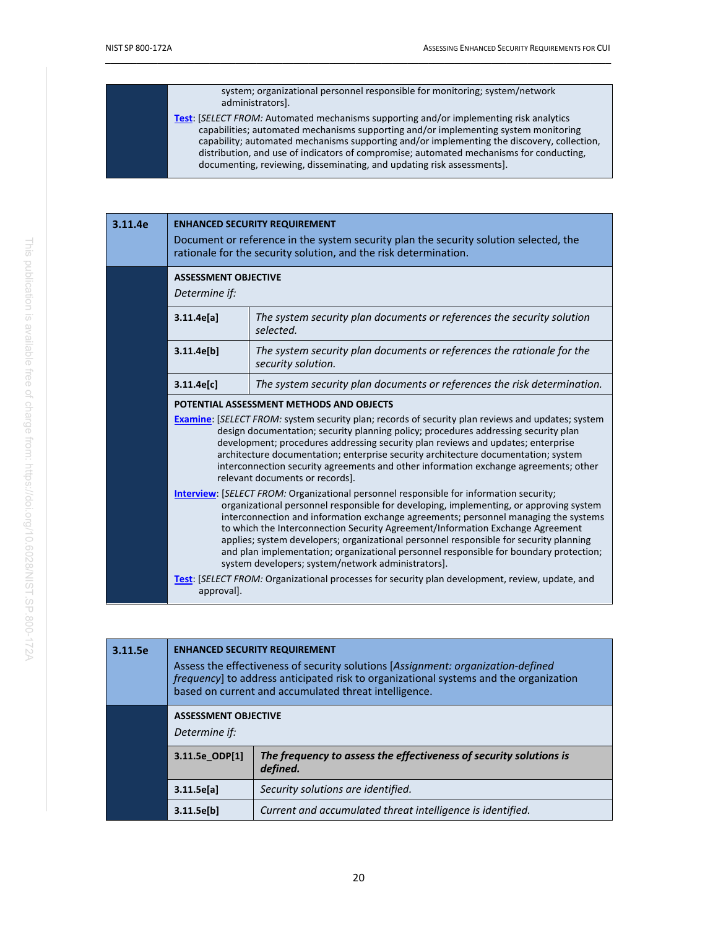| system; organizational personnel responsible for monitoring; system/network<br>administrators].                                                                                                                                                                                                                                                                                                                                                         |
|---------------------------------------------------------------------------------------------------------------------------------------------------------------------------------------------------------------------------------------------------------------------------------------------------------------------------------------------------------------------------------------------------------------------------------------------------------|
| <b>Test:</b> [SELECT FROM: Automated mechanisms supporting and/or implementing risk analytics<br>capabilities; automated mechanisms supporting and/or implementing system monitoring<br>capability; automated mechanisms supporting and/or implementing the discovery, collection,<br>distribution, and use of indicators of compromise; automated mechanisms for conducting,<br>documenting, reviewing, disseminating, and updating risk assessments]. |

| 3.11.4e | <b>ENHANCED SECURITY REQUIREMENT</b><br>Document or reference in the system security plan the security solution selected, the<br>rationale for the security solution, and the risk determination.                                                                                                                                                                                                                                                                                                                                                                                                                                                                                                                                   |                                                                                              |
|---------|-------------------------------------------------------------------------------------------------------------------------------------------------------------------------------------------------------------------------------------------------------------------------------------------------------------------------------------------------------------------------------------------------------------------------------------------------------------------------------------------------------------------------------------------------------------------------------------------------------------------------------------------------------------------------------------------------------------------------------------|----------------------------------------------------------------------------------------------|
|         | <b>ASSESSMENT OBJECTIVE</b><br>Determine if:                                                                                                                                                                                                                                                                                                                                                                                                                                                                                                                                                                                                                                                                                        |                                                                                              |
|         | 3.11.4e[a]                                                                                                                                                                                                                                                                                                                                                                                                                                                                                                                                                                                                                                                                                                                          | The system security plan documents or references the security solution<br>selected.          |
|         | 3.11.4e[b]                                                                                                                                                                                                                                                                                                                                                                                                                                                                                                                                                                                                                                                                                                                          | The system security plan documents or references the rationale for the<br>security solution. |
|         | 3.11.4e[c]                                                                                                                                                                                                                                                                                                                                                                                                                                                                                                                                                                                                                                                                                                                          | The system security plan documents or references the risk determination.                     |
|         |                                                                                                                                                                                                                                                                                                                                                                                                                                                                                                                                                                                                                                                                                                                                     | POTENTIAL ASSESSMENT METHODS AND OBJECTS                                                     |
|         | <b>Examine:</b> [SELECT FROM: system security plan; records of security plan reviews and updates; system<br>design documentation; security planning policy; procedures addressing security plan<br>development; procedures addressing security plan reviews and updates; enterprise<br>architecture documentation; enterprise security architecture documentation; system<br>interconnection security agreements and other information exchange agreements; other<br>relevant documents or records].                                                                                                                                                                                                                                |                                                                                              |
|         | <b>Interview: [SELECT FROM: Organizational personnel responsible for information security;</b><br>organizational personnel responsible for developing, implementing, or approving system<br>interconnection and information exchange agreements; personnel managing the systems<br>to which the Interconnection Security Agreement/Information Exchange Agreement<br>applies; system developers; organizational personnel responsible for security planning<br>and plan implementation; organizational personnel responsible for boundary protection;<br>system developers; system/network administrators].<br><b>Test:</b> [SELECT FROM: Organizational processes for security plan development, review, update, and<br>approval]. |                                                                                              |
|         |                                                                                                                                                                                                                                                                                                                                                                                                                                                                                                                                                                                                                                                                                                                                     |                                                                                              |

| 3.11.5e | <b>ENHANCED SECURITY REQUIREMENT</b><br>Assess the effectiveness of security solutions [Assignment: organization-defined<br>frequency] to address anticipated risk to organizational systems and the organization<br>based on current and accumulated threat intelligence. |                                                                                |
|---------|----------------------------------------------------------------------------------------------------------------------------------------------------------------------------------------------------------------------------------------------------------------------------|--------------------------------------------------------------------------------|
|         | <b>ASSESSMENT OBJECTIVE</b><br>Determine if:                                                                                                                                                                                                                               |                                                                                |
|         | 3.11.5e_ODP[1]                                                                                                                                                                                                                                                             | The frequency to assess the effectiveness of security solutions is<br>defined. |
|         | 3.11.5e[a]                                                                                                                                                                                                                                                                 | Security solutions are identified.                                             |
|         | 3.11.5e[b]                                                                                                                                                                                                                                                                 | Current and accumulated threat intelligence is identified.                     |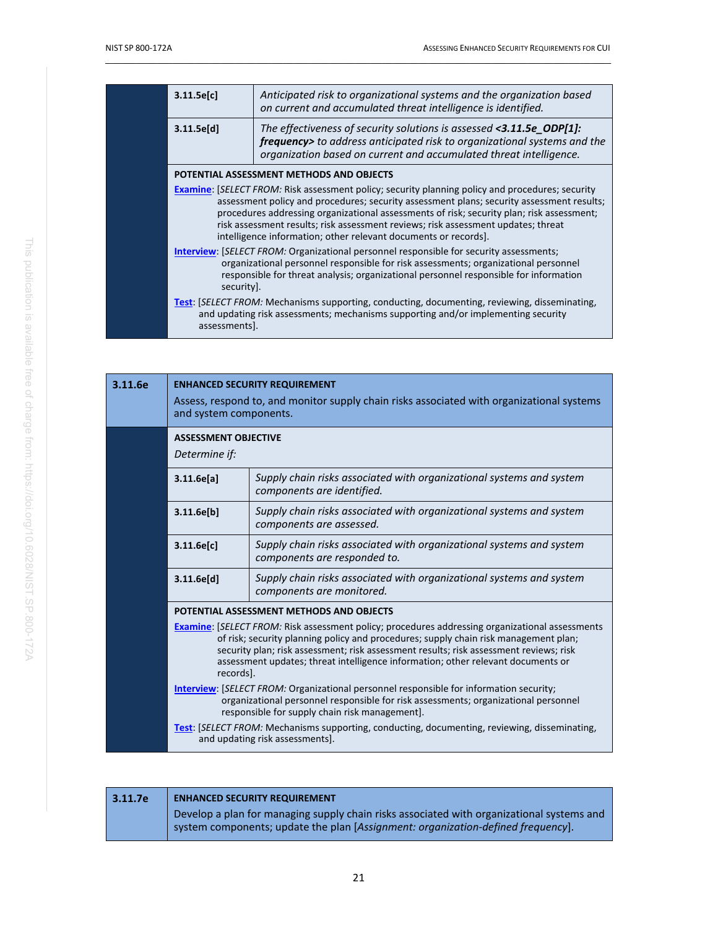| 3.11.5e[c]                                                                                                                                                                                                                                                                                                                                                                                                                                                | Anticipated risk to organizational systems and the organization based<br>on current and accumulated threat intelligence is identified.                                                                                 |
|-----------------------------------------------------------------------------------------------------------------------------------------------------------------------------------------------------------------------------------------------------------------------------------------------------------------------------------------------------------------------------------------------------------------------------------------------------------|------------------------------------------------------------------------------------------------------------------------------------------------------------------------------------------------------------------------|
| 3.11.5e[d]                                                                                                                                                                                                                                                                                                                                                                                                                                                | The effectiveness of security solutions is assessed <3.11.5e_ODP[1]:<br>frequency> to address anticipated risk to organizational systems and the<br>organization based on current and accumulated threat intelligence. |
|                                                                                                                                                                                                                                                                                                                                                                                                                                                           | POTENTIAL ASSESSMENT METHODS AND OBJECTS                                                                                                                                                                               |
| <b>Examine:</b> [SELECT FROM: Risk assessment policy; security planning policy and procedures; security<br>assessment policy and procedures; security assessment plans; security assessment results;<br>procedures addressing organizational assessments of risk; security plan; risk assessment;<br>risk assessment results; risk assessment reviews; risk assessment updates; threat<br>intelligence information; other relevant documents or records]. |                                                                                                                                                                                                                        |
| Interview: [SELECT FROM: Organizational personnel responsible for security assessments;<br>organizational personnel responsible for risk assessments; organizational personnel<br>responsible for threat analysis; organizational personnel responsible for information<br>security].                                                                                                                                                                     |                                                                                                                                                                                                                        |
| assessments].                                                                                                                                                                                                                                                                                                                                                                                                                                             | <b>Test:</b> [SELECT FROM: Mechanisms supporting, conducting, documenting, reviewing, disseminating,<br>and updating risk assessments; mechanisms supporting and/or implementing security                              |

| 3.11.6e | <b>ENHANCED SECURITY REQUIREMENT</b><br>Assess, respond to, and monitor supply chain risks associated with organizational systems<br>and system components.                                                                                                                                                                                                                                                                                                                                                                                                                                                                                                                                                                                                                     |                                                                                                      |
|---------|---------------------------------------------------------------------------------------------------------------------------------------------------------------------------------------------------------------------------------------------------------------------------------------------------------------------------------------------------------------------------------------------------------------------------------------------------------------------------------------------------------------------------------------------------------------------------------------------------------------------------------------------------------------------------------------------------------------------------------------------------------------------------------|------------------------------------------------------------------------------------------------------|
|         | <b>ASSESSMENT OBJECTIVE</b><br>Determine if:                                                                                                                                                                                                                                                                                                                                                                                                                                                                                                                                                                                                                                                                                                                                    |                                                                                                      |
|         | 3.11.6e[a]                                                                                                                                                                                                                                                                                                                                                                                                                                                                                                                                                                                                                                                                                                                                                                      | Supply chain risks associated with organizational systems and system<br>components are identified.   |
|         | 3.11.6e[b]                                                                                                                                                                                                                                                                                                                                                                                                                                                                                                                                                                                                                                                                                                                                                                      | Supply chain risks associated with organizational systems and system<br>components are assessed.     |
|         | 3.11.6e[c]                                                                                                                                                                                                                                                                                                                                                                                                                                                                                                                                                                                                                                                                                                                                                                      | Supply chain risks associated with organizational systems and system<br>components are responded to. |
|         | 3.11.6e[d]                                                                                                                                                                                                                                                                                                                                                                                                                                                                                                                                                                                                                                                                                                                                                                      | Supply chain risks associated with organizational systems and system<br>components are monitored.    |
|         |                                                                                                                                                                                                                                                                                                                                                                                                                                                                                                                                                                                                                                                                                                                                                                                 | POTENTIAL ASSESSMENT METHODS AND OBJECTS                                                             |
|         | <b>Examine:</b> [SELECT FROM: Risk assessment policy; procedures addressing organizational assessments<br>of risk; security planning policy and procedures; supply chain risk management plan;<br>security plan; risk assessment; risk assessment results; risk assessment reviews; risk<br>assessment updates; threat intelligence information; other relevant documents or<br>records].<br><b>Interview: [SELECT FROM: Organizational personnel responsible for information security;</b><br>organizational personnel responsible for risk assessments; organizational personnel<br>responsible for supply chain risk management].<br><b>Test:</b> [SELECT FROM: Mechanisms supporting, conducting, documenting, reviewing, disseminating,<br>and updating risk assessments]. |                                                                                                      |
|         |                                                                                                                                                                                                                                                                                                                                                                                                                                                                                                                                                                                                                                                                                                                                                                                 |                                                                                                      |
|         |                                                                                                                                                                                                                                                                                                                                                                                                                                                                                                                                                                                                                                                                                                                                                                                 |                                                                                                      |

| 3.11.7e | <b>ENHANCED SECURITY REQUIREMENT</b>                                                                                                                                          |  |  |
|---------|-------------------------------------------------------------------------------------------------------------------------------------------------------------------------------|--|--|
|         | Develop a plan for managing supply chain risks associated with organizational systems and<br>system components; update the plan [Assignment: organization-defined frequency]. |  |  |
|         |                                                                                                                                                                               |  |  |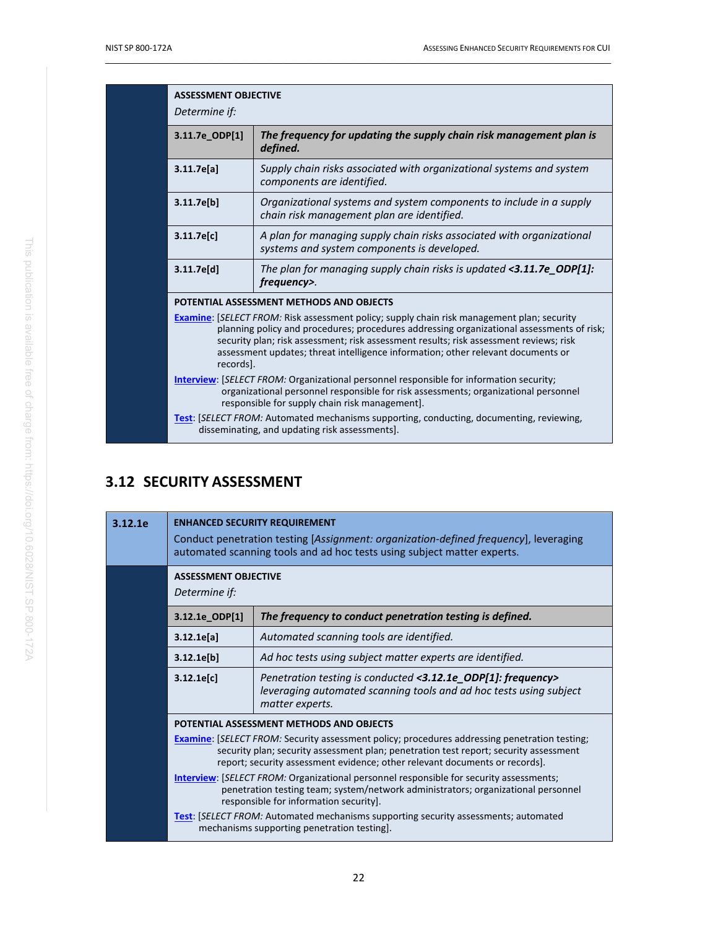| <b>ASSESSMENT OBJECTIVE</b><br>Determine if:                                                                                                                                                                                                                                                                                                                                              |                                                                                                                                                                                                                                         |
|-------------------------------------------------------------------------------------------------------------------------------------------------------------------------------------------------------------------------------------------------------------------------------------------------------------------------------------------------------------------------------------------|-----------------------------------------------------------------------------------------------------------------------------------------------------------------------------------------------------------------------------------------|
| 3.11.7e_ODP[1]                                                                                                                                                                                                                                                                                                                                                                            | The frequency for updating the supply chain risk management plan is<br>defined.                                                                                                                                                         |
| 3.11.7e[a]                                                                                                                                                                                                                                                                                                                                                                                | Supply chain risks associated with organizational systems and system<br>components are identified.                                                                                                                                      |
| 3.11.7e[b]                                                                                                                                                                                                                                                                                                                                                                                | Organizational systems and system components to include in a supply<br>chain risk management plan are identified.                                                                                                                       |
| 3.11.7e[c]                                                                                                                                                                                                                                                                                                                                                                                | A plan for managing supply chain risks associated with organizational<br>systems and system components is developed.                                                                                                                    |
| 3.11.7e[d]                                                                                                                                                                                                                                                                                                                                                                                | The plan for managing supply chain risks is updated $\langle 3.11.7e$ ODP[1]:<br>frequency>.                                                                                                                                            |
|                                                                                                                                                                                                                                                                                                                                                                                           | POTENTIAL ASSESSMENT METHODS AND OBJECTS                                                                                                                                                                                                |
| <b>Examine:</b> [SELECT FROM: Risk assessment policy; supply chain risk management plan; security<br>planning policy and procedures; procedures addressing organizational assessments of risk;<br>security plan; risk assessment; risk assessment results; risk assessment reviews; risk<br>assessment updates; threat intelligence information; other relevant documents or<br>records]. |                                                                                                                                                                                                                                         |
|                                                                                                                                                                                                                                                                                                                                                                                           | <b>Interview:</b> [SELECT FROM: Organizational personnel responsible for information security;<br>organizational personnel responsible for risk assessments; organizational personnel<br>responsible for supply chain risk management]. |
|                                                                                                                                                                                                                                                                                                                                                                                           | <b>Test:</b> [SELECT FROM: Automated mechanisms supporting, conducting, documenting, reviewing,<br>disseminating, and updating risk assessments].                                                                                       |

# <span id="page-32-0"></span>**3.12 SECURITY ASSESSMENT**

| 3.12.1e | <b>ENHANCED SECURITY REQUIREMENT</b><br>Conduct penetration testing [Assignment: organization-defined frequency], leveraging<br>automated scanning tools and ad hoc tests using subject matter experts.                                                                                                                                                                                                                                                                                                                                                                                                                                                                                                |                                                                                                                                                       |
|---------|--------------------------------------------------------------------------------------------------------------------------------------------------------------------------------------------------------------------------------------------------------------------------------------------------------------------------------------------------------------------------------------------------------------------------------------------------------------------------------------------------------------------------------------------------------------------------------------------------------------------------------------------------------------------------------------------------------|-------------------------------------------------------------------------------------------------------------------------------------------------------|
|         | <b>ASSESSMENT OBJECTIVE</b><br>Determine if:                                                                                                                                                                                                                                                                                                                                                                                                                                                                                                                                                                                                                                                           |                                                                                                                                                       |
|         | 3.12.1e ODP[1]                                                                                                                                                                                                                                                                                                                                                                                                                                                                                                                                                                                                                                                                                         | The frequency to conduct penetration testing is defined.                                                                                              |
|         | 3.12.1e[a]                                                                                                                                                                                                                                                                                                                                                                                                                                                                                                                                                                                                                                                                                             | Automated scanning tools are identified.                                                                                                              |
|         | 3.12.1e[b]                                                                                                                                                                                                                                                                                                                                                                                                                                                                                                                                                                                                                                                                                             | Ad hoc tests using subject matter experts are identified.                                                                                             |
|         | 3.12.1e[c]                                                                                                                                                                                                                                                                                                                                                                                                                                                                                                                                                                                                                                                                                             | Penetration testing is conducted <3.12.1e ODP[1]: frequency><br>leveraging automated scanning tools and ad hoc tests using subject<br>matter experts. |
|         | POTENTIAL ASSESSMENT METHODS AND OBJECTS<br><b>Examine:</b> [SELECT FROM: Security assessment policy; procedures addressing penetration testing;<br>security plan; security assessment plan; penetration test report; security assessment<br>report; security assessment evidence; other relevant documents or records].<br><b>Interview: [SELECT FROM: Organizational personnel responsible for security assessments;</b><br>penetration testing team; system/network administrators; organizational personnel<br>responsible for information security].<br><b>Test:</b> [SELECT FROM: Automated mechanisms supporting security assessments; automated<br>mechanisms supporting penetration testing]. |                                                                                                                                                       |
|         |                                                                                                                                                                                                                                                                                                                                                                                                                                                                                                                                                                                                                                                                                                        |                                                                                                                                                       |
|         |                                                                                                                                                                                                                                                                                                                                                                                                                                                                                                                                                                                                                                                                                                        |                                                                                                                                                       |
|         |                                                                                                                                                                                                                                                                                                                                                                                                                                                                                                                                                                                                                                                                                                        |                                                                                                                                                       |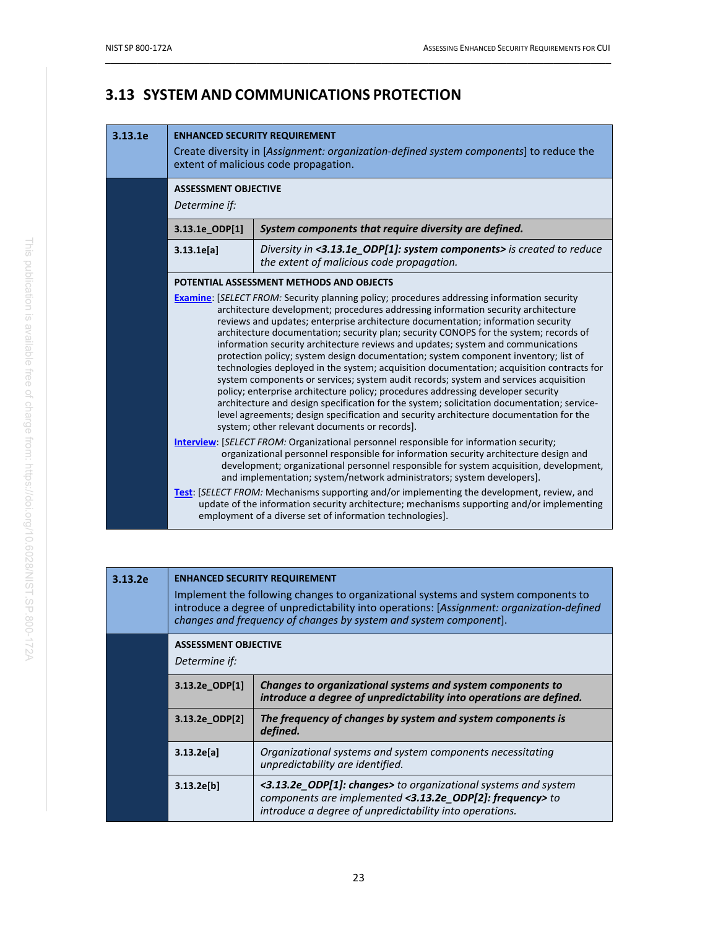# <span id="page-33-0"></span>**3.13 SYSTEM AND COMMUNICATIONS PROTECTION**

#### **3.13.1e ENHANCED SECURITY REQUIREMENT**

|                | Create diversity in [Assignment: organization-defined system components] to reduce the<br>extent of malicious code propagation.                                                                                                                                                                                                                                                                                                                                                                                                                                                                                                                                                                                                                                                                                                                                                                                                                                                                                                                                   |  |
|----------------|-------------------------------------------------------------------------------------------------------------------------------------------------------------------------------------------------------------------------------------------------------------------------------------------------------------------------------------------------------------------------------------------------------------------------------------------------------------------------------------------------------------------------------------------------------------------------------------------------------------------------------------------------------------------------------------------------------------------------------------------------------------------------------------------------------------------------------------------------------------------------------------------------------------------------------------------------------------------------------------------------------------------------------------------------------------------|--|
| Determine if:  | <b>ASSESSMENT OBJECTIVE</b>                                                                                                                                                                                                                                                                                                                                                                                                                                                                                                                                                                                                                                                                                                                                                                                                                                                                                                                                                                                                                                       |  |
| 3.13.1e_ODP[1] | System components that require diversity are defined.                                                                                                                                                                                                                                                                                                                                                                                                                                                                                                                                                                                                                                                                                                                                                                                                                                                                                                                                                                                                             |  |
| 3.13.1e[a]     | Diversity in <3.13.1e_ODP[1]: system components> is created to reduce<br>the extent of malicious code propagation.                                                                                                                                                                                                                                                                                                                                                                                                                                                                                                                                                                                                                                                                                                                                                                                                                                                                                                                                                |  |
|                | POTENTIAL ASSESSMENT METHODS AND OBJECTS                                                                                                                                                                                                                                                                                                                                                                                                                                                                                                                                                                                                                                                                                                                                                                                                                                                                                                                                                                                                                          |  |
|                | <b>Examine:</b> [SELECT FROM: Security planning policy; procedures addressing information security<br>architecture development; procedures addressing information security architecture<br>reviews and updates; enterprise architecture documentation; information security<br>architecture documentation; security plan; security CONOPS for the system; records of<br>information security architecture reviews and updates; system and communications<br>protection policy; system design documentation; system component inventory; list of<br>technologies deployed in the system; acquisition documentation; acquisition contracts for<br>system components or services; system audit records; system and services acquisition<br>policy; enterprise architecture policy; procedures addressing developer security<br>architecture and design specification for the system; solicitation documentation; service-<br>level agreements; design specification and security architecture documentation for the<br>system; other relevant documents or records]. |  |
|                | <b>Interview: [SELECT FROM: Organizational personnel responsible for information security;</b><br>organizational personnel responsible for information security architecture design and<br>development; organizational personnel responsible for system acquisition, development,<br>and implementation; system/network administrators; system developers].                                                                                                                                                                                                                                                                                                                                                                                                                                                                                                                                                                                                                                                                                                       |  |
|                | <b>Test:</b> [SELECT FROM: Mechanisms supporting and/or implementing the development, review, and<br>update of the information security architecture; mechanisms supporting and/or implementing<br>employment of a diverse set of information technologies].                                                                                                                                                                                                                                                                                                                                                                                                                                                                                                                                                                                                                                                                                                                                                                                                      |  |

| 3.13.2e | <b>ENHANCED SECURITY REQUIREMENT</b><br>Implement the following changes to organizational systems and system components to<br>introduce a degree of unpredictability into operations: [Assignment: organization-defined<br>changes and frequency of changes by system and system component]. |                                                                                                                                                                                        |
|---------|----------------------------------------------------------------------------------------------------------------------------------------------------------------------------------------------------------------------------------------------------------------------------------------------|----------------------------------------------------------------------------------------------------------------------------------------------------------------------------------------|
|         | <b>ASSESSMENT OBJECTIVE</b><br>Determine if:                                                                                                                                                                                                                                                 |                                                                                                                                                                                        |
|         | 3.13.2e ODP[1]                                                                                                                                                                                                                                                                               | Changes to organizational systems and system components to<br>introduce a degree of unpredictability into operations are defined.                                                      |
|         | 3.13.2e ODP[2]                                                                                                                                                                                                                                                                               | The frequency of changes by system and system components is<br>defined.                                                                                                                |
|         | 3.13.2e[a]                                                                                                                                                                                                                                                                                   | Organizational systems and system components necessitating<br>unpredictability are identified.                                                                                         |
|         | 3.13.2e[b]                                                                                                                                                                                                                                                                                   | <3.13.2e_ODP[1]: changes> to organizational systems and system<br>components are implemented <3.13.2e_ODP[2]: frequency> to<br>introduce a degree of unpredictability into operations. |
|         |                                                                                                                                                                                                                                                                                              |                                                                                                                                                                                        |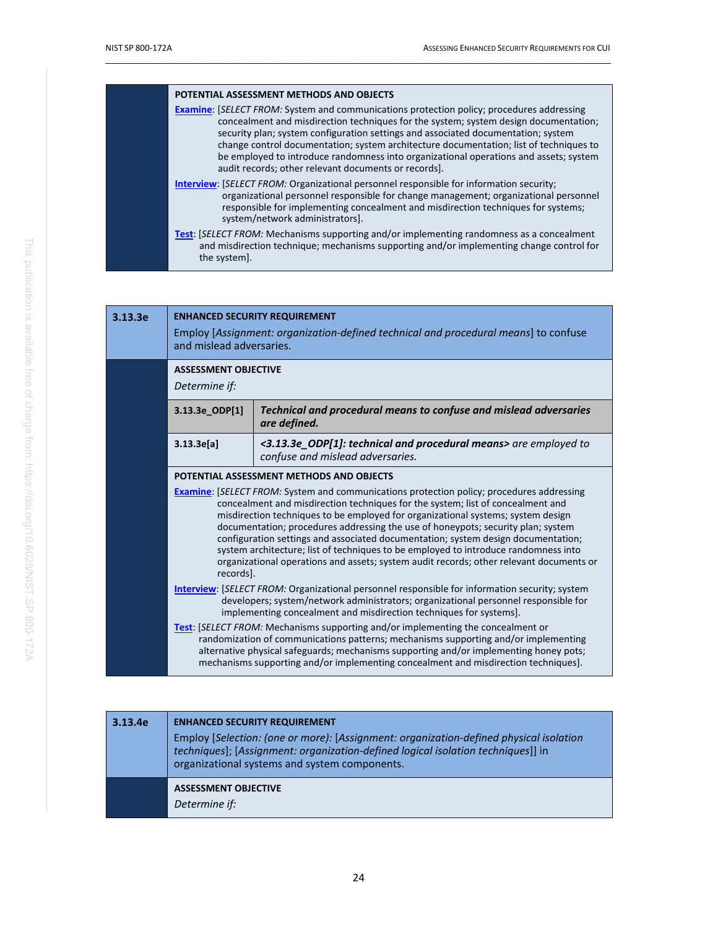| POTENTIAL ASSESSMENT METHODS AND OBJECTS                                                                                                                                                                                                                                                                                                                                                                                                                                                                                 |
|--------------------------------------------------------------------------------------------------------------------------------------------------------------------------------------------------------------------------------------------------------------------------------------------------------------------------------------------------------------------------------------------------------------------------------------------------------------------------------------------------------------------------|
| <b>Examine:</b> [SELECT FROM: System and communications protection policy; procedures addressing<br>concealment and misdirection techniques for the system; system design documentation;<br>security plan; system configuration settings and associated documentation; system<br>change control documentation; system architecture documentation; list of techniques to<br>be employed to introduce randomness into organizational operations and assets; system<br>audit records; other relevant documents or records]. |
| <b>Interview:</b> [SELECT FROM: Organizational personnel responsible for information security;<br>organizational personnel responsible for change management; organizational personnel<br>responsible for implementing concealment and misdirection techniques for systems;<br>system/network administrators].                                                                                                                                                                                                           |
| <b>Test:</b> [SELECT FROM: Mechanisms supporting and/or implementing randomness as a concealment<br>and misdirection technique; mechanisms supporting and/or implementing change control for<br>the system].                                                                                                                                                                                                                                                                                                             |

| 3.13.3e | <b>ENHANCED SECURITY REQUIREMENT</b><br>Employ [Assignment: organization-defined technical and procedural means] to confuse<br>and mislead adversaries.                                                                                                                                                                                                                                                                                                                                                                                                                                                                                         |                                                                                                      |
|---------|-------------------------------------------------------------------------------------------------------------------------------------------------------------------------------------------------------------------------------------------------------------------------------------------------------------------------------------------------------------------------------------------------------------------------------------------------------------------------------------------------------------------------------------------------------------------------------------------------------------------------------------------------|------------------------------------------------------------------------------------------------------|
|         | <b>ASSESSMENT OBJECTIVE</b><br>Determine if:                                                                                                                                                                                                                                                                                                                                                                                                                                                                                                                                                                                                    |                                                                                                      |
|         | Technical and procedural means to confuse and mislead adversaries<br>3.13.3e_ODP[1]<br>are defined.                                                                                                                                                                                                                                                                                                                                                                                                                                                                                                                                             |                                                                                                      |
|         | 3.13.3e[a]                                                                                                                                                                                                                                                                                                                                                                                                                                                                                                                                                                                                                                      | <3.13.3e_ODP[1]: technical and procedural means> are employed to<br>confuse and mislead adversaries. |
|         |                                                                                                                                                                                                                                                                                                                                                                                                                                                                                                                                                                                                                                                 | POTENTIAL ASSESSMENT METHODS AND OBJECTS                                                             |
|         | <b>Examine:</b> [SELECT FROM: System and communications protection policy; procedures addressing<br>concealment and misdirection techniques for the system; list of concealment and<br>misdirection techniques to be employed for organizational systems; system design<br>documentation; procedures addressing the use of honeypots; security plan; system<br>configuration settings and associated documentation; system design documentation;<br>system architecture; list of techniques to be employed to introduce randomness into<br>organizational operations and assets; system audit records; other relevant documents or<br>records]. |                                                                                                      |
|         | <b>Interview: SELECT FROM: Organizational personnel responsible for information security; system</b><br>developers; system/network administrators; organizational personnel responsible for<br>implementing concealment and misdirection techniques for systems].                                                                                                                                                                                                                                                                                                                                                                               |                                                                                                      |
|         | <b>Test:</b> [SELECT FROM: Mechanisms supporting and/or implementing the concealment or<br>randomization of communications patterns; mechanisms supporting and/or implementing<br>alternative physical safeguards; mechanisms supporting and/or implementing honey pots;<br>mechanisms supporting and/or implementing concealment and misdirection techniques].                                                                                                                                                                                                                                                                                 |                                                                                                      |

| 3.13.4e | <b>ENHANCED SECURITY REQUIREMENT</b><br>Employ [Selection: (one or more): [Assignment: organization-defined physical isolation<br>techniques]; [Assignment: organization-defined logical isolation techniques]] in<br>organizational systems and system components. |
|---------|---------------------------------------------------------------------------------------------------------------------------------------------------------------------------------------------------------------------------------------------------------------------|
|         | <b>ASSESSMENT OBJECTIVE</b><br>Determine if:                                                                                                                                                                                                                        |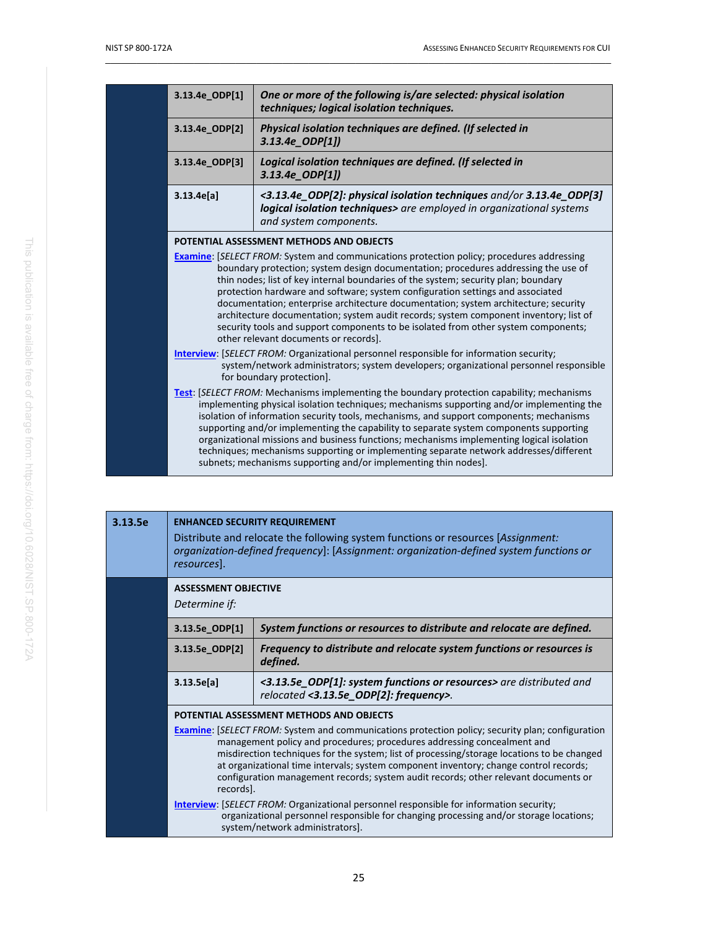| One or more of the following is/are selected: physical isolation<br>techniques; logical isolation techniques.                                                                                                                                                                                                                                                                                                                                                                                                                                                                                                                                                                                                                                                                                                                                                                                                                                                                                                                                                                                                                                                                                                                                                                                                                                                                                                                                                                                                                                                                                |
|----------------------------------------------------------------------------------------------------------------------------------------------------------------------------------------------------------------------------------------------------------------------------------------------------------------------------------------------------------------------------------------------------------------------------------------------------------------------------------------------------------------------------------------------------------------------------------------------------------------------------------------------------------------------------------------------------------------------------------------------------------------------------------------------------------------------------------------------------------------------------------------------------------------------------------------------------------------------------------------------------------------------------------------------------------------------------------------------------------------------------------------------------------------------------------------------------------------------------------------------------------------------------------------------------------------------------------------------------------------------------------------------------------------------------------------------------------------------------------------------------------------------------------------------------------------------------------------------|
| Physical isolation techniques are defined. (If selected in<br>$3.13.4e$ ODP $[1]$                                                                                                                                                                                                                                                                                                                                                                                                                                                                                                                                                                                                                                                                                                                                                                                                                                                                                                                                                                                                                                                                                                                                                                                                                                                                                                                                                                                                                                                                                                            |
| Logical isolation techniques are defined. (If selected in<br>3.13.4e_ODP[1])                                                                                                                                                                                                                                                                                                                                                                                                                                                                                                                                                                                                                                                                                                                                                                                                                                                                                                                                                                                                                                                                                                                                                                                                                                                                                                                                                                                                                                                                                                                 |
| <3.13.4e_ODP[2]: physical isolation techniques and/or 3.13.4e_ODP[3]<br>logical isolation techniques> are employed in organizational systems<br>and system components.                                                                                                                                                                                                                                                                                                                                                                                                                                                                                                                                                                                                                                                                                                                                                                                                                                                                                                                                                                                                                                                                                                                                                                                                                                                                                                                                                                                                                       |
| POTENTIAL ASSESSMENT METHODS AND OBJECTS<br><b>Examine:</b> [SELECT FROM: System and communications protection policy; procedures addressing<br>boundary protection; system design documentation; procedures addressing the use of<br>thin nodes; list of key internal boundaries of the system; security plan; boundary<br>protection hardware and software; system configuration settings and associated<br>documentation; enterprise architecture documentation; system architecture; security<br>architecture documentation; system audit records; system component inventory; list of<br>security tools and support components to be isolated from other system components;<br>other relevant documents or records].<br>Interview: [SELECT FROM: Organizational personnel responsible for information security;<br>system/network administrators; system developers; organizational personnel responsible<br>for boundary protection].<br><b>Test:</b> [SELECT FROM: Mechanisms implementing the boundary protection capability; mechanisms<br>implementing physical isolation techniques; mechanisms supporting and/or implementing the<br>isolation of information security tools, mechanisms, and support components; mechanisms<br>supporting and/or implementing the capability to separate system components supporting<br>organizational missions and business functions; mechanisms implementing logical isolation<br>techniques; mechanisms supporting or implementing separate network addresses/different<br>subnets; mechanisms supporting and/or implementing thin nodes]. |
|                                                                                                                                                                                                                                                                                                                                                                                                                                                                                                                                                                                                                                                                                                                                                                                                                                                                                                                                                                                                                                                                                                                                                                                                                                                                                                                                                                                                                                                                                                                                                                                              |

| 3.13.5e | <b>ENHANCED SECURITY REQUIREMENT</b><br>Distribute and relocate the following system functions or resources [Assignment:<br>organization-defined frequency]: [Assignment: organization-defined system functions or<br>resources].                                                                                                                                                                                                                                             |                                                                                                                                                                                                                             |
|---------|-------------------------------------------------------------------------------------------------------------------------------------------------------------------------------------------------------------------------------------------------------------------------------------------------------------------------------------------------------------------------------------------------------------------------------------------------------------------------------|-----------------------------------------------------------------------------------------------------------------------------------------------------------------------------------------------------------------------------|
|         | <b>ASSESSMENT OBJECTIVE</b><br>Determine if:                                                                                                                                                                                                                                                                                                                                                                                                                                  |                                                                                                                                                                                                                             |
|         | 3.13.5e ODP[1]                                                                                                                                                                                                                                                                                                                                                                                                                                                                | System functions or resources to distribute and relocate are defined.                                                                                                                                                       |
|         | 3.13.5e ODP[2]                                                                                                                                                                                                                                                                                                                                                                                                                                                                | Frequency to distribute and relocate system functions or resources is<br>defined.                                                                                                                                           |
|         | 3.13.5e[a]                                                                                                                                                                                                                                                                                                                                                                                                                                                                    | <3.13.5e_ODP[1]: system functions or resources> are distributed and<br>relocated <3.13.5e_ODP[2]: frequency>.                                                                                                               |
|         |                                                                                                                                                                                                                                                                                                                                                                                                                                                                               | POTENTIAL ASSESSMENT METHODS AND OBJECTS                                                                                                                                                                                    |
|         | <b>Examine:</b> [SELECT FROM: System and communications protection policy; security plan; configuration<br>management policy and procedures; procedures addressing concealment and<br>misdirection techniques for the system; list of processing/storage locations to be changed<br>at organizational time intervals; system component inventory; change control records;<br>configuration management records; system audit records; other relevant documents or<br>recordsl. |                                                                                                                                                                                                                             |
|         |                                                                                                                                                                                                                                                                                                                                                                                                                                                                               | <b>Interview:</b> [SELECT FROM: Organizational personnel responsible for information security;<br>organizational personnel responsible for changing processing and/or storage locations;<br>system/network administrators]. |
|         |                                                                                                                                                                                                                                                                                                                                                                                                                                                                               |                                                                                                                                                                                                                             |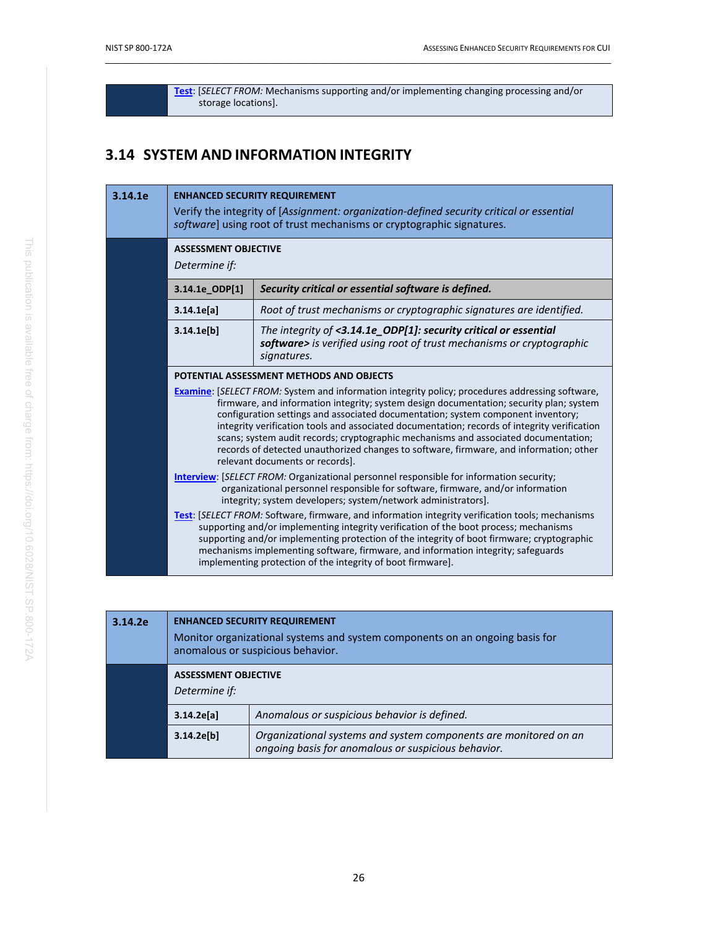**[Test](#page-60-0)**: [*SELECT FROM:* Mechanisms supporting and/or implementing changing processing and/or storage locations].

 $\_$  ,  $\_$  ,  $\_$  ,  $\_$  ,  $\_$  ,  $\_$  ,  $\_$  ,  $\_$  ,  $\_$  ,  $\_$  ,  $\_$  ,  $\_$  ,  $\_$  ,  $\_$  ,  $\_$  ,  $\_$  ,  $\_$  ,  $\_$  ,  $\_$  ,  $\_$  ,  $\_$  ,  $\_$  ,  $\_$  ,  $\_$  ,  $\_$  ,  $\_$  ,  $\_$  ,  $\_$  ,  $\_$  ,  $\_$  ,  $\_$  ,  $\_$  ,  $\_$  ,  $\_$  ,  $\_$  ,  $\_$  ,  $\_$  ,

# <span id="page-36-0"></span>**3.14 SYSTEM AND INFORMATION INTEGRITY**

| 3.14.1e | <b>ENHANCED SECURITY REQUIREMENT</b><br>Verify the integrity of [Assignment: organization-defined security critical or essential<br>software] using root of trust mechanisms or cryptographic signatures.                                                                                                                                                                                                                                                                                                                                                                                                                                                                                                                                                                                                                                                       |                                                                                                                                                                                                                                                                                                                                                                                                                                                    |
|---------|-----------------------------------------------------------------------------------------------------------------------------------------------------------------------------------------------------------------------------------------------------------------------------------------------------------------------------------------------------------------------------------------------------------------------------------------------------------------------------------------------------------------------------------------------------------------------------------------------------------------------------------------------------------------------------------------------------------------------------------------------------------------------------------------------------------------------------------------------------------------|----------------------------------------------------------------------------------------------------------------------------------------------------------------------------------------------------------------------------------------------------------------------------------------------------------------------------------------------------------------------------------------------------------------------------------------------------|
|         | <b>ASSESSMENT OBJECTIVE</b><br>Determine if:                                                                                                                                                                                                                                                                                                                                                                                                                                                                                                                                                                                                                                                                                                                                                                                                                    |                                                                                                                                                                                                                                                                                                                                                                                                                                                    |
|         | 3.14.1e_ODP[1]                                                                                                                                                                                                                                                                                                                                                                                                                                                                                                                                                                                                                                                                                                                                                                                                                                                  | Security critical or essential software is defined.                                                                                                                                                                                                                                                                                                                                                                                                |
|         | 3.14.1e[a]                                                                                                                                                                                                                                                                                                                                                                                                                                                                                                                                                                                                                                                                                                                                                                                                                                                      | Root of trust mechanisms or cryptographic signatures are identified.                                                                                                                                                                                                                                                                                                                                                                               |
|         | 3.14.1e[b]                                                                                                                                                                                                                                                                                                                                                                                                                                                                                                                                                                                                                                                                                                                                                                                                                                                      | The integrity of <3.14.1e_ODP[1]: security critical or essential<br>software> is verified using root of trust mechanisms or cryptographic<br>signatures.                                                                                                                                                                                                                                                                                           |
|         |                                                                                                                                                                                                                                                                                                                                                                                                                                                                                                                                                                                                                                                                                                                                                                                                                                                                 | POTENTIAL ASSESSMENT METHODS AND OBJECTS                                                                                                                                                                                                                                                                                                                                                                                                           |
|         | <b>Examine:</b> [SELECT FROM: System and information integrity policy; procedures addressing software,<br>firmware, and information integrity; system design documentation; security plan; system<br>configuration settings and associated documentation; system component inventory;<br>integrity verification tools and associated documentation; records of integrity verification<br>scans; system audit records; cryptographic mechanisms and associated documentation;<br>records of detected unauthorized changes to software, firmware, and information; other<br>relevant documents or records].<br><b>Interview: [SELECT FROM: Organizational personnel responsible for information security;</b><br>organizational personnel responsible for software, firmware, and/or information<br>integrity; system developers; system/network administrators]. |                                                                                                                                                                                                                                                                                                                                                                                                                                                    |
|         |                                                                                                                                                                                                                                                                                                                                                                                                                                                                                                                                                                                                                                                                                                                                                                                                                                                                 |                                                                                                                                                                                                                                                                                                                                                                                                                                                    |
|         |                                                                                                                                                                                                                                                                                                                                                                                                                                                                                                                                                                                                                                                                                                                                                                                                                                                                 | <b>Test:</b> [SELECT FROM: Software, firmware, and information integrity verification tools; mechanisms<br>supporting and/or implementing integrity verification of the boot process; mechanisms<br>supporting and/or implementing protection of the integrity of boot firmware; cryptographic<br>mechanisms implementing software, firmware, and information integrity; safeguards<br>implementing protection of the integrity of boot firmware]. |

| 3.14.2e | <b>ENHANCED SECURITY REQUIREMENT</b><br>Monitor organizational systems and system components on an ongoing basis for<br>anomalous or suspicious behavior. |                                                                                                                         |
|---------|-----------------------------------------------------------------------------------------------------------------------------------------------------------|-------------------------------------------------------------------------------------------------------------------------|
|         | <b>ASSESSMENT OBJECTIVE</b><br>Determine if:                                                                                                              |                                                                                                                         |
|         | 3.14.2e[a]                                                                                                                                                | Anomalous or suspicious behavior is defined.                                                                            |
|         | 3.14.2e[b]                                                                                                                                                | Organizational systems and system components are monitored on an<br>ongoing basis for anomalous or suspicious behavior. |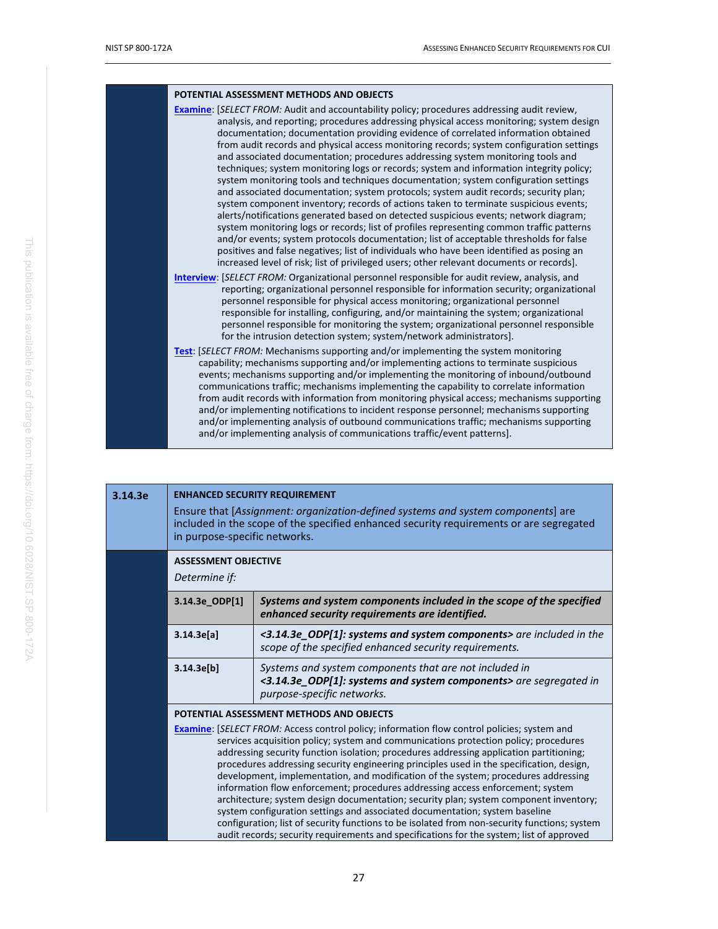| POTENTIAL ASSESSMENT METHODS AND OBJECTS                                                                                                                                                                                                                                                                                                                                                                                                                                                                                                                                                                                                                                                                                                                                                                                                                                                                                                                                                                                                                                                                                                                                                                                                                                                                    |
|-------------------------------------------------------------------------------------------------------------------------------------------------------------------------------------------------------------------------------------------------------------------------------------------------------------------------------------------------------------------------------------------------------------------------------------------------------------------------------------------------------------------------------------------------------------------------------------------------------------------------------------------------------------------------------------------------------------------------------------------------------------------------------------------------------------------------------------------------------------------------------------------------------------------------------------------------------------------------------------------------------------------------------------------------------------------------------------------------------------------------------------------------------------------------------------------------------------------------------------------------------------------------------------------------------------|
| <b>Examine:</b> [SELECT FROM: Audit and accountability policy; procedures addressing audit review,<br>analysis, and reporting; procedures addressing physical access monitoring; system design<br>documentation; documentation providing evidence of correlated information obtained<br>from audit records and physical access monitoring records; system configuration settings<br>and associated documentation; procedures addressing system monitoring tools and<br>techniques; system monitoring logs or records; system and information integrity policy;<br>system monitoring tools and techniques documentation; system configuration settings<br>and associated documentation; system protocols; system audit records; security plan;<br>system component inventory; records of actions taken to terminate suspicious events;<br>alerts/notifications generated based on detected suspicious events; network diagram;<br>system monitoring logs or records; list of profiles representing common traffic patterns<br>and/or events; system protocols documentation; list of acceptable thresholds for false<br>positives and false negatives; list of individuals who have been identified as posing an<br>increased level of risk; list of privileged users; other relevant documents or records]. |
| <b>Interview:</b> [SELECT FROM: Organizational personnel responsible for audit review, analysis, and<br>reporting; organizational personnel responsible for information security; organizational<br>personnel responsible for physical access monitoring; organizational personnel<br>responsible for installing, configuring, and/or maintaining the system; organizational<br>personnel responsible for monitoring the system; organizational personnel responsible<br>for the intrusion detection system; system/network administrators].                                                                                                                                                                                                                                                                                                                                                                                                                                                                                                                                                                                                                                                                                                                                                                |
| <b>Test:</b> [SELECT FROM: Mechanisms supporting and/or implementing the system monitoring<br>capability; mechanisms supporting and/or implementing actions to terminate suspicious<br>events; mechanisms supporting and/or implementing the monitoring of inbound/outbound<br>communications traffic; mechanisms implementing the capability to correlate information<br>from audit records with information from monitoring physical access; mechanisms supporting<br>and/or implementing notifications to incident response personnel; mechanisms supporting<br>and/or implementing analysis of outbound communications traffic; mechanisms supporting<br>and/or implementing analysis of communications traffic/event patterns].                                                                                                                                                                                                                                                                                                                                                                                                                                                                                                                                                                        |

| 3.14.3e | <b>ENHANCED SECURITY REQUIREMENT</b><br>Ensure that [Assignment: organization-defined systems and system components] are<br>included in the scope of the specified enhanced security requirements or are segregated<br>in purpose-specific networks. |                                                                                                                                                                                                                                                                                                                                                                                                                                                                                                                                                                                                                                                                                                                                                                                                                                   |
|---------|------------------------------------------------------------------------------------------------------------------------------------------------------------------------------------------------------------------------------------------------------|-----------------------------------------------------------------------------------------------------------------------------------------------------------------------------------------------------------------------------------------------------------------------------------------------------------------------------------------------------------------------------------------------------------------------------------------------------------------------------------------------------------------------------------------------------------------------------------------------------------------------------------------------------------------------------------------------------------------------------------------------------------------------------------------------------------------------------------|
|         | <b>ASSESSMENT OBJECTIVE</b><br>Determine if:                                                                                                                                                                                                         |                                                                                                                                                                                                                                                                                                                                                                                                                                                                                                                                                                                                                                                                                                                                                                                                                                   |
|         | 3.14.3e_ODP[1]                                                                                                                                                                                                                                       | Systems and system components included in the scope of the specified<br>enhanced security requirements are identified.                                                                                                                                                                                                                                                                                                                                                                                                                                                                                                                                                                                                                                                                                                            |
|         | 3.14.3e[a]                                                                                                                                                                                                                                           | <3.14.3e_ODP[1]: systems and system components> are included in the<br>scope of the specified enhanced security requirements.                                                                                                                                                                                                                                                                                                                                                                                                                                                                                                                                                                                                                                                                                                     |
|         | 3.14.3e[b]                                                                                                                                                                                                                                           | Systems and system components that are not included in<br><3.14.3e_ODP[1]: systems and system components> are segregated in<br>purpose-specific networks.                                                                                                                                                                                                                                                                                                                                                                                                                                                                                                                                                                                                                                                                         |
|         | POTENTIAL ASSESSMENT METHODS AND OBJECTS                                                                                                                                                                                                             |                                                                                                                                                                                                                                                                                                                                                                                                                                                                                                                                                                                                                                                                                                                                                                                                                                   |
|         |                                                                                                                                                                                                                                                      | <b>Examine:</b> [SELECT FROM: Access control policy; information flow control policies; system and<br>services acquisition policy; system and communications protection policy; procedures<br>addressing security function isolation; procedures addressing application partitioning;<br>procedures addressing security engineering principles used in the specification, design,<br>development, implementation, and modification of the system; procedures addressing<br>information flow enforcement; procedures addressing access enforcement; system<br>architecture; system design documentation; security plan; system component inventory;<br>system configuration settings and associated documentation; system baseline<br>configuration; list of security functions to be isolated from non-security functions; system |
|         |                                                                                                                                                                                                                                                      | audit records; security requirements and specifications for the system; list of approved                                                                                                                                                                                                                                                                                                                                                                                                                                                                                                                                                                                                                                                                                                                                          |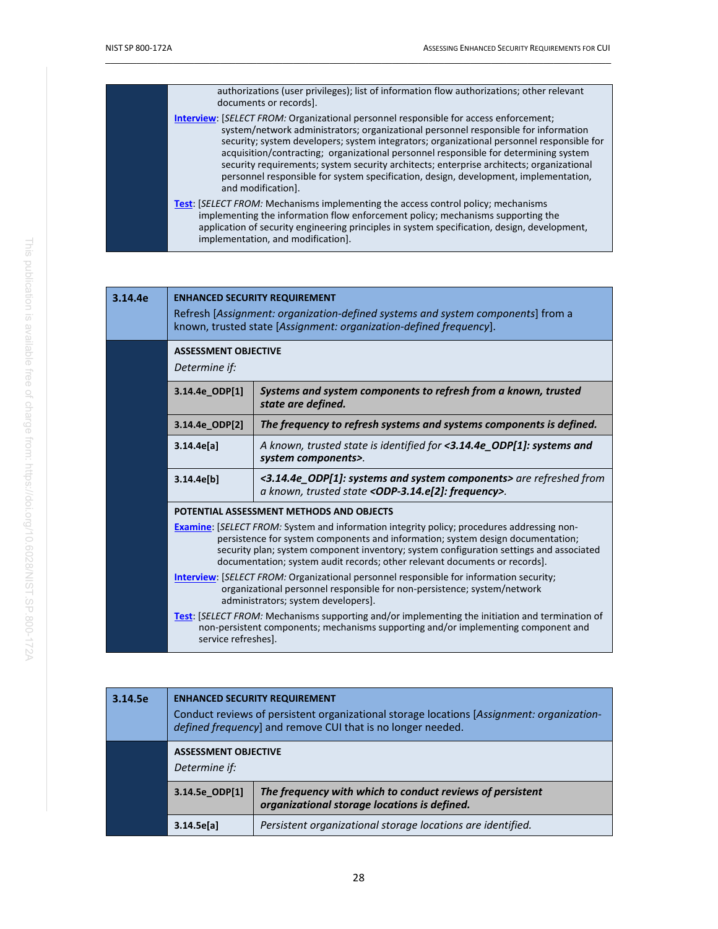| authorizations (user privileges); list of information flow authorizations; other relevant<br>documents or records].                                                                                                                                                                                                                                                                                                                                                                                                                                                                |
|------------------------------------------------------------------------------------------------------------------------------------------------------------------------------------------------------------------------------------------------------------------------------------------------------------------------------------------------------------------------------------------------------------------------------------------------------------------------------------------------------------------------------------------------------------------------------------|
| <b>Interview: [SELECT FROM: Organizational personnel responsible for access enforcement;</b><br>system/network administrators; organizational personnel responsible for information<br>security; system developers; system integrators; organizational personnel responsible for<br>acquisition/contracting; organizational personnel responsible for determining system<br>security requirements; system security architects; enterprise architects; organizational<br>personnel responsible for system specification, design, development, implementation,<br>and modification]. |
| <b>Test:</b> [SELECT FROM: Mechanisms implementing the access control policy; mechanisms<br>implementing the information flow enforcement policy; mechanisms supporting the<br>application of security engineering principles in system specification, design, development,<br>implementation, and modification].                                                                                                                                                                                                                                                                  |

| 3.14.4e | <b>ENHANCED SECURITY REQUIREMENT</b><br>Refresh [Assignment: organization-defined systems and system components] from a<br>known, trusted state [Assignment: organization-defined frequency].                                                                                                                                                                                                                                                                                                                                                                                                                                  |                                                                                                                                              |
|---------|--------------------------------------------------------------------------------------------------------------------------------------------------------------------------------------------------------------------------------------------------------------------------------------------------------------------------------------------------------------------------------------------------------------------------------------------------------------------------------------------------------------------------------------------------------------------------------------------------------------------------------|----------------------------------------------------------------------------------------------------------------------------------------------|
|         | <b>ASSESSMENT OBJECTIVE</b><br>Determine if:                                                                                                                                                                                                                                                                                                                                                                                                                                                                                                                                                                                   |                                                                                                                                              |
|         | 3.14.4e ODP[1]                                                                                                                                                                                                                                                                                                                                                                                                                                                                                                                                                                                                                 | Systems and system components to refresh from a known, trusted<br>state are defined.                                                         |
|         | 3.14.4e ODP[2]                                                                                                                                                                                                                                                                                                                                                                                                                                                                                                                                                                                                                 | The frequency to refresh systems and systems components is defined.                                                                          |
|         | 3.14.4e[a]                                                                                                                                                                                                                                                                                                                                                                                                                                                                                                                                                                                                                     | A known, trusted state is identified for <3.14.4e ODP[1]: systems and<br>system components>.                                                 |
|         | 3.14.4e[b]                                                                                                                                                                                                                                                                                                                                                                                                                                                                                                                                                                                                                     | <3.14.4e_ODP[1]: systems and system components> are refreshed from<br>a known, trusted state <odp-3.14.e[2]: frequency="">.</odp-3.14.e[2]:> |
|         | POTENTIAL ASSESSMENT METHODS AND OBJECTS<br><b>Examine:</b> [SELECT FROM: System and information integrity policy; procedures addressing non-<br>persistence for system components and information; system design documentation;<br>security plan; system component inventory; system configuration settings and associated<br>documentation; system audit records; other relevant documents or records].<br><b>Interview: [SELECT FROM: Organizational personnel responsible for information security;</b><br>organizational personnel responsible for non-persistence; system/network<br>administrators; system developers]. |                                                                                                                                              |
|         |                                                                                                                                                                                                                                                                                                                                                                                                                                                                                                                                                                                                                                |                                                                                                                                              |
|         | Test: [SELECT FROM: Mechanisms supporting and/or implementing the initiation and termination of<br>non-persistent components; mechanisms supporting and/or implementing component and<br>service refreshes].                                                                                                                                                                                                                                                                                                                                                                                                                   |                                                                                                                                              |

| 3.14.5e | <b>ENHANCED SECURITY REQUIREMENT</b><br>Conduct reviews of persistent organizational storage locations [Assignment: organization-<br>defined frequency] and remove CUI that is no longer needed. |                                                                                                           |
|---------|--------------------------------------------------------------------------------------------------------------------------------------------------------------------------------------------------|-----------------------------------------------------------------------------------------------------------|
|         | <b>ASSESSMENT OBJECTIVE</b><br>Determine if:                                                                                                                                                     |                                                                                                           |
|         | 3.14.5e ODP[1]                                                                                                                                                                                   | The frequency with which to conduct reviews of persistent<br>organizational storage locations is defined. |
|         | 3.14.5e[a]                                                                                                                                                                                       | Persistent organizational storage locations are identified.                                               |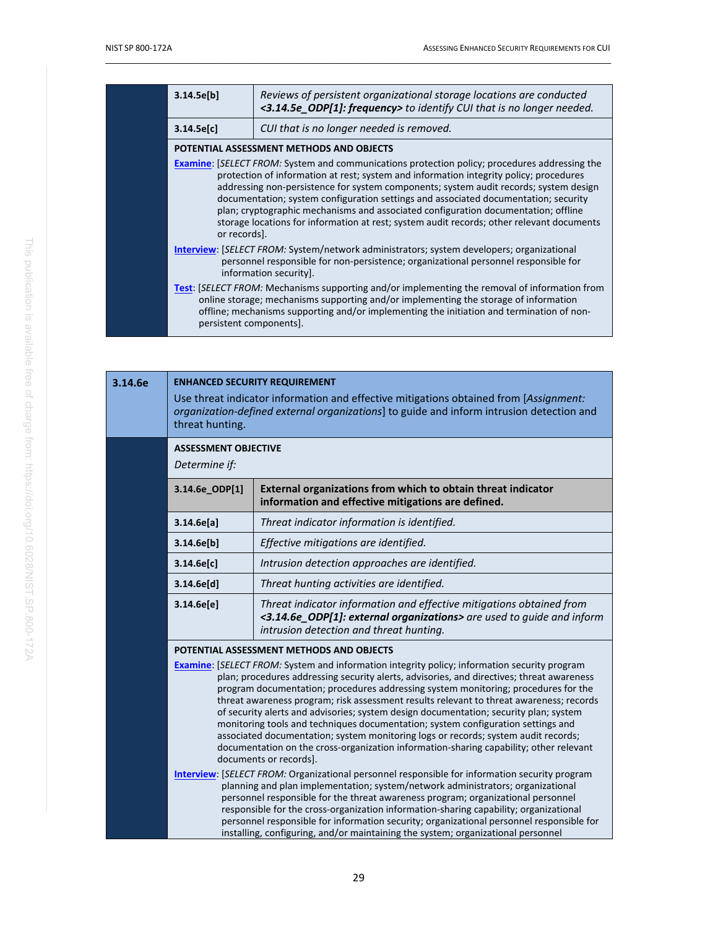| 3.14.5e[b]                                                                                                                                                                                                                                                                                                                                                                                                                                                                                                                                                                        | Reviews of persistent organizational storage locations are conducted<br><3.14.5e_ODP[1]: frequency> to identify CUI that is no longer needed.                                                                                                                                             |
|-----------------------------------------------------------------------------------------------------------------------------------------------------------------------------------------------------------------------------------------------------------------------------------------------------------------------------------------------------------------------------------------------------------------------------------------------------------------------------------------------------------------------------------------------------------------------------------|-------------------------------------------------------------------------------------------------------------------------------------------------------------------------------------------------------------------------------------------------------------------------------------------|
| 3.14.5e[c]                                                                                                                                                                                                                                                                                                                                                                                                                                                                                                                                                                        | CUI that is no longer needed is removed.                                                                                                                                                                                                                                                  |
|                                                                                                                                                                                                                                                                                                                                                                                                                                                                                                                                                                                   | POTENTIAL ASSESSMENT METHODS AND OBJECTS                                                                                                                                                                                                                                                  |
| <b>Examine:</b> [SELECT FROM: System and communications protection policy; procedures addressing the<br>protection of information at rest; system and information integrity policy; procedures<br>addressing non-persistence for system components; system audit records; system design<br>documentation; system configuration settings and associated documentation; security<br>plan; cryptographic mechanisms and associated configuration documentation; offline<br>storage locations for information at rest; system audit records; other relevant documents<br>or records]. |                                                                                                                                                                                                                                                                                           |
|                                                                                                                                                                                                                                                                                                                                                                                                                                                                                                                                                                                   | <b>Interview: SELECT FROM: System/network administrators; system developers; organizational</b><br>personnel responsible for non-persistence; organizational personnel responsible for<br>information security].                                                                          |
| persistent components].                                                                                                                                                                                                                                                                                                                                                                                                                                                                                                                                                           | <b>Test:</b> [SELECT FROM: Mechanisms supporting and/or implementing the removal of information from<br>online storage; mechanisms supporting and/or implementing the storage of information<br>offline; mechanisms supporting and/or implementing the initiation and termination of non- |

| 3.14.6e | <b>ENHANCED SECURITY REQUIREMENT</b><br>Use threat indicator information and effective mitigations obtained from [Assignment:<br>organization-defined external organizations] to guide and inform intrusion detection and<br>threat hunting. |                                                                                                                                                                                                                                                                                                                                                                                                                                                                                                                                                                                                                                                                                                                                                                                                                                                                                                                                                                                                                                                                                                                                                                                                                                                                                                                                                                               |
|---------|----------------------------------------------------------------------------------------------------------------------------------------------------------------------------------------------------------------------------------------------|-------------------------------------------------------------------------------------------------------------------------------------------------------------------------------------------------------------------------------------------------------------------------------------------------------------------------------------------------------------------------------------------------------------------------------------------------------------------------------------------------------------------------------------------------------------------------------------------------------------------------------------------------------------------------------------------------------------------------------------------------------------------------------------------------------------------------------------------------------------------------------------------------------------------------------------------------------------------------------------------------------------------------------------------------------------------------------------------------------------------------------------------------------------------------------------------------------------------------------------------------------------------------------------------------------------------------------------------------------------------------------|
|         | <b>ASSESSMENT OBJECTIVE</b><br>Determine if:                                                                                                                                                                                                 |                                                                                                                                                                                                                                                                                                                                                                                                                                                                                                                                                                                                                                                                                                                                                                                                                                                                                                                                                                                                                                                                                                                                                                                                                                                                                                                                                                               |
|         | 3.14.6e_ODP[1]                                                                                                                                                                                                                               | External organizations from which to obtain threat indicator<br>information and effective mitigations are defined.                                                                                                                                                                                                                                                                                                                                                                                                                                                                                                                                                                                                                                                                                                                                                                                                                                                                                                                                                                                                                                                                                                                                                                                                                                                            |
|         | 3.14.6e[a]                                                                                                                                                                                                                                   | Threat indicator information is identified.                                                                                                                                                                                                                                                                                                                                                                                                                                                                                                                                                                                                                                                                                                                                                                                                                                                                                                                                                                                                                                                                                                                                                                                                                                                                                                                                   |
|         | 3.14.6e[b]                                                                                                                                                                                                                                   | Effective mitigations are identified.                                                                                                                                                                                                                                                                                                                                                                                                                                                                                                                                                                                                                                                                                                                                                                                                                                                                                                                                                                                                                                                                                                                                                                                                                                                                                                                                         |
|         | 3.14.6e[c]                                                                                                                                                                                                                                   | Intrusion detection approaches are identified.                                                                                                                                                                                                                                                                                                                                                                                                                                                                                                                                                                                                                                                                                                                                                                                                                                                                                                                                                                                                                                                                                                                                                                                                                                                                                                                                |
|         | 3.14.6e[d]                                                                                                                                                                                                                                   | Threat hunting activities are identified.                                                                                                                                                                                                                                                                                                                                                                                                                                                                                                                                                                                                                                                                                                                                                                                                                                                                                                                                                                                                                                                                                                                                                                                                                                                                                                                                     |
|         | 3.14.6e[e]                                                                                                                                                                                                                                   | Threat indicator information and effective mitigations obtained from<br><3.14.6e_ODP[1]: external organizations> are used to guide and inform<br>intrusion detection and threat hunting.                                                                                                                                                                                                                                                                                                                                                                                                                                                                                                                                                                                                                                                                                                                                                                                                                                                                                                                                                                                                                                                                                                                                                                                      |
|         |                                                                                                                                                                                                                                              | POTENTIAL ASSESSMENT METHODS AND OBJECTS<br><b>Examine:</b> [SELECT FROM: System and information integrity policy; information security program<br>plan; procedures addressing security alerts, advisories, and directives; threat awareness<br>program documentation; procedures addressing system monitoring; procedures for the<br>threat awareness program; risk assessment results relevant to threat awareness; records<br>of security alerts and advisories; system design documentation; security plan; system<br>monitoring tools and techniques documentation; system configuration settings and<br>associated documentation; system monitoring logs or records; system audit records;<br>documentation on the cross-organization information-sharing capability; other relevant<br>documents or records].<br><b>Interview:</b> [SELECT FROM: Organizational personnel responsible for information security program<br>planning and plan implementation; system/network administrators; organizational<br>personnel responsible for the threat awareness program; organizational personnel<br>responsible for the cross-organization information-sharing capability; organizational<br>personnel responsible for information security; organizational personnel responsible for<br>installing, configuring, and/or maintaining the system; organizational personnel |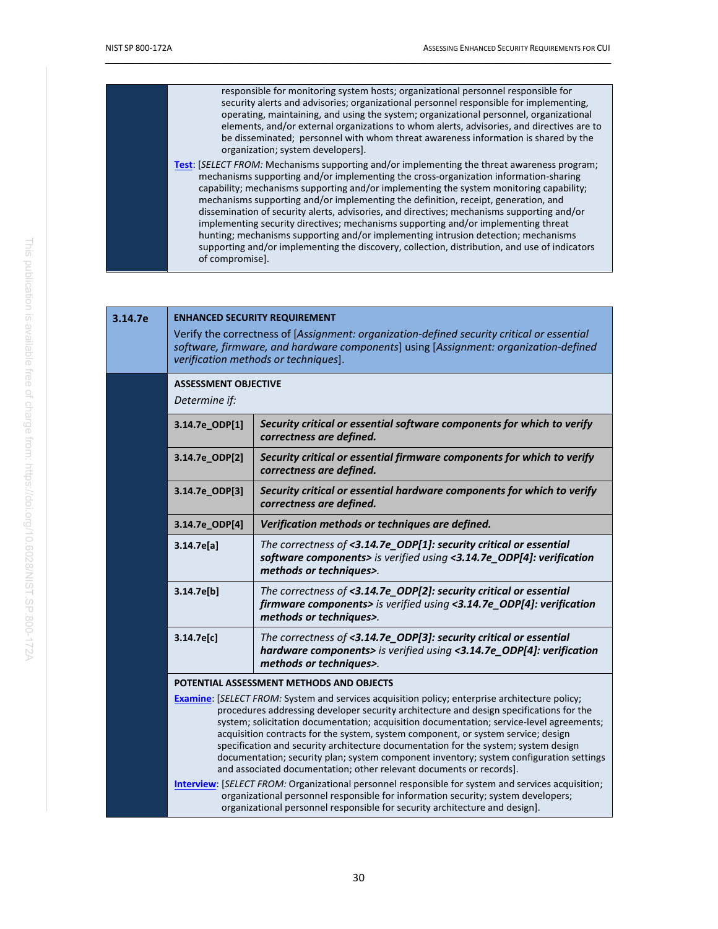| responsible for monitoring system hosts; organizational personnel responsible for<br>security alerts and advisories; organizational personnel responsible for implementing,<br>operating, maintaining, and using the system; organizational personnel, organizational<br>elements, and/or external organizations to whom alerts, advisories, and directives are to<br>be disseminated; personnel with whom threat awareness information is shared by the<br>organization; system developers].                                                                                                                                                                                                                                                                             |
|---------------------------------------------------------------------------------------------------------------------------------------------------------------------------------------------------------------------------------------------------------------------------------------------------------------------------------------------------------------------------------------------------------------------------------------------------------------------------------------------------------------------------------------------------------------------------------------------------------------------------------------------------------------------------------------------------------------------------------------------------------------------------|
| <b>Test:</b> [SELECT FROM: Mechanisms supporting and/or implementing the threat awareness program;<br>mechanisms supporting and/or implementing the cross-organization information-sharing<br>capability; mechanisms supporting and/or implementing the system monitoring capability;<br>mechanisms supporting and/or implementing the definition, receipt, generation, and<br>dissemination of security alerts, advisories, and directives; mechanisms supporting and/or<br>implementing security directives; mechanisms supporting and/or implementing threat<br>hunting; mechanisms supporting and/or implementing intrusion detection; mechanisms<br>supporting and/or implementing the discovery, collection, distribution, and use of indicators<br>of compromise]. |

**3.14.7e ENHANCED SECURITY REQUIREMENT**

| 3.14./e | <b>ENHANCED SECURITY REQUIREMENT</b><br>Verify the correctness of [Assignment: organization-defined security critical or essential<br>software, firmware, and hardware components] using [Assignment: organization-defined<br>verification methods or techniques].                                                                                                                                                                                                                                                                                                                                                                  |                                                                                                                                                                                                                                                                        |
|---------|-------------------------------------------------------------------------------------------------------------------------------------------------------------------------------------------------------------------------------------------------------------------------------------------------------------------------------------------------------------------------------------------------------------------------------------------------------------------------------------------------------------------------------------------------------------------------------------------------------------------------------------|------------------------------------------------------------------------------------------------------------------------------------------------------------------------------------------------------------------------------------------------------------------------|
|         | <b>ASSESSMENT OBJECTIVE</b><br>Determine if:                                                                                                                                                                                                                                                                                                                                                                                                                                                                                                                                                                                        |                                                                                                                                                                                                                                                                        |
|         | 3.14.7e_ODP[1]                                                                                                                                                                                                                                                                                                                                                                                                                                                                                                                                                                                                                      | Security critical or essential software components for which to verify<br>correctness are defined.                                                                                                                                                                     |
|         | 3.14.7e_ODP[2]                                                                                                                                                                                                                                                                                                                                                                                                                                                                                                                                                                                                                      | Security critical or essential firmware components for which to verify<br>correctness are defined.                                                                                                                                                                     |
|         | 3.14.7e_ODP[3]                                                                                                                                                                                                                                                                                                                                                                                                                                                                                                                                                                                                                      | Security critical or essential hardware components for which to verify<br>correctness are defined.                                                                                                                                                                     |
|         | 3.14.7e_ODP[4]                                                                                                                                                                                                                                                                                                                                                                                                                                                                                                                                                                                                                      | Verification methods or techniques are defined.                                                                                                                                                                                                                        |
|         | 3.14.7e[a]                                                                                                                                                                                                                                                                                                                                                                                                                                                                                                                                                                                                                          | The correctness of <3.14.7e_ODP[1]: security critical or essential<br>software components> is verified using <3.14.7e_ODP[4]: verification<br>methods or techniques>.                                                                                                  |
|         | 3.14.7e[b]                                                                                                                                                                                                                                                                                                                                                                                                                                                                                                                                                                                                                          | The correctness of <3.14.7e_ODP[2]: security critical or essential<br>firmware components> is verified using <3.14.7e_ODP[4]: verification<br>methods or techniques>.                                                                                                  |
|         | 3.14.7e[c]                                                                                                                                                                                                                                                                                                                                                                                                                                                                                                                                                                                                                          | The correctness of <3.14.7e_ODP[3]: security critical or essential<br>hardware components> is verified using <3.14.7e_ODP[4]: verification<br>methods or techniques>.                                                                                                  |
|         |                                                                                                                                                                                                                                                                                                                                                                                                                                                                                                                                                                                                                                     | POTENTIAL ASSESSMENT METHODS AND OBJECTS                                                                                                                                                                                                                               |
|         | Examine: [SELECT FROM: System and services acquisition policy; enterprise architecture policy;<br>procedures addressing developer security architecture and design specifications for the<br>system; solicitation documentation; acquisition documentation; service-level agreements;<br>acquisition contracts for the system, system component, or system service; design<br>specification and security architecture documentation for the system; system design<br>documentation; security plan; system component inventory; system configuration settings<br>and associated documentation; other relevant documents or records]. |                                                                                                                                                                                                                                                                        |
|         |                                                                                                                                                                                                                                                                                                                                                                                                                                                                                                                                                                                                                                     | Interview: [SELECT FROM: Organizational personnel responsible for system and services acquisition;<br>organizational personnel responsible for information security; system developers;<br>organizational personnel responsible for security architecture and design]. |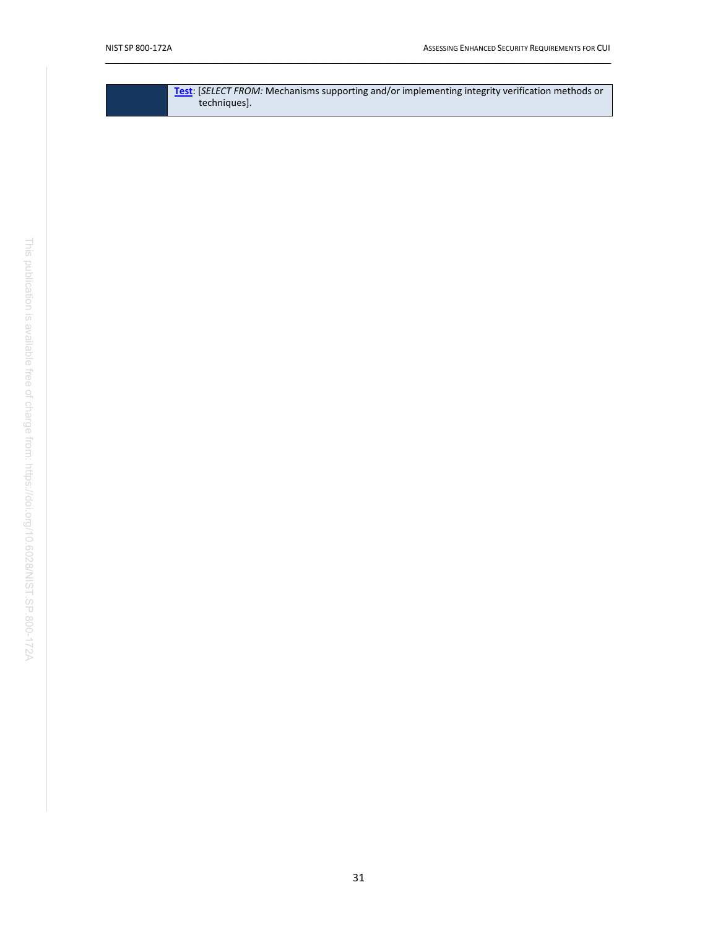| <b>Test:</b> [SELECT FROM: Mechanisms supporting and/or implementing integrity verification methods or |
|--------------------------------------------------------------------------------------------------------|
| techniques].                                                                                           |
|                                                                                                        |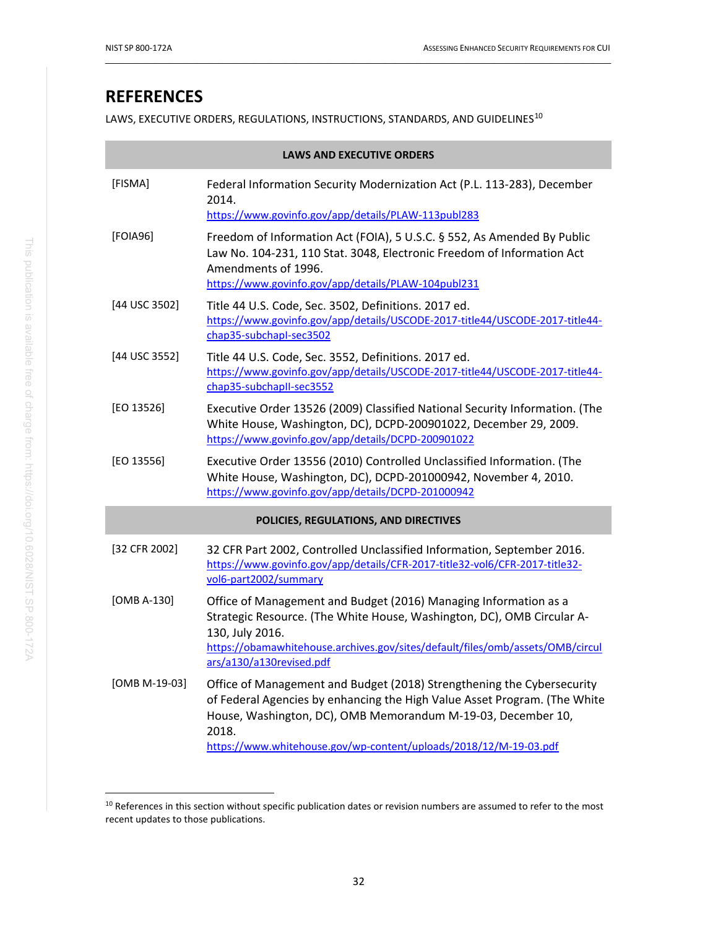# <span id="page-42-1"></span>**REFERENCES**

LAWS, EXECUTIVE ORDERS, REGULATIONS, INSTRUCTIONS, STANDARDS, AND GUIDELINES<sup>[10](#page-42-4)</sup>

<span id="page-42-8"></span><span id="page-42-6"></span><span id="page-42-2"></span><span id="page-42-0"></span>

| <b>LAWS AND EXECUTIVE ORDERS</b> |                                                                                                                                                                                                                                                                                                   |  |
|----------------------------------|---------------------------------------------------------------------------------------------------------------------------------------------------------------------------------------------------------------------------------------------------------------------------------------------------|--|
| [FISMA]                          | Federal Information Security Modernization Act (P.L. 113-283), December<br>2014.<br>https://www.govinfo.gov/app/details/PLAW-113publ283                                                                                                                                                           |  |
| [FOIA96]                         | Freedom of Information Act (FOIA), 5 U.S.C. § 552, As Amended By Public<br>Law No. 104-231, 110 Stat. 3048, Electronic Freedom of Information Act<br>Amendments of 1996.<br>https://www.govinfo.gov/app/details/PLAW-104publ231                                                                   |  |
| [44 USC 3502]                    | Title 44 U.S. Code, Sec. 3502, Definitions. 2017 ed.<br>https://www.govinfo.gov/app/details/USCODE-2017-title44/USCODE-2017-title44-<br>chap35-subchapl-sec3502                                                                                                                                   |  |
| [44 USC 3552]                    | Title 44 U.S. Code, Sec. 3552, Definitions. 2017 ed.<br>https://www.govinfo.gov/app/details/USCODE-2017-title44/USCODE-2017-title44-<br>chap35-subchapII-sec3552                                                                                                                                  |  |
| [EO 13526]                       | Executive Order 13526 (2009) Classified National Security Information. (The<br>White House, Washington, DC), DCPD-200901022, December 29, 2009.<br>https://www.govinfo.gov/app/details/DCPD-200901022                                                                                             |  |
| [EO 13556]                       | Executive Order 13556 (2010) Controlled Unclassified Information. (The<br>White House, Washington, DC), DCPD-201000942, November 4, 2010.<br>https://www.govinfo.gov/app/details/DCPD-201000942                                                                                                   |  |
|                                  | POLICIES, REGULATIONS, AND DIRECTIVES                                                                                                                                                                                                                                                             |  |
| [32 CFR 2002]                    | 32 CFR Part 2002, Controlled Unclassified Information, September 2016.<br>https://www.govinfo.gov/app/details/CFR-2017-title32-vol6/CFR-2017-title32-<br>vol6-part2002/summary                                                                                                                    |  |
| [OMB A-130]                      | Office of Management and Budget (2016) Managing Information as a<br>Strategic Resource. (The White House, Washington, DC), OMB Circular A-<br>130, July 2016.<br>https://obamawhitehouse.archives.gov/sites/default/files/omb/assets/OMB/circul<br>ars/a130/a130revised.pdf                       |  |
| [OMB M-19-03]                    | Office of Management and Budget (2018) Strengthening the Cybersecurity<br>of Federal Agencies by enhancing the High Value Asset Program. (The White<br>House, Washington, DC), OMB Memorandum M-19-03, December 10,<br>2018.<br>https://www.whitehouse.gov/wp-content/uploads/2018/12/M-19-03.pdf |  |

<span id="page-42-7"></span><span id="page-42-5"></span><span id="page-42-4"></span><span id="page-42-3"></span><sup>&</sup>lt;sup>10</sup> References in this section without specific publication dates or revision numbers are assumed to refer to the most recent updates to those publications.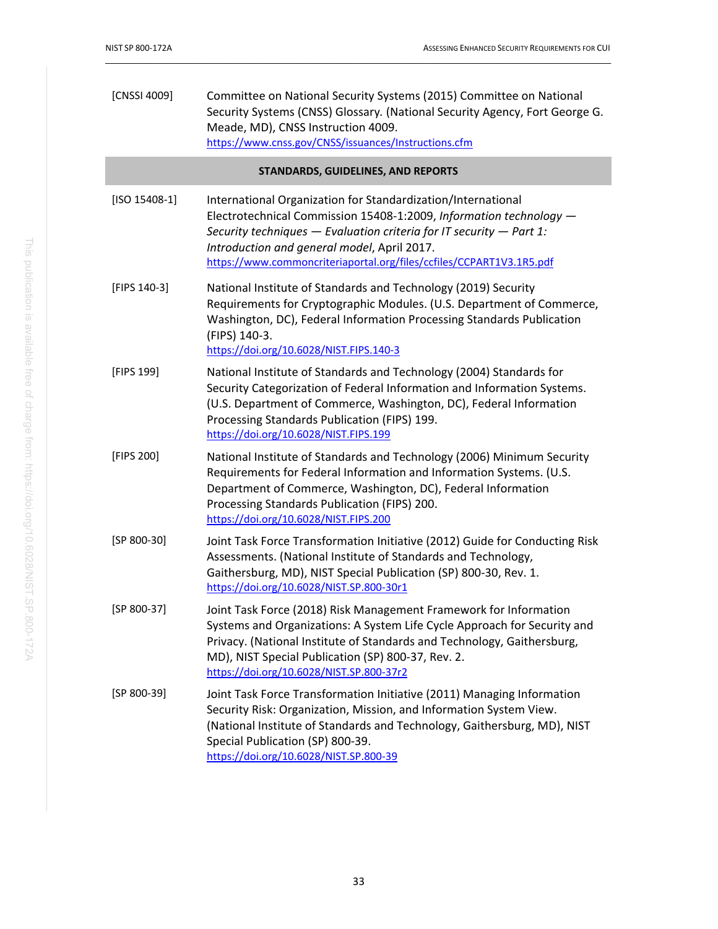<span id="page-43-6"></span><span id="page-43-5"></span><span id="page-43-4"></span><span id="page-43-3"></span><span id="page-43-2"></span><span id="page-43-1"></span><span id="page-43-0"></span>

| [CNSSI 4009]    | Committee on National Security Systems (2015) Committee on National<br>Security Systems (CNSS) Glossary. (National Security Agency, Fort George G.<br>Meade, MD), CNSS Instruction 4009.<br>https://www.cnss.gov/CNSS/issuances/Instructions.cfm                                                                                     |
|-----------------|--------------------------------------------------------------------------------------------------------------------------------------------------------------------------------------------------------------------------------------------------------------------------------------------------------------------------------------|
|                 | STANDARDS, GUIDELINES, AND REPORTS                                                                                                                                                                                                                                                                                                   |
| $[ISO 15408-1]$ | International Organization for Standardization/International<br>Electrotechnical Commission 15408-1:2009, Information technology -<br>Security techniques $-$ Evaluation criteria for IT security $-$ Part 1:<br>Introduction and general model, April 2017.<br>https://www.commoncriteriaportal.org/files/ccfiles/CCPART1V3.1R5.pdf |
| [FIPS 140-3]    | National Institute of Standards and Technology (2019) Security<br>Requirements for Cryptographic Modules. (U.S. Department of Commerce,<br>Washington, DC), Federal Information Processing Standards Publication<br>(FIPS) 140-3.<br>https://doi.org/10.6028/NIST.FIPS.140-3                                                         |
| [FIPS 199]      | National Institute of Standards and Technology (2004) Standards for<br>Security Categorization of Federal Information and Information Systems.<br>(U.S. Department of Commerce, Washington, DC), Federal Information<br>Processing Standards Publication (FIPS) 199.<br>https://doi.org/10.6028/NIST.FIPS.199                        |
| [FIPS 200]      | National Institute of Standards and Technology (2006) Minimum Security<br>Requirements for Federal Information and Information Systems. (U.S.<br>Department of Commerce, Washington, DC), Federal Information<br>Processing Standards Publication (FIPS) 200.<br>https://doi.org/10.6028/NIST.FIPS.200                               |
| $[SP 800-30]$   | Joint Task Force Transformation Initiative (2012) Guide for Conducting Risk<br>Assessments. (National Institute of Standards and Technology,<br>Gaithersburg, MD), NIST Special Publication (SP) 800-30, Rev. 1.<br>https://doi.org/10.6028/NIST.SP.800-30r1                                                                         |
| [SP 800-37]     | Joint Task Force (2018) Risk Management Framework for Information<br>Systems and Organizations: A System Life Cycle Approach for Security and<br>Privacy. (National Institute of Standards and Technology, Gaithersburg,<br>MD), NIST Special Publication (SP) 800-37, Rev. 2.<br>https://doi.org/10.6028/NIST.SP.800-37r2           |
| $[SP 800-39]$   | Joint Task Force Transformation Initiative (2011) Managing Information<br>Security Risk: Organization, Mission, and Information System View.<br>(National Institute of Standards and Technology, Gaithersburg, MD), NIST<br>Special Publication (SP) 800-39.<br>https://doi.org/10.6028/NIST.SP.800-39                               |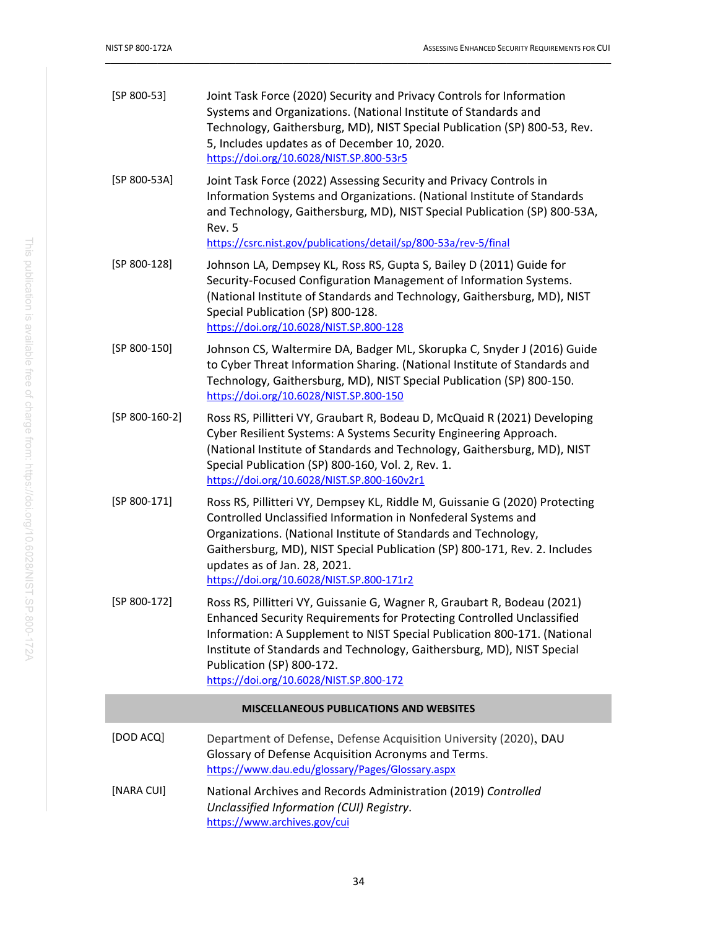<span id="page-44-8"></span><span id="page-44-7"></span><span id="page-44-6"></span><span id="page-44-5"></span><span id="page-44-4"></span><span id="page-44-3"></span><span id="page-44-2"></span><span id="page-44-1"></span><span id="page-44-0"></span>

| $[SP 800-53]$                                  | Joint Task Force (2020) Security and Privacy Controls for Information<br>Systems and Organizations. (National Institute of Standards and<br>Technology, Gaithersburg, MD), NIST Special Publication (SP) 800-53, Rev.<br>5, Includes updates as of December 10, 2020.<br>https://doi.org/10.6028/NIST.SP.800-53r5                                                               |  |
|------------------------------------------------|---------------------------------------------------------------------------------------------------------------------------------------------------------------------------------------------------------------------------------------------------------------------------------------------------------------------------------------------------------------------------------|--|
| [SP 800-53A]                                   | Joint Task Force (2022) Assessing Security and Privacy Controls in<br>Information Systems and Organizations. (National Institute of Standards<br>and Technology, Gaithersburg, MD), NIST Special Publication (SP) 800-53A,<br>Rev. 5<br>https://csrc.nist.gov/publications/detail/sp/800-53a/rev-5/final                                                                        |  |
| [SP 800-128]                                   | Johnson LA, Dempsey KL, Ross RS, Gupta S, Bailey D (2011) Guide for<br>Security-Focused Configuration Management of Information Systems.<br>(National Institute of Standards and Technology, Gaithersburg, MD), NIST<br>Special Publication (SP) 800-128.<br>https://doi.org/10.6028/NIST.SP.800-128                                                                            |  |
| [SP 800-150]                                   | Johnson CS, Waltermire DA, Badger ML, Skorupka C, Snyder J (2016) Guide<br>to Cyber Threat Information Sharing. (National Institute of Standards and<br>Technology, Gaithersburg, MD), NIST Special Publication (SP) 800-150.<br>https://doi.org/10.6028/NIST.SP.800-150                                                                                                        |  |
| $[SP 800-160-2]$                               | Ross RS, Pillitteri VY, Graubart R, Bodeau D, McQuaid R (2021) Developing<br>Cyber Resilient Systems: A Systems Security Engineering Approach.<br>(National Institute of Standards and Technology, Gaithersburg, MD), NIST<br>Special Publication (SP) 800-160, Vol. 2, Rev. 1.<br>https://doi.org/10.6028/NIST.SP.800-160v2r1                                                  |  |
| [SP 800-171]                                   | Ross RS, Pillitteri VY, Dempsey KL, Riddle M, Guissanie G (2020) Protecting<br>Controlled Unclassified Information in Nonfederal Systems and<br>Organizations. (National Institute of Standards and Technology,<br>Gaithersburg, MD), NIST Special Publication (SP) 800-171, Rev. 2. Includes<br>updates as of Jan. 28, 2021.<br>https://doi.org/10.6028/NIST.SP.800-171r2      |  |
| $[SP 800-172]$                                 | Ross RS, Pillitteri VY, Guissanie G, Wagner R, Graubart R, Bodeau (2021)<br>Enhanced Security Requirements for Protecting Controlled Unclassified<br>Information: A Supplement to NIST Special Publication 800-171. (National<br>Institute of Standards and Technology, Gaithersburg, MD), NIST Special<br>Publication (SP) 800-172.<br>https://doi.org/10.6028/NIST.SP.800-172 |  |
| <b>MISCELLANEOUS PUBLICATIONS AND WEBSITES</b> |                                                                                                                                                                                                                                                                                                                                                                                 |  |
| [DOD ACQ]                                      | Department of Defense, Defense Acquisition University (2020), DAU<br>Glossary of Defense Acquisition Acronyms and Terms.<br>https://www.dau.edu/glossary/Pages/Glossary.aspx                                                                                                                                                                                                    |  |
| [NARA CUI]                                     | National Archives and Records Administration (2019) Controlled<br>Unclassified Information (CUI) Registry.<br>https://www.archives.gov/cui                                                                                                                                                                                                                                      |  |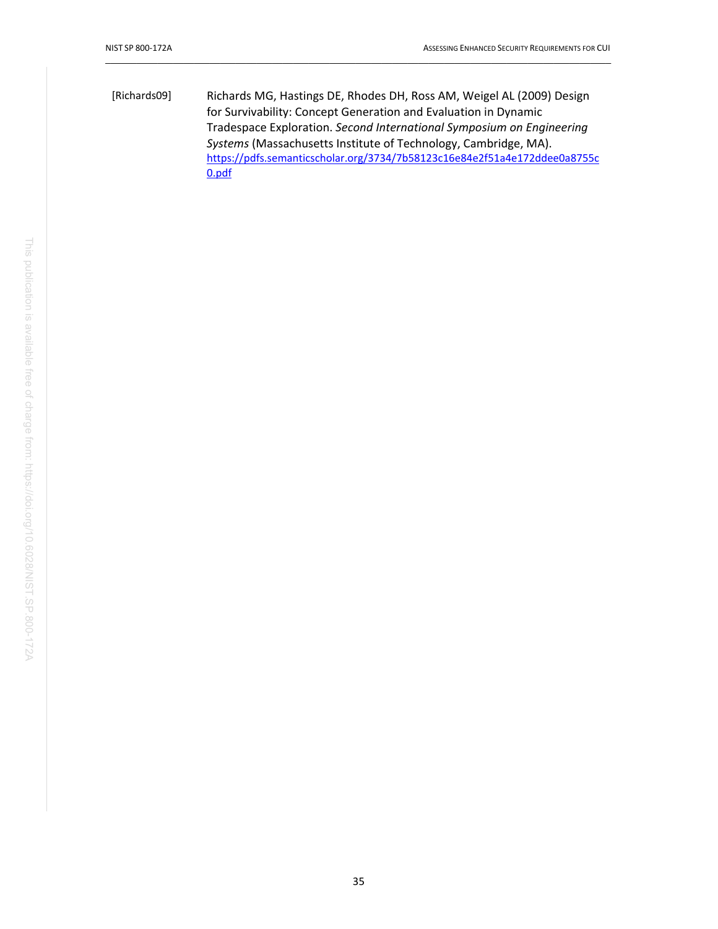<span id="page-45-0"></span>[Richards09] Richards MG, Hastings DE, Rhodes DH, Ross AM, Weigel AL (2009) Design for Survivability: Concept Generation and Evaluation in Dynamic Tradespace Exploration. *Second International Symposium on Engineering Systems* (Massachusetts Institute of Technology, Cambridge, MA). [https://pdfs.semanticscholar.org/3734/7b58123c16e84e2f51a4e172ddee0a8755c](https://pdfs.semanticscholar.org/3734/7b58123c16e84e2f51a4e172ddee0a8755c0.pdf) [0.pdf](https://pdfs.semanticscholar.org/3734/7b58123c16e84e2f51a4e172ddee0a8755c0.pdf)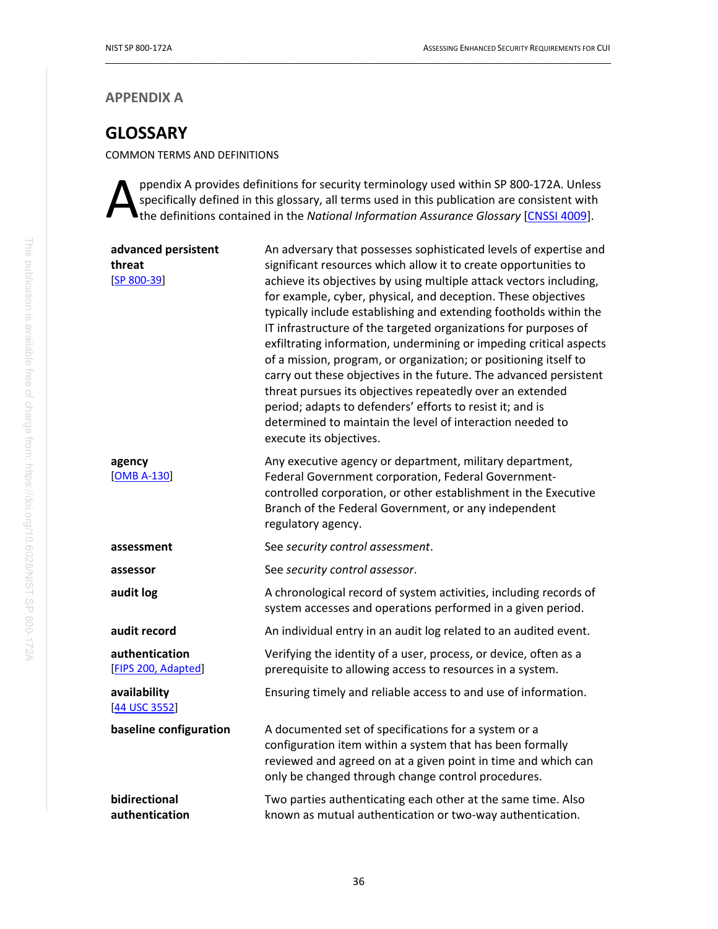### **APPENDIX A**

# <span id="page-46-0"></span>**GLOSSARY**

COMMON TERMS AND DEFINITIONS

ppendix A provides definitions for security terminology used within SP 800-172A. Unless specifically defined in this glossary, all terms used in this publication are consistent with ppendix A provides definitions for security terminology used within SP 800-172A. Unles<br>specifically defined in this glossary, all terms used in this publication are consistent with<br>the definitions contained in the *Nationa* 

| advanced persistent<br>threat<br>$[SP 800-39]$ | An adversary that possesses sophisticated levels of expertise and<br>significant resources which allow it to create opportunities to<br>achieve its objectives by using multiple attack vectors including,<br>for example, cyber, physical, and deception. These objectives<br>typically include establishing and extending footholds within the<br>IT infrastructure of the targeted organizations for purposes of<br>exfiltrating information, undermining or impeding critical aspects<br>of a mission, program, or organization; or positioning itself to<br>carry out these objectives in the future. The advanced persistent<br>threat pursues its objectives repeatedly over an extended<br>period; adapts to defenders' efforts to resist it; and is<br>determined to maintain the level of interaction needed to<br>execute its objectives. |
|------------------------------------------------|------------------------------------------------------------------------------------------------------------------------------------------------------------------------------------------------------------------------------------------------------------------------------------------------------------------------------------------------------------------------------------------------------------------------------------------------------------------------------------------------------------------------------------------------------------------------------------------------------------------------------------------------------------------------------------------------------------------------------------------------------------------------------------------------------------------------------------------------------|
| agency<br>$[OMB A-130]$                        | Any executive agency or department, military department,<br>Federal Government corporation, Federal Government-<br>controlled corporation, or other establishment in the Executive<br>Branch of the Federal Government, or any independent<br>regulatory agency.                                                                                                                                                                                                                                                                                                                                                                                                                                                                                                                                                                                     |
| assessment                                     | See security control assessment.                                                                                                                                                                                                                                                                                                                                                                                                                                                                                                                                                                                                                                                                                                                                                                                                                     |
| assessor                                       | See security control assessor.                                                                                                                                                                                                                                                                                                                                                                                                                                                                                                                                                                                                                                                                                                                                                                                                                       |
| audit log                                      | A chronological record of system activities, including records of<br>system accesses and operations performed in a given period.                                                                                                                                                                                                                                                                                                                                                                                                                                                                                                                                                                                                                                                                                                                     |
| audit record                                   | An individual entry in an audit log related to an audited event.                                                                                                                                                                                                                                                                                                                                                                                                                                                                                                                                                                                                                                                                                                                                                                                     |
| authentication<br>[FIPS 200, Adapted]          | Verifying the identity of a user, process, or device, often as a<br>prerequisite to allowing access to resources in a system.                                                                                                                                                                                                                                                                                                                                                                                                                                                                                                                                                                                                                                                                                                                        |
| availability<br>[44 USC 3552]                  | Ensuring timely and reliable access to and use of information.                                                                                                                                                                                                                                                                                                                                                                                                                                                                                                                                                                                                                                                                                                                                                                                       |
| baseline configuration                         | A documented set of specifications for a system or a<br>configuration item within a system that has been formally<br>reviewed and agreed on at a given point in time and which can<br>only be changed through change control procedures.                                                                                                                                                                                                                                                                                                                                                                                                                                                                                                                                                                                                             |
| bidirectional<br>authentication                | Two parties authenticating each other at the same time. Also<br>known as mutual authentication or two-way authentication.                                                                                                                                                                                                                                                                                                                                                                                                                                                                                                                                                                                                                                                                                                                            |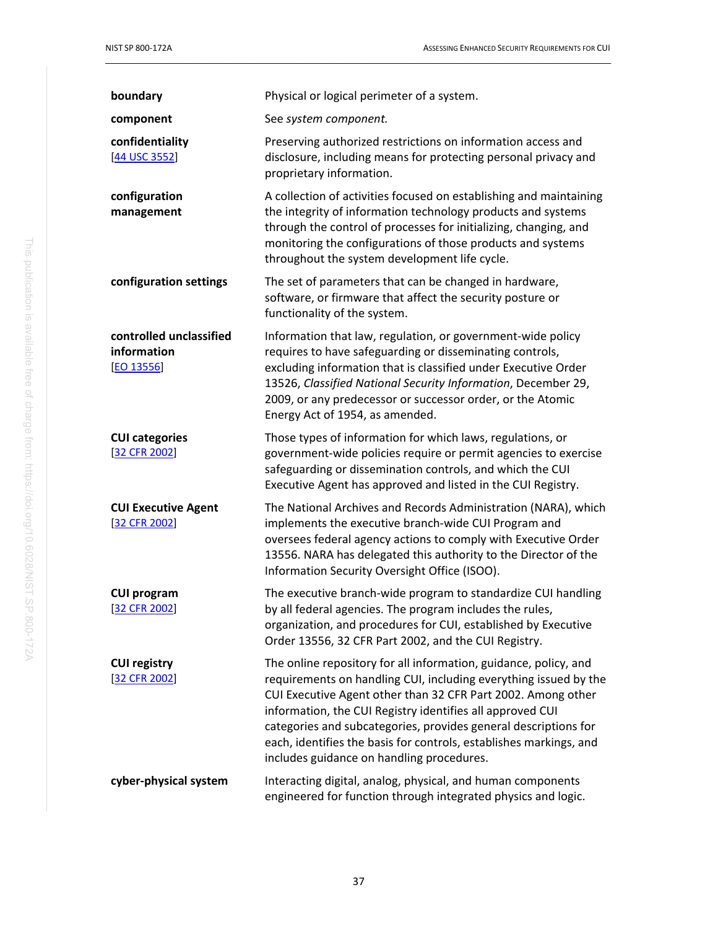| boundary                                             | Physical or logical perimeter of a system.                                                                                                                                                                                                                                                                                                                                                                                                              |
|------------------------------------------------------|---------------------------------------------------------------------------------------------------------------------------------------------------------------------------------------------------------------------------------------------------------------------------------------------------------------------------------------------------------------------------------------------------------------------------------------------------------|
| component                                            | See system component.                                                                                                                                                                                                                                                                                                                                                                                                                                   |
| confidentiality<br>[44 USC 3552]                     | Preserving authorized restrictions on information access and<br>disclosure, including means for protecting personal privacy and<br>proprietary information.                                                                                                                                                                                                                                                                                             |
| configuration<br>management                          | A collection of activities focused on establishing and maintaining<br>the integrity of information technology products and systems<br>through the control of processes for initializing, changing, and<br>monitoring the configurations of those products and systems<br>throughout the system development life cycle.                                                                                                                                  |
| configuration settings                               | The set of parameters that can be changed in hardware,<br>software, or firmware that affect the security posture or<br>functionality of the system.                                                                                                                                                                                                                                                                                                     |
| controlled unclassified<br>information<br>[EO 13556] | Information that law, regulation, or government-wide policy<br>requires to have safeguarding or disseminating controls,<br>excluding information that is classified under Executive Order<br>13526, Classified National Security Information, December 29,<br>2009, or any predecessor or successor order, or the Atomic<br>Energy Act of 1954, as amended.                                                                                             |
| <b>CUI categories</b><br>[32 CFR 2002]               | Those types of information for which laws, regulations, or<br>government-wide policies require or permit agencies to exercise<br>safeguarding or dissemination controls, and which the CUI<br>Executive Agent has approved and listed in the CUI Registry.                                                                                                                                                                                              |
| <b>CUI Executive Agent</b><br>[32 CFR 2002]          | The National Archives and Records Administration (NARA), which<br>implements the executive branch-wide CUI Program and<br>oversees federal agency actions to comply with Executive Order<br>13556. NARA has delegated this authority to the Director of the<br>Information Security Oversight Office (ISOO).                                                                                                                                            |
| <b>CUI program</b><br>$[32$ CFR 2002]                | The executive branch-wide program to standardize CUI handling<br>by all federal agencies. The program includes the rules,<br>organization, and procedures for CUI, established by Executive<br>Order 13556, 32 CFR Part 2002, and the CUI Registry.                                                                                                                                                                                                     |
| <b>CUI registry</b><br>[32 CFR 2002]                 | The online repository for all information, guidance, policy, and<br>requirements on handling CUI, including everything issued by the<br>CUI Executive Agent other than 32 CFR Part 2002. Among other<br>information, the CUI Registry identifies all approved CUI<br>categories and subcategories, provides general descriptions for<br>each, identifies the basis for controls, establishes markings, and<br>includes guidance on handling procedures. |
| cyber-physical system                                | Interacting digital, analog, physical, and human components<br>engineered for function through integrated physics and logic.                                                                                                                                                                                                                                                                                                                            |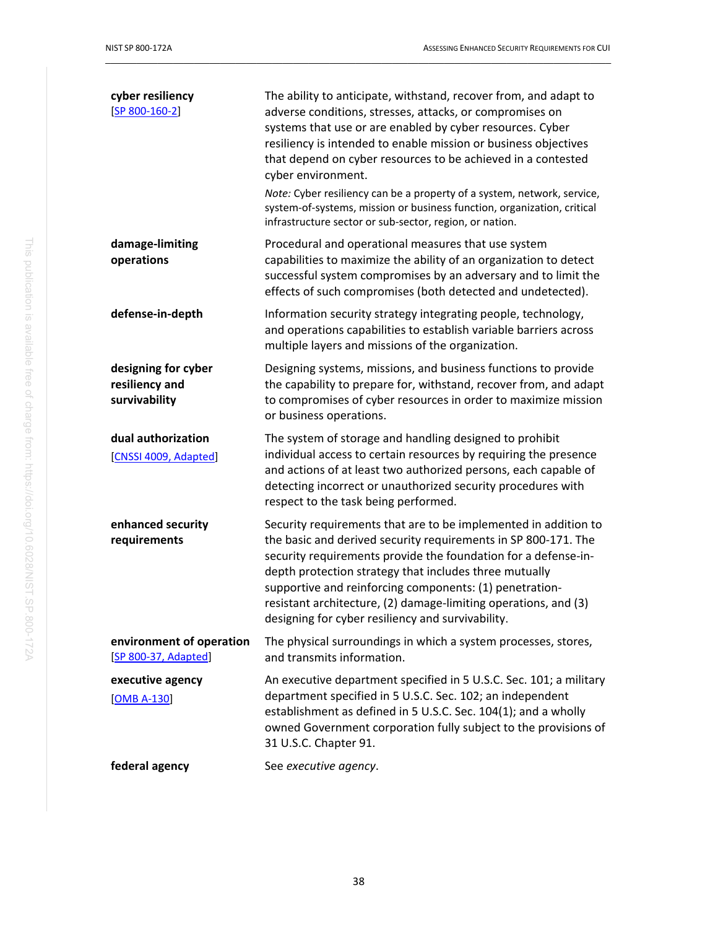| cyber resiliency<br>$[SP 800-160-2]$                   | The ability to anticipate, withstand, recover from, and adapt to<br>adverse conditions, stresses, attacks, or compromises on<br>systems that use or are enabled by cyber resources. Cyber<br>resiliency is intended to enable mission or business objectives<br>that depend on cyber resources to be achieved in a contested<br>cyber environment.<br>Note: Cyber resiliency can be a property of a system, network, service,<br>system-of-systems, mission or business function, organization, critical<br>infrastructure sector or sub-sector, region, or nation. |
|--------------------------------------------------------|---------------------------------------------------------------------------------------------------------------------------------------------------------------------------------------------------------------------------------------------------------------------------------------------------------------------------------------------------------------------------------------------------------------------------------------------------------------------------------------------------------------------------------------------------------------------|
| damage-limiting<br>operations                          | Procedural and operational measures that use system<br>capabilities to maximize the ability of an organization to detect<br>successful system compromises by an adversary and to limit the<br>effects of such compromises (both detected and undetected).                                                                                                                                                                                                                                                                                                           |
| defense-in-depth                                       | Information security strategy integrating people, technology,<br>and operations capabilities to establish variable barriers across<br>multiple layers and missions of the organization.                                                                                                                                                                                                                                                                                                                                                                             |
| designing for cyber<br>resiliency and<br>survivability | Designing systems, missions, and business functions to provide<br>the capability to prepare for, withstand, recover from, and adapt<br>to compromises of cyber resources in order to maximize mission<br>or business operations.                                                                                                                                                                                                                                                                                                                                    |
| dual authorization<br>[CNSSI 4009, Adapted]            | The system of storage and handling designed to prohibit<br>individual access to certain resources by requiring the presence<br>and actions of at least two authorized persons, each capable of<br>detecting incorrect or unauthorized security procedures with<br>respect to the task being performed.                                                                                                                                                                                                                                                              |
| enhanced security<br>requirements                      | Security requirements that are to be implemented in addition to<br>the basic and derived security requirements in SP 800-171. The<br>security requirements provide the foundation for a defense-in-<br>depth protection strategy that includes three mutually<br>supportive and reinforcing components: (1) penetration-<br>resistant architecture, (2) damage-limiting operations, and (3)<br>designing for cyber resiliency and survivability.                                                                                                                    |
| environment of operation<br>[SP 800-37, Adapted]       | The physical surroundings in which a system processes, stores,<br>and transmits information.                                                                                                                                                                                                                                                                                                                                                                                                                                                                        |
| executive agency<br>$[OMB A-130]$                      | An executive department specified in 5 U.S.C. Sec. 101; a military<br>department specified in 5 U.S.C. Sec. 102; an independent<br>establishment as defined in 5 U.S.C. Sec. 104(1); and a wholly<br>owned Government corporation fully subject to the provisions of<br>31 U.S.C. Chapter 91.                                                                                                                                                                                                                                                                       |
| federal agency                                         | See executive agency.                                                                                                                                                                                                                                                                                                                                                                                                                                                                                                                                               |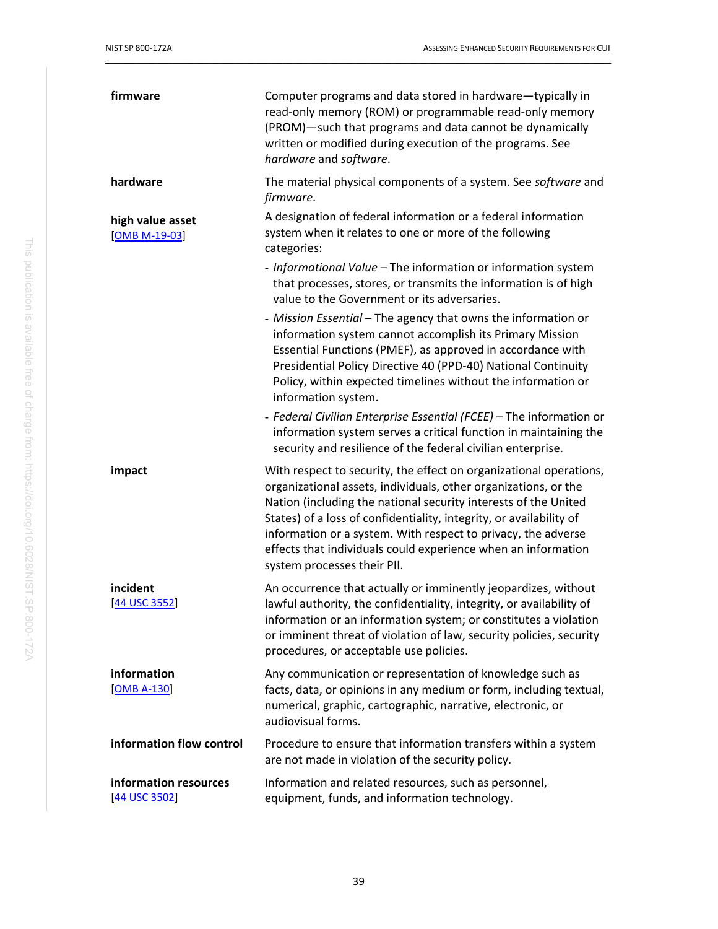| firmware                               | Computer programs and data stored in hardware-typically in<br>read-only memory (ROM) or programmable read-only memory<br>(PROM)-such that programs and data cannot be dynamically<br>written or modified during execution of the programs. See<br>hardware and software.                                                                                                                                                                         |
|----------------------------------------|--------------------------------------------------------------------------------------------------------------------------------------------------------------------------------------------------------------------------------------------------------------------------------------------------------------------------------------------------------------------------------------------------------------------------------------------------|
| hardware                               | The material physical components of a system. See software and<br>firmware.                                                                                                                                                                                                                                                                                                                                                                      |
| high value asset<br>$[OMB M-19-03]$    | A designation of federal information or a federal information<br>system when it relates to one or more of the following<br>categories:                                                                                                                                                                                                                                                                                                           |
|                                        | - Informational Value - The information or information system<br>that processes, stores, or transmits the information is of high<br>value to the Government or its adversaries.                                                                                                                                                                                                                                                                  |
|                                        | - Mission Essential - The agency that owns the information or<br>information system cannot accomplish its Primary Mission<br>Essential Functions (PMEF), as approved in accordance with<br>Presidential Policy Directive 40 (PPD-40) National Continuity<br>Policy, within expected timelines without the information or<br>information system.                                                                                                  |
|                                        | - Federal Civilian Enterprise Essential (FCEE) - The information or<br>information system serves a critical function in maintaining the<br>security and resilience of the federal civilian enterprise.                                                                                                                                                                                                                                           |
| impact                                 | With respect to security, the effect on organizational operations,<br>organizational assets, individuals, other organizations, or the<br>Nation (including the national security interests of the United<br>States) of a loss of confidentiality, integrity, or availability of<br>information or a system. With respect to privacy, the adverse<br>effects that individuals could experience when an information<br>system processes their PII. |
| incident<br>[44 USC 3552]              | An occurrence that actually or imminently jeopardizes, without<br>lawful authority, the confidentiality, integrity, or availability of<br>information or an information system; or constitutes a violation<br>or imminent threat of violation of law, security policies, security<br>procedures, or acceptable use policies.                                                                                                                     |
| information<br>[OMB A-130]             | Any communication or representation of knowledge such as<br>facts, data, or opinions in any medium or form, including textual,<br>numerical, graphic, cartographic, narrative, electronic, or<br>audiovisual forms.                                                                                                                                                                                                                              |
| information flow control               | Procedure to ensure that information transfers within a system<br>are not made in violation of the security policy.                                                                                                                                                                                                                                                                                                                              |
| information resources<br>[44 USC 3502] | Information and related resources, such as personnel,<br>equipment, funds, and information technology.                                                                                                                                                                                                                                                                                                                                           |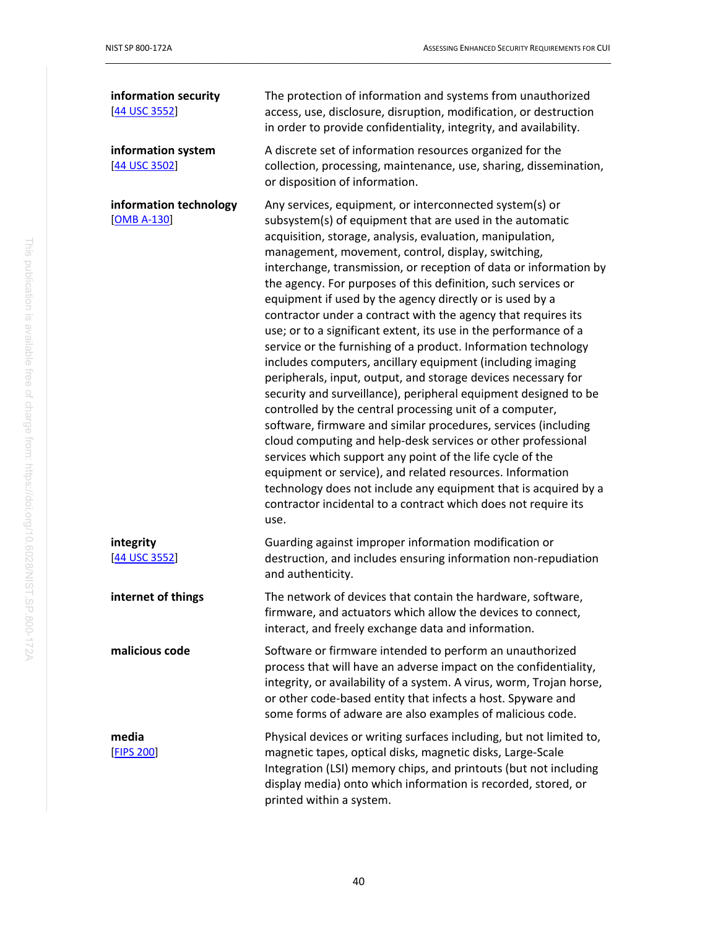| information security<br>[44 USC 3552]   | The protection of information and systems from unauthorized<br>access, use, disclosure, disruption, modification, or destruction<br>in order to provide confidentiality, integrity, and availability.                                                                                                                                                                                                                                                                                                                                                                                                                                                                                                                                                                                                                                                                                                                                                                                                                                                                                                                                                                                                                                                                                                                  |
|-----------------------------------------|------------------------------------------------------------------------------------------------------------------------------------------------------------------------------------------------------------------------------------------------------------------------------------------------------------------------------------------------------------------------------------------------------------------------------------------------------------------------------------------------------------------------------------------------------------------------------------------------------------------------------------------------------------------------------------------------------------------------------------------------------------------------------------------------------------------------------------------------------------------------------------------------------------------------------------------------------------------------------------------------------------------------------------------------------------------------------------------------------------------------------------------------------------------------------------------------------------------------------------------------------------------------------------------------------------------------|
| information system<br>[44 USC 3502]     | A discrete set of information resources organized for the<br>collection, processing, maintenance, use, sharing, dissemination,<br>or disposition of information.                                                                                                                                                                                                                                                                                                                                                                                                                                                                                                                                                                                                                                                                                                                                                                                                                                                                                                                                                                                                                                                                                                                                                       |
| information technology<br>$[OMB A-130]$ | Any services, equipment, or interconnected system(s) or<br>subsystem(s) of equipment that are used in the automatic<br>acquisition, storage, analysis, evaluation, manipulation,<br>management, movement, control, display, switching,<br>interchange, transmission, or reception of data or information by<br>the agency. For purposes of this definition, such services or<br>equipment if used by the agency directly or is used by a<br>contractor under a contract with the agency that requires its<br>use; or to a significant extent, its use in the performance of a<br>service or the furnishing of a product. Information technology<br>includes computers, ancillary equipment (including imaging<br>peripherals, input, output, and storage devices necessary for<br>security and surveillance), peripheral equipment designed to be<br>controlled by the central processing unit of a computer,<br>software, firmware and similar procedures, services (including<br>cloud computing and help-desk services or other professional<br>services which support any point of the life cycle of the<br>equipment or service), and related resources. Information<br>technology does not include any equipment that is acquired by a<br>contractor incidental to a contract which does not require its<br>use. |
| integrity<br>[44 USC 3552]              | Guarding against improper information modification or<br>destruction, and includes ensuring information non-repudiation<br>and authenticity.                                                                                                                                                                                                                                                                                                                                                                                                                                                                                                                                                                                                                                                                                                                                                                                                                                                                                                                                                                                                                                                                                                                                                                           |
| internet of things                      | The network of devices that contain the hardware, software,<br>firmware, and actuators which allow the devices to connect,<br>interact, and freely exchange data and information.                                                                                                                                                                                                                                                                                                                                                                                                                                                                                                                                                                                                                                                                                                                                                                                                                                                                                                                                                                                                                                                                                                                                      |
| malicious code                          | Software or firmware intended to perform an unauthorized<br>process that will have an adverse impact on the confidentiality,<br>integrity, or availability of a system. A virus, worm, Trojan horse,<br>or other code-based entity that infects a host. Spyware and<br>some forms of adware are also examples of malicious code.                                                                                                                                                                                                                                                                                                                                                                                                                                                                                                                                                                                                                                                                                                                                                                                                                                                                                                                                                                                       |
| media<br><b>[FIPS 200]</b>              | Physical devices or writing surfaces including, but not limited to,<br>magnetic tapes, optical disks, magnetic disks, Large-Scale<br>Integration (LSI) memory chips, and printouts (but not including<br>display media) onto which information is recorded, stored, or<br>printed within a system.                                                                                                                                                                                                                                                                                                                                                                                                                                                                                                                                                                                                                                                                                                                                                                                                                                                                                                                                                                                                                     |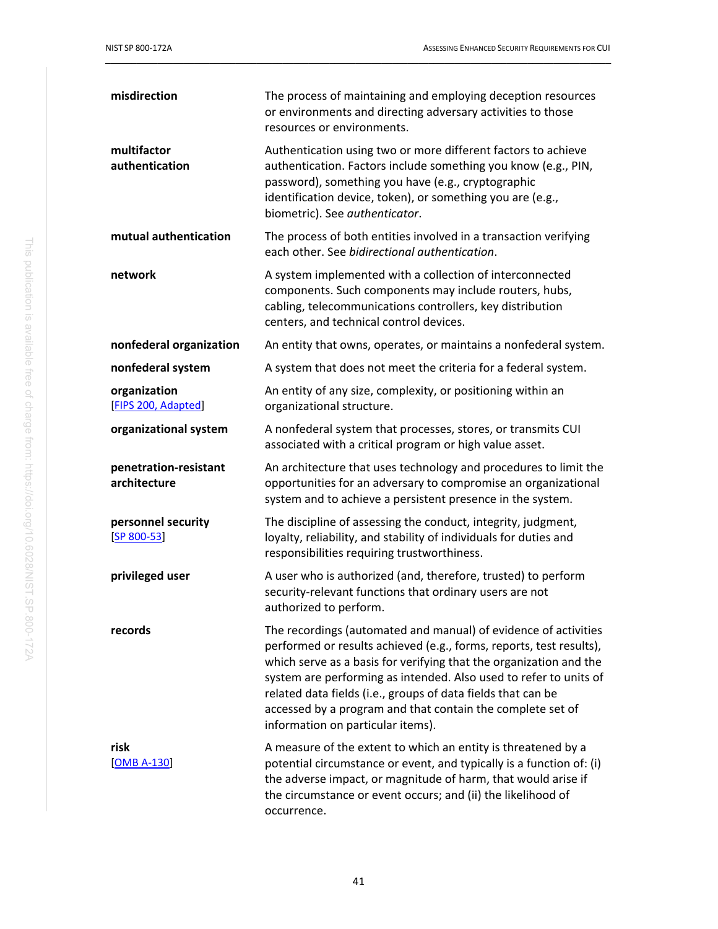| misdirection                          | The process of maintaining and employing deception resources<br>or environments and directing adversary activities to those<br>resources or environments.                                                                                                                                                                                                                                                                                            |
|---------------------------------------|------------------------------------------------------------------------------------------------------------------------------------------------------------------------------------------------------------------------------------------------------------------------------------------------------------------------------------------------------------------------------------------------------------------------------------------------------|
| multifactor<br>authentication         | Authentication using two or more different factors to achieve<br>authentication. Factors include something you know (e.g., PIN,<br>password), something you have (e.g., cryptographic<br>identification device, token), or something you are (e.g.,<br>biometric). See authenticator.                                                                                                                                                                |
| mutual authentication                 | The process of both entities involved in a transaction verifying<br>each other. See bidirectional authentication.                                                                                                                                                                                                                                                                                                                                    |
| network                               | A system implemented with a collection of interconnected<br>components. Such components may include routers, hubs,<br>cabling, telecommunications controllers, key distribution<br>centers, and technical control devices.                                                                                                                                                                                                                           |
| nonfederal organization               | An entity that owns, operates, or maintains a nonfederal system.                                                                                                                                                                                                                                                                                                                                                                                     |
| nonfederal system                     | A system that does not meet the criteria for a federal system.                                                                                                                                                                                                                                                                                                                                                                                       |
| organization<br>[FIPS 200, Adapted]   | An entity of any size, complexity, or positioning within an<br>organizational structure.                                                                                                                                                                                                                                                                                                                                                             |
| organizational system                 | A nonfederal system that processes, stores, or transmits CUI<br>associated with a critical program or high value asset.                                                                                                                                                                                                                                                                                                                              |
| penetration-resistant<br>architecture | An architecture that uses technology and procedures to limit the<br>opportunities for an adversary to compromise an organizational<br>system and to achieve a persistent presence in the system.                                                                                                                                                                                                                                                     |
| personnel security<br>$[SP 800 - 53]$ | The discipline of assessing the conduct, integrity, judgment,<br>loyalty, reliability, and stability of individuals for duties and<br>responsibilities requiring trustworthiness.                                                                                                                                                                                                                                                                    |
| privileged user                       | A user who is authorized (and, therefore, trusted) to perform<br>security-relevant functions that ordinary users are not<br>authorized to perform.                                                                                                                                                                                                                                                                                                   |
| records                               | The recordings (automated and manual) of evidence of activities<br>performed or results achieved (e.g., forms, reports, test results),<br>which serve as a basis for verifying that the organization and the<br>system are performing as intended. Also used to refer to units of<br>related data fields (i.e., groups of data fields that can be<br>accessed by a program and that contain the complete set of<br>information on particular items). |
| risk<br><b>[OMB A-130]</b>            | A measure of the extent to which an entity is threatened by a<br>potential circumstance or event, and typically is a function of: (i)<br>the adverse impact, or magnitude of harm, that would arise if<br>the circumstance or event occurs; and (ii) the likelihood of<br>occurrence.                                                                                                                                                                |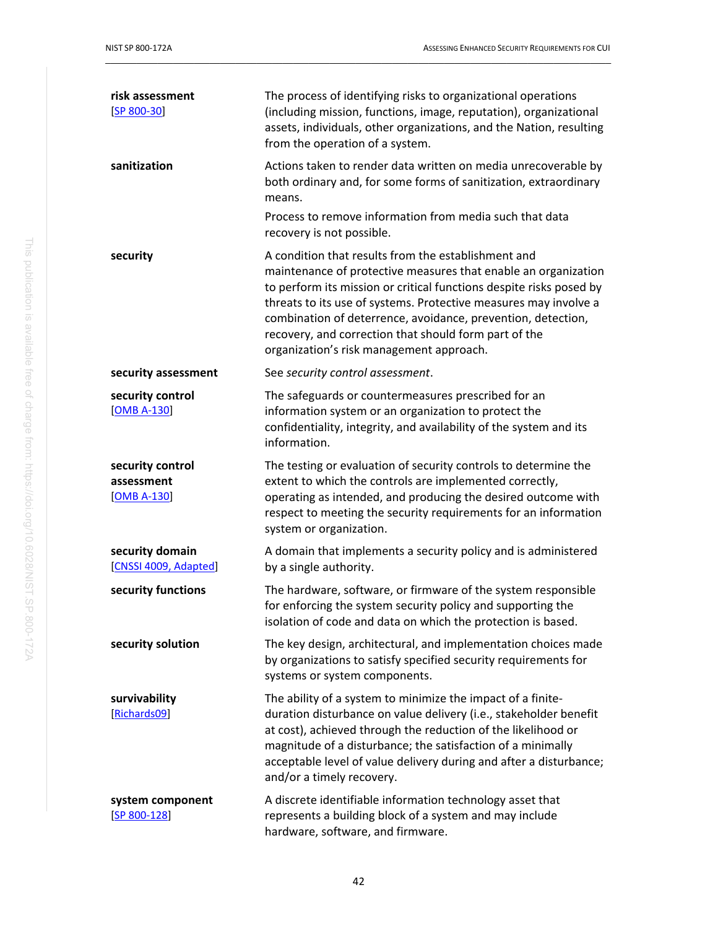| risk assessment<br>$[SP 800-30]$                | The process of identifying risks to organizational operations<br>(including mission, functions, image, reputation), organizational<br>assets, individuals, other organizations, and the Nation, resulting<br>from the operation of a system.                                                                                                                                                                                          |
|-------------------------------------------------|---------------------------------------------------------------------------------------------------------------------------------------------------------------------------------------------------------------------------------------------------------------------------------------------------------------------------------------------------------------------------------------------------------------------------------------|
| sanitization                                    | Actions taken to render data written on media unrecoverable by<br>both ordinary and, for some forms of sanitization, extraordinary<br>means.<br>Process to remove information from media such that data<br>recovery is not possible.                                                                                                                                                                                                  |
| security                                        | A condition that results from the establishment and<br>maintenance of protective measures that enable an organization<br>to perform its mission or critical functions despite risks posed by<br>threats to its use of systems. Protective measures may involve a<br>combination of deterrence, avoidance, prevention, detection,<br>recovery, and correction that should form part of the<br>organization's risk management approach. |
| security assessment                             | See security control assessment.                                                                                                                                                                                                                                                                                                                                                                                                      |
| security control<br><b>[OMB A-130]</b>          | The safeguards or countermeasures prescribed for an<br>information system or an organization to protect the<br>confidentiality, integrity, and availability of the system and its<br>information.                                                                                                                                                                                                                                     |
| security control<br>assessment<br>$[OMB A-130]$ | The testing or evaluation of security controls to determine the<br>extent to which the controls are implemented correctly,<br>operating as intended, and producing the desired outcome with<br>respect to meeting the security requirements for an information<br>system or organization.                                                                                                                                             |
| security domain<br>[CNSSI 4009, Adapted]        | A domain that implements a security policy and is administered<br>by a single authority.                                                                                                                                                                                                                                                                                                                                              |
| security functions                              | The hardware, software, or firmware of the system responsible<br>for enforcing the system security policy and supporting the<br>isolation of code and data on which the protection is based.                                                                                                                                                                                                                                          |
| security solution                               | The key design, architectural, and implementation choices made<br>by organizations to satisfy specified security requirements for<br>systems or system components.                                                                                                                                                                                                                                                                    |
| survivability<br>[Richards09]                   | The ability of a system to minimize the impact of a finite-<br>duration disturbance on value delivery (i.e., stakeholder benefit<br>at cost), achieved through the reduction of the likelihood or<br>magnitude of a disturbance; the satisfaction of a minimally<br>acceptable level of value delivery during and after a disturbance;<br>and/or a timely recovery.                                                                   |
| system component<br>$[SP 800-128]$              | A discrete identifiable information technology asset that<br>represents a building block of a system and may include<br>hardware, software, and firmware.                                                                                                                                                                                                                                                                             |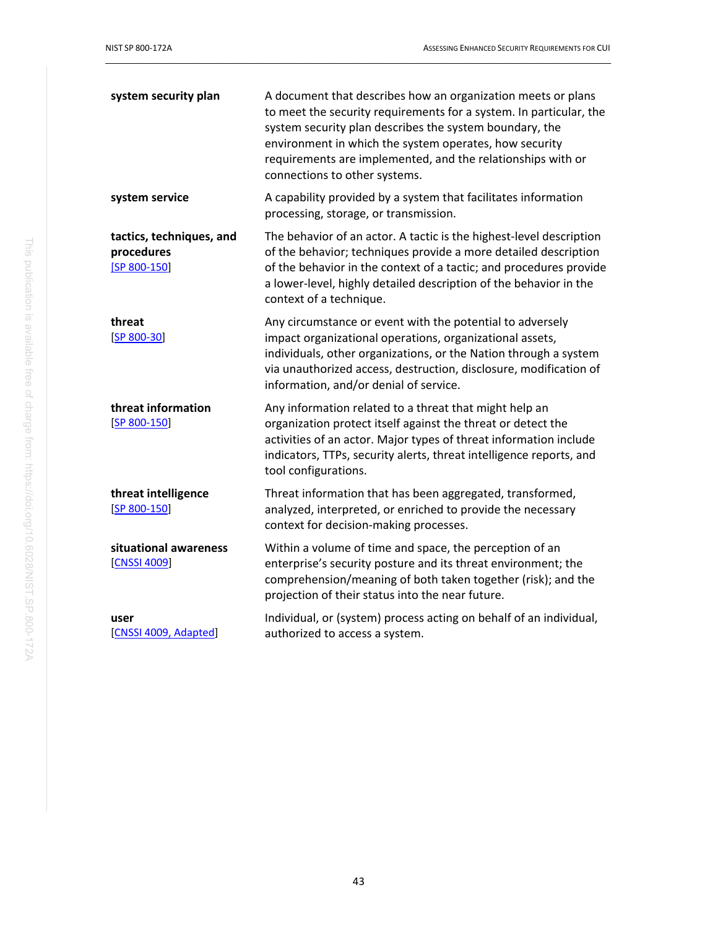| system security plan                                   | A document that describes how an organization meets or plans<br>to meet the security requirements for a system. In particular, the<br>system security plan describes the system boundary, the<br>environment in which the system operates, how security<br>requirements are implemented, and the relationships with or<br>connections to other systems. |
|--------------------------------------------------------|---------------------------------------------------------------------------------------------------------------------------------------------------------------------------------------------------------------------------------------------------------------------------------------------------------------------------------------------------------|
| system service                                         | A capability provided by a system that facilitates information<br>processing, storage, or transmission.                                                                                                                                                                                                                                                 |
| tactics, techniques, and<br>procedures<br>[SP 800-150] | The behavior of an actor. A tactic is the highest-level description<br>of the behavior; techniques provide a more detailed description<br>of the behavior in the context of a tactic; and procedures provide<br>a lower-level, highly detailed description of the behavior in the<br>context of a technique.                                            |
| threat<br>$[SP 800 - 30]$                              | Any circumstance or event with the potential to adversely<br>impact organizational operations, organizational assets,<br>individuals, other organizations, or the Nation through a system<br>via unauthorized access, destruction, disclosure, modification of<br>information, and/or denial of service.                                                |
| threat information<br>$[SP 800-150]$                   | Any information related to a threat that might help an<br>organization protect itself against the threat or detect the<br>activities of an actor. Major types of threat information include<br>indicators, TTPs, security alerts, threat intelligence reports, and<br>tool configurations.                                                              |
| threat intelligence<br>$[SP 800-150]$                  | Threat information that has been aggregated, transformed,<br>analyzed, interpreted, or enriched to provide the necessary<br>context for decision-making processes.                                                                                                                                                                                      |
| situational awareness<br>[CNSSI 4009]                  | Within a volume of time and space, the perception of an<br>enterprise's security posture and its threat environment; the<br>comprehension/meaning of both taken together (risk); and the<br>projection of their status into the near future.                                                                                                            |
| user<br>[CNSSI 4009, Adapted]                          | Individual, or (system) process acting on behalf of an individual,<br>authorized to access a system.                                                                                                                                                                                                                                                    |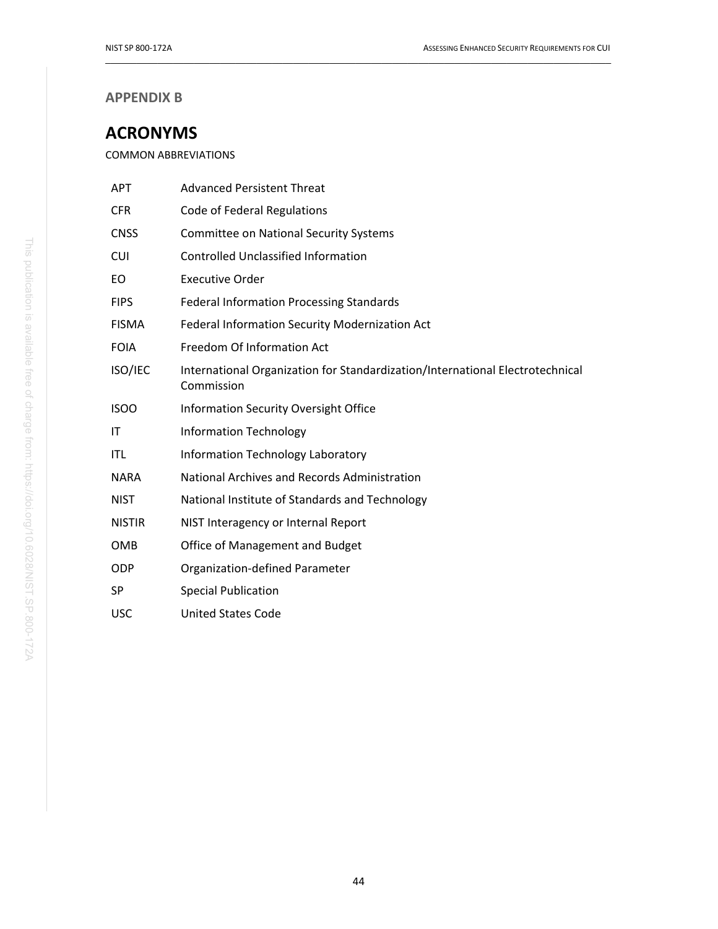### **APPENDIX B**

# <span id="page-54-0"></span>**ACRONYMS**

COMMON ABBREVIATIONS

| <b>APT</b>    | <b>Advanced Persistent Threat</b>                                                           |
|---------------|---------------------------------------------------------------------------------------------|
| <b>CFR</b>    | Code of Federal Regulations                                                                 |
| <b>CNSS</b>   | <b>Committee on National Security Systems</b>                                               |
| <b>CUI</b>    | <b>Controlled Unclassified Information</b>                                                  |
| EO            | <b>Executive Order</b>                                                                      |
| <b>FIPS</b>   | <b>Federal Information Processing Standards</b>                                             |
| <b>FISMA</b>  | Federal Information Security Modernization Act                                              |
| <b>FOIA</b>   | Freedom Of Information Act                                                                  |
| ISO/IEC       | International Organization for Standardization/International Electrotechnical<br>Commission |
| <b>ISOO</b>   | <b>Information Security Oversight Office</b>                                                |
| IT            | <b>Information Technology</b>                                                               |
| <b>ITL</b>    | Information Technology Laboratory                                                           |
| <b>NARA</b>   | National Archives and Records Administration                                                |
| <b>NIST</b>   | National Institute of Standards and Technology                                              |
| <b>NISTIR</b> | NIST Interagency or Internal Report                                                         |
| <b>OMB</b>    | Office of Management and Budget                                                             |
| <b>ODP</b>    | Organization-defined Parameter                                                              |
| <b>SP</b>     | <b>Special Publication</b>                                                                  |
| <b>USC</b>    | <b>United States Code</b>                                                                   |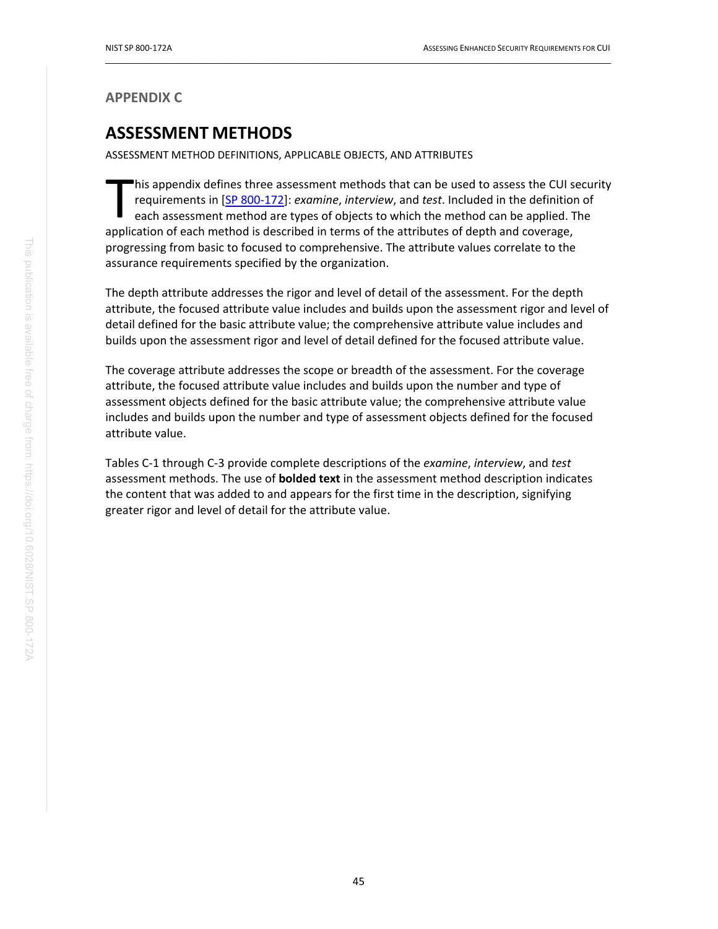#### <span id="page-55-0"></span>**APPENDIX C**

# **ASSESSMENT METHODS**

ASSESSMENT METHOD DEFINITIONS, APPLICABLE OBJECTS, AND ATTRIBUTES

his appendix defines three assessment methods that can be used to assess the CUI security requirements in [\[SP 800-172\]](#page-44-0): *examine*, *interview*, and *test*. Included in the definition of each assessment method are types of objects to which the method can be applied. The his appendix defines three assessment methods that can be used to assess the CUI s<br>requirements in [SP 800-172]: *examine, interview*, and *test*. Included in the definition<br>each assessment method are types of objects to w progressing from basic to focused to comprehensive. The attribute values correlate to the assurance requirements specified by the organization.

 $\_$  ,  $\_$  ,  $\_$  ,  $\_$  ,  $\_$  ,  $\_$  ,  $\_$  ,  $\_$  ,  $\_$  ,  $\_$  ,  $\_$  ,  $\_$  ,  $\_$  ,  $\_$  ,  $\_$  ,  $\_$  ,  $\_$  ,  $\_$  ,  $\_$  ,  $\_$  ,  $\_$  ,  $\_$  ,  $\_$  ,  $\_$  ,  $\_$  ,  $\_$  ,  $\_$  ,  $\_$  ,  $\_$  ,  $\_$  ,  $\_$  ,  $\_$  ,  $\_$  ,  $\_$  ,  $\_$  ,  $\_$  ,  $\_$  ,

The depth attribute addresses the rigor and level of detail of the assessment. For the depth attribute, the focused attribute value includes and builds upon the assessment rigor and level of detail defined for the basic attribute value; the comprehensive attribute value includes and builds upon the assessment rigor and level of detail defined for the focused attribute value.

The coverage attribute addresses the scope or breadth of the assessment. For the coverage attribute, the focused attribute value includes and builds upon the number and type of assessment objects defined for the basic attribute value; the comprehensive attribute value includes and builds upon the number and type of assessment objects defined for the focused attribute value.

Tables C-1 through C-3 provide complete descriptions of the *examine*, *interview*, and *test*  assessment methods. The use of **bolded text** in the assessment method description indicates the content that was added to and appears for the first time in the description, signifying greater rigor and level of detail for the attribute value.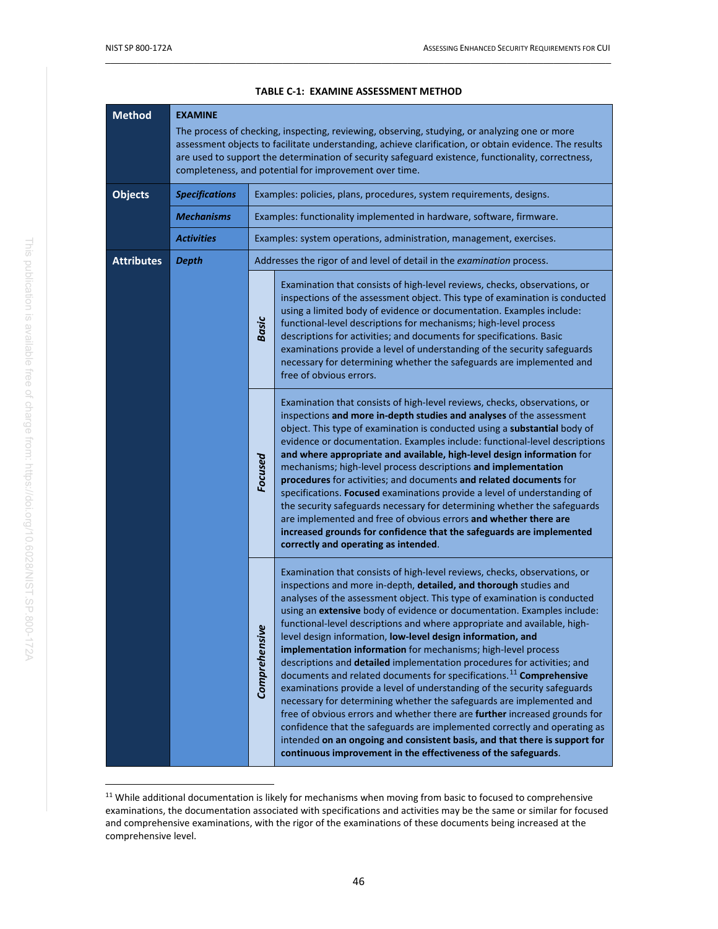<span id="page-56-0"></span>

| <b>Method</b>     | <b>EXAMINE</b><br>The process of checking, inspecting, reviewing, observing, studying, or analyzing one or more<br>assessment objects to facilitate understanding, achieve clarification, or obtain evidence. The results<br>are used to support the determination of security safeguard existence, functionality, correctness,<br>completeness, and potential for improvement over time. |                    |                                                                                                                                                                                                                                                                                                                                                                                                                                                                                                                                                                                                                                                                                                                                                                                                                                                                                                                                                                                                                                                                                                                                                |
|-------------------|-------------------------------------------------------------------------------------------------------------------------------------------------------------------------------------------------------------------------------------------------------------------------------------------------------------------------------------------------------------------------------------------|--------------------|------------------------------------------------------------------------------------------------------------------------------------------------------------------------------------------------------------------------------------------------------------------------------------------------------------------------------------------------------------------------------------------------------------------------------------------------------------------------------------------------------------------------------------------------------------------------------------------------------------------------------------------------------------------------------------------------------------------------------------------------------------------------------------------------------------------------------------------------------------------------------------------------------------------------------------------------------------------------------------------------------------------------------------------------------------------------------------------------------------------------------------------------|
| <b>Objects</b>    | <b>Specifications</b>                                                                                                                                                                                                                                                                                                                                                                     |                    | Examples: policies, plans, procedures, system requirements, designs.                                                                                                                                                                                                                                                                                                                                                                                                                                                                                                                                                                                                                                                                                                                                                                                                                                                                                                                                                                                                                                                                           |
|                   | <b>Mechanisms</b>                                                                                                                                                                                                                                                                                                                                                                         |                    | Examples: functionality implemented in hardware, software, firmware.                                                                                                                                                                                                                                                                                                                                                                                                                                                                                                                                                                                                                                                                                                                                                                                                                                                                                                                                                                                                                                                                           |
|                   | <b>Activities</b>                                                                                                                                                                                                                                                                                                                                                                         |                    | Examples: system operations, administration, management, exercises.                                                                                                                                                                                                                                                                                                                                                                                                                                                                                                                                                                                                                                                                                                                                                                                                                                                                                                                                                                                                                                                                            |
| <b>Attributes</b> | <b>Depth</b>                                                                                                                                                                                                                                                                                                                                                                              |                    | Addresses the rigor of and level of detail in the examination process.                                                                                                                                                                                                                                                                                                                                                                                                                                                                                                                                                                                                                                                                                                                                                                                                                                                                                                                                                                                                                                                                         |
|                   |                                                                                                                                                                                                                                                                                                                                                                                           | <b>Basic</b>       | Examination that consists of high-level reviews, checks, observations, or<br>inspections of the assessment object. This type of examination is conducted<br>using a limited body of evidence or documentation. Examples include:<br>functional-level descriptions for mechanisms; high-level process<br>descriptions for activities; and documents for specifications. Basic<br>examinations provide a level of understanding of the security safeguards<br>necessary for determining whether the safeguards are implemented and<br>free of obvious errors.                                                                                                                                                                                                                                                                                                                                                                                                                                                                                                                                                                                    |
|                   |                                                                                                                                                                                                                                                                                                                                                                                           | Focused            | Examination that consists of high-level reviews, checks, observations, or<br>inspections and more in-depth studies and analyses of the assessment<br>object. This type of examination is conducted using a substantial body of<br>evidence or documentation. Examples include: functional-level descriptions<br>and where appropriate and available, high-level design information for<br>mechanisms; high-level process descriptions and implementation<br>procedures for activities; and documents and related documents for<br>specifications. Focused examinations provide a level of understanding of<br>the security safeguards necessary for determining whether the safeguards<br>are implemented and free of obvious errors and whether there are<br>increased grounds for confidence that the safeguards are implemented<br>correctly and operating as intended.                                                                                                                                                                                                                                                                     |
|                   |                                                                                                                                                                                                                                                                                                                                                                                           | يو<br>Comprehensiv | Examination that consists of high-level reviews, checks, observations, or<br>inspections and more in-depth, detailed, and thorough studies and<br>analyses of the assessment object. This type of examination is conducted<br>using an extensive body of evidence or documentation. Examples include:<br>functional-level descriptions and where appropriate and available, high-<br>level design information, low-level design information, and<br>implementation information for mechanisms; high-level process<br>descriptions and detailed implementation procedures for activities; and<br>documents and related documents for specifications. <sup>11</sup> Comprehensive<br>examinations provide a level of understanding of the security safeguards<br>necessary for determining whether the safeguards are implemented and<br>free of obvious errors and whether there are further increased grounds for<br>confidence that the safeguards are implemented correctly and operating as<br>intended on an ongoing and consistent basis, and that there is support for<br>continuous improvement in the effectiveness of the safeguards. |

#### **TABLE C-1: EXAMINE ASSESSMENT METHOD**

<span id="page-56-1"></span><sup>&</sup>lt;sup>11</sup> While additional documentation is likely for mechanisms when moving from basic to focused to comprehensive examinations, the documentation associated with specifications and activities may be the same or similar for focused and comprehensive examinations, with the rigor of the examinations of these documents being increased at the comprehensive level.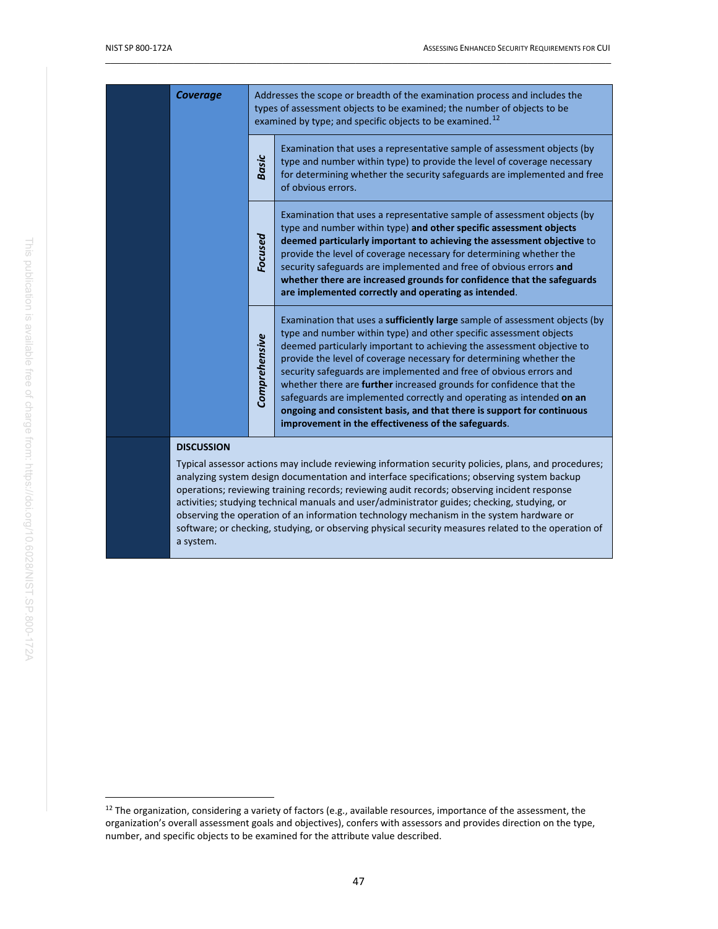| <b>Coverage</b> |                   | Addresses the scope or breadth of the examination process and includes the<br>types of assessment objects to be examined; the number of objects to be<br>examined by type; and specific objects to be examined. <sup>12</sup> |                                                                                                                                                                                                                                                                                                                                                                                                                                                                                                                                                                                                                                                                 |  |
|-----------------|-------------------|-------------------------------------------------------------------------------------------------------------------------------------------------------------------------------------------------------------------------------|-----------------------------------------------------------------------------------------------------------------------------------------------------------------------------------------------------------------------------------------------------------------------------------------------------------------------------------------------------------------------------------------------------------------------------------------------------------------------------------------------------------------------------------------------------------------------------------------------------------------------------------------------------------------|--|
|                 |                   | <b>Basic</b>                                                                                                                                                                                                                  | Examination that uses a representative sample of assessment objects (by<br>type and number within type) to provide the level of coverage necessary<br>for determining whether the security safeguards are implemented and free<br>of obvious errors.                                                                                                                                                                                                                                                                                                                                                                                                            |  |
|                 |                   | Focused                                                                                                                                                                                                                       | Examination that uses a representative sample of assessment objects (by<br>type and number within type) and other specific assessment objects<br>deemed particularly important to achieving the assessment objective to<br>provide the level of coverage necessary for determining whether the<br>security safeguards are implemented and free of obvious errors and<br>whether there are increased grounds for confidence that the safeguards<br>are implemented correctly and operating as intended.                                                                                                                                                          |  |
|                 |                   | Comprehensive                                                                                                                                                                                                                 | Examination that uses a sufficiently large sample of assessment objects (by<br>type and number within type) and other specific assessment objects<br>deemed particularly important to achieving the assessment objective to<br>provide the level of coverage necessary for determining whether the<br>security safeguards are implemented and free of obvious errors and<br>whether there are <b>further</b> increased grounds for confidence that the<br>safeguards are implemented correctly and operating as intended on an<br>ongoing and consistent basis, and that there is support for continuous<br>improvement in the effectiveness of the safeguards. |  |
|                 | <b>DISCUSSION</b> |                                                                                                                                                                                                                               | Typical assessor actions may include reviewing information security policies, plans, and procedures;                                                                                                                                                                                                                                                                                                                                                                                                                                                                                                                                                            |  |

analyzing system design documentation and interface specifications; observing system backup operations; reviewing training records; reviewing audit records; observing incident response activities; studying technical manuals and user/administrator guides; checking, studying, or observing the operation of an information technology mechanism in the system hardware or software; or checking, studying, or observing physical security measures related to the operation of a system.

<span id="page-57-0"></span><sup>&</sup>lt;sup>12</sup> The organization, considering a variety of factors (e.g., available resources, importance of the assessment, the organization's overall assessment goals and objectives), confers with assessors and provides direction on the type, number, and specific objects to be examined for the attribute value described.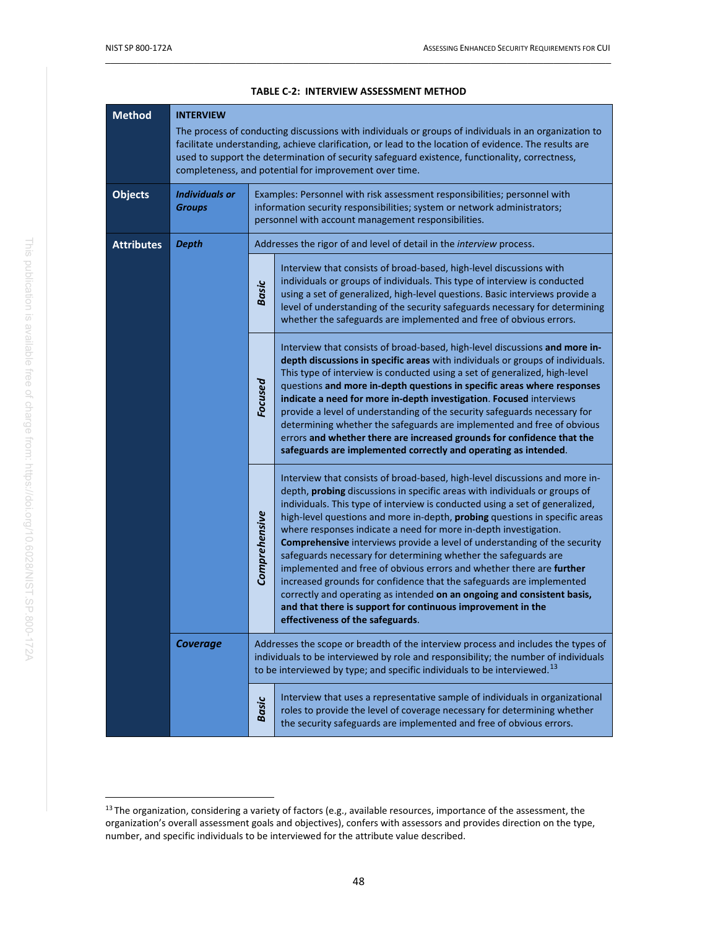<span id="page-58-0"></span>

| <b>Method</b>     | <b>INTERVIEW</b>                       | The process of conducting discussions with individuals or groups of individuals in an organization to<br>facilitate understanding, achieve clarification, or lead to the location of evidence. The results are<br>used to support the determination of security safeguard existence, functionality, correctness,<br>completeness, and potential for improvement over time. |                                                                                                                                                                                                                                                                                                                                                                                                                                                                                                                                                                                                                                                                                                                                                                                                                                                                            |  |
|-------------------|----------------------------------------|----------------------------------------------------------------------------------------------------------------------------------------------------------------------------------------------------------------------------------------------------------------------------------------------------------------------------------------------------------------------------|----------------------------------------------------------------------------------------------------------------------------------------------------------------------------------------------------------------------------------------------------------------------------------------------------------------------------------------------------------------------------------------------------------------------------------------------------------------------------------------------------------------------------------------------------------------------------------------------------------------------------------------------------------------------------------------------------------------------------------------------------------------------------------------------------------------------------------------------------------------------------|--|
| <b>Objects</b>    | <b>Individuals or</b><br><b>Groups</b> |                                                                                                                                                                                                                                                                                                                                                                            | Examples: Personnel with risk assessment responsibilities; personnel with<br>information security responsibilities; system or network administrators;<br>personnel with account management responsibilities.                                                                                                                                                                                                                                                                                                                                                                                                                                                                                                                                                                                                                                                               |  |
| <b>Attributes</b> | <b>Depth</b>                           |                                                                                                                                                                                                                                                                                                                                                                            | Addresses the rigor of and level of detail in the interview process.                                                                                                                                                                                                                                                                                                                                                                                                                                                                                                                                                                                                                                                                                                                                                                                                       |  |
|                   |                                        | <b>Basic</b>                                                                                                                                                                                                                                                                                                                                                               | Interview that consists of broad-based, high-level discussions with<br>individuals or groups of individuals. This type of interview is conducted<br>using a set of generalized, high-level questions. Basic interviews provide a<br>level of understanding of the security safeguards necessary for determining<br>whether the safeguards are implemented and free of obvious errors.                                                                                                                                                                                                                                                                                                                                                                                                                                                                                      |  |
|                   |                                        | Focused                                                                                                                                                                                                                                                                                                                                                                    | Interview that consists of broad-based, high-level discussions and more in-<br>depth discussions in specific areas with individuals or groups of individuals.<br>This type of interview is conducted using a set of generalized, high-level<br>questions and more in-depth questions in specific areas where responses<br>indicate a need for more in-depth investigation. Focused interviews<br>provide a level of understanding of the security safeguards necessary for<br>determining whether the safeguards are implemented and free of obvious<br>errors and whether there are increased grounds for confidence that the<br>safeguards are implemented correctly and operating as intended.                                                                                                                                                                          |  |
|                   |                                        | Comprehensive                                                                                                                                                                                                                                                                                                                                                              | Interview that consists of broad-based, high-level discussions and more in-<br>depth, probing discussions in specific areas with individuals or groups of<br>individuals. This type of interview is conducted using a set of generalized,<br>high-level questions and more in-depth, probing questions in specific areas<br>where responses indicate a need for more in-depth investigation.<br>Comprehensive interviews provide a level of understanding of the security<br>safeguards necessary for determining whether the safeguards are<br>implemented and free of obvious errors and whether there are further<br>increased grounds for confidence that the safeguards are implemented<br>correctly and operating as intended on an ongoing and consistent basis,<br>and that there is support for continuous improvement in the<br>effectiveness of the safeguards. |  |
|                   | <b>Coverage</b>                        | Addresses the scope or breadth of the interview process and includes the types of<br>individuals to be interviewed by role and responsibility; the number of individuals<br>to be interviewed by type; and specific individuals to be interviewed. <sup>13</sup>                                                                                                           |                                                                                                                                                                                                                                                                                                                                                                                                                                                                                                                                                                                                                                                                                                                                                                                                                                                                            |  |
|                   |                                        | <b>Basic</b>                                                                                                                                                                                                                                                                                                                                                               | Interview that uses a representative sample of individuals in organizational<br>roles to provide the level of coverage necessary for determining whether<br>the security safeguards are implemented and free of obvious errors.                                                                                                                                                                                                                                                                                                                                                                                                                                                                                                                                                                                                                                            |  |

#### **TABLE C-2: INTERVIEW ASSESSMENT METHOD**

<span id="page-58-1"></span><sup>&</sup>lt;sup>13</sup> The organization, considering a variety of factors (e.g., available resources, importance of the assessment, the organization's overall assessment goals and objectives), confers with assessors and provides direction on the type, number, and specific individuals to be interviewed for the attribute value described.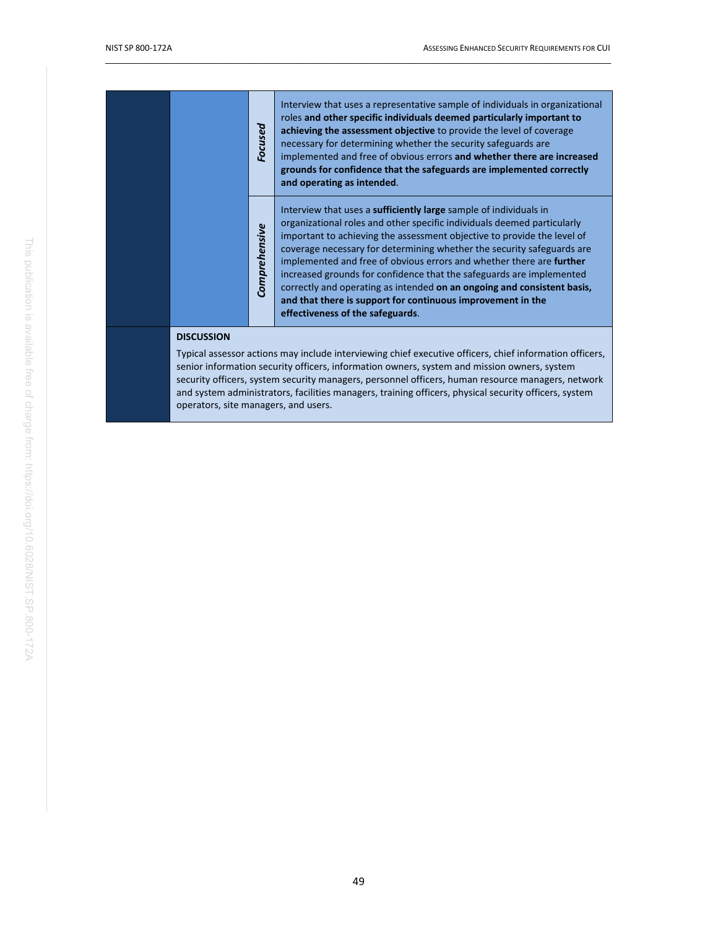|  |                   | Focused       | Interview that uses a representative sample of individuals in organizational<br>roles and other specific individuals deemed particularly important to<br>achieving the assessment objective to provide the level of coverage<br>necessary for determining whether the security safeguards are<br>implemented and free of obvious errors and whether there are increased<br>grounds for confidence that the safeguards are implemented correctly<br>and operating as intended.                                                                                                                                                          |
|--|-------------------|---------------|----------------------------------------------------------------------------------------------------------------------------------------------------------------------------------------------------------------------------------------------------------------------------------------------------------------------------------------------------------------------------------------------------------------------------------------------------------------------------------------------------------------------------------------------------------------------------------------------------------------------------------------|
|  |                   | Comprehensive | Interview that uses a <b>sufficiently large</b> sample of individuals in<br>organizational roles and other specific individuals deemed particularly<br>important to achieving the assessment objective to provide the level of<br>coverage necessary for determining whether the security safeguards are<br>implemented and free of obvious errors and whether there are further<br>increased grounds for confidence that the safeguards are implemented<br>correctly and operating as intended on an ongoing and consistent basis,<br>and that there is support for continuous improvement in the<br>effectiveness of the safeguards. |
|  | <b>DISCUSSION</b> |               |                                                                                                                                                                                                                                                                                                                                                                                                                                                                                                                                                                                                                                        |

Typical assessor actions may include interviewing chief executive officers, chief information officers, senior information security officers, information owners, system and mission owners, system security officers, system security managers, personnel officers, human resource managers, network and system administrators, facilities managers, training officers, physical security officers, system operators, site managers, and users.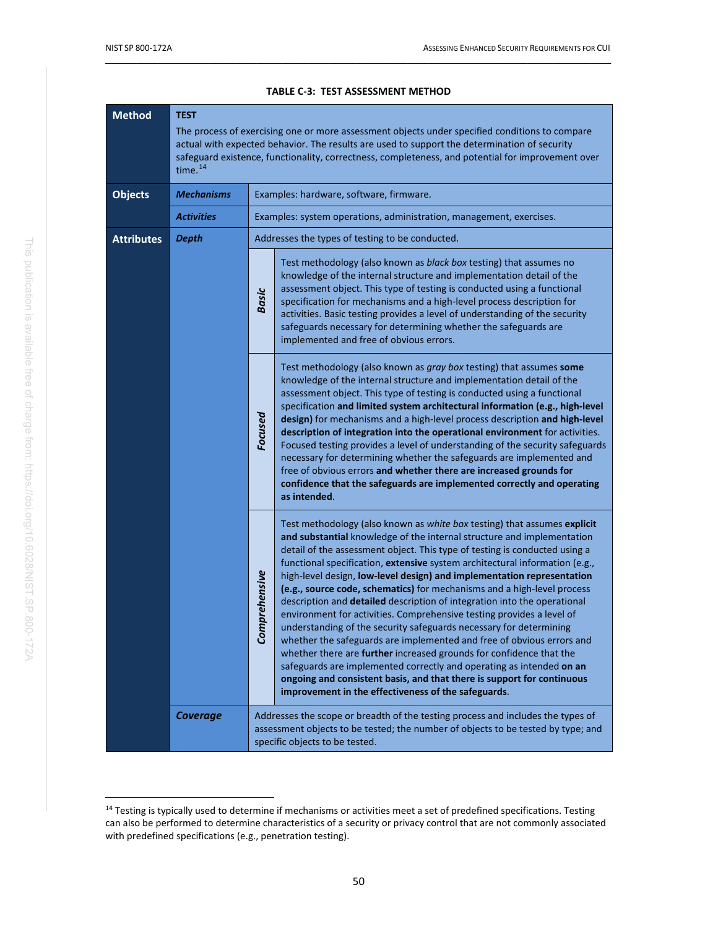<span id="page-60-0"></span>

| <b>Method</b>     | <b>TEST</b><br>The process of exercising one or more assessment objects under specified conditions to compare<br>actual with expected behavior. The results are used to support the determination of security<br>safeguard existence, functionality, correctness, completeness, and potential for improvement over<br>time. <sup>14</sup> |                                                                                                                                                                                                                                                                                                                                                                                                                                                                                                                                                                                                                                                                                                                                                                                                                                                                                                                                                                                                                                                          |                                                                                                                                                                                                                                                                                                                                                                                                                                                                                                                                                                                                                                                                                                                                                                                             |
|-------------------|-------------------------------------------------------------------------------------------------------------------------------------------------------------------------------------------------------------------------------------------------------------------------------------------------------------------------------------------|----------------------------------------------------------------------------------------------------------------------------------------------------------------------------------------------------------------------------------------------------------------------------------------------------------------------------------------------------------------------------------------------------------------------------------------------------------------------------------------------------------------------------------------------------------------------------------------------------------------------------------------------------------------------------------------------------------------------------------------------------------------------------------------------------------------------------------------------------------------------------------------------------------------------------------------------------------------------------------------------------------------------------------------------------------|---------------------------------------------------------------------------------------------------------------------------------------------------------------------------------------------------------------------------------------------------------------------------------------------------------------------------------------------------------------------------------------------------------------------------------------------------------------------------------------------------------------------------------------------------------------------------------------------------------------------------------------------------------------------------------------------------------------------------------------------------------------------------------------------|
| <b>Objects</b>    | <b>Mechanisms</b>                                                                                                                                                                                                                                                                                                                         |                                                                                                                                                                                                                                                                                                                                                                                                                                                                                                                                                                                                                                                                                                                                                                                                                                                                                                                                                                                                                                                          | Examples: hardware, software, firmware.                                                                                                                                                                                                                                                                                                                                                                                                                                                                                                                                                                                                                                                                                                                                                     |
|                   | <b>Activities</b>                                                                                                                                                                                                                                                                                                                         |                                                                                                                                                                                                                                                                                                                                                                                                                                                                                                                                                                                                                                                                                                                                                                                                                                                                                                                                                                                                                                                          | Examples: system operations, administration, management, exercises.                                                                                                                                                                                                                                                                                                                                                                                                                                                                                                                                                                                                                                                                                                                         |
| <b>Attributes</b> | <b>Depth</b>                                                                                                                                                                                                                                                                                                                              |                                                                                                                                                                                                                                                                                                                                                                                                                                                                                                                                                                                                                                                                                                                                                                                                                                                                                                                                                                                                                                                          | Addresses the types of testing to be conducted.                                                                                                                                                                                                                                                                                                                                                                                                                                                                                                                                                                                                                                                                                                                                             |
|                   |                                                                                                                                                                                                                                                                                                                                           | <b>Basic</b>                                                                                                                                                                                                                                                                                                                                                                                                                                                                                                                                                                                                                                                                                                                                                                                                                                                                                                                                                                                                                                             | Test methodology (also known as black box testing) that assumes no<br>knowledge of the internal structure and implementation detail of the<br>assessment object. This type of testing is conducted using a functional<br>specification for mechanisms and a high-level process description for<br>activities. Basic testing provides a level of understanding of the security<br>safeguards necessary for determining whether the safeguards are<br>implemented and free of obvious errors.                                                                                                                                                                                                                                                                                                 |
|                   |                                                                                                                                                                                                                                                                                                                                           | Focused                                                                                                                                                                                                                                                                                                                                                                                                                                                                                                                                                                                                                                                                                                                                                                                                                                                                                                                                                                                                                                                  | Test methodology (also known as gray box testing) that assumes some<br>knowledge of the internal structure and implementation detail of the<br>assessment object. This type of testing is conducted using a functional<br>specification and limited system architectural information (e.g., high-level<br>design) for mechanisms and a high-level process description and high-level<br>description of integration into the operational environment for activities.<br>Focused testing provides a level of understanding of the security safeguards<br>necessary for determining whether the safeguards are implemented and<br>free of obvious errors and whether there are increased grounds for<br>confidence that the safeguards are implemented correctly and operating<br>as intended. |
|                   | mprehensive<br>Š                                                                                                                                                                                                                                                                                                                          | Test methodology (also known as white box testing) that assumes explicit<br>and substantial knowledge of the internal structure and implementation<br>detail of the assessment object. This type of testing is conducted using a<br>functional specification, extensive system architectural information (e.g.,<br>high-level design, low-level design) and implementation representation<br>(e.g., source code, schematics) for mechanisms and a high-level process<br>description and detailed description of integration into the operational<br>environment for activities. Comprehensive testing provides a level of<br>understanding of the security safeguards necessary for determining<br>whether the safeguards are implemented and free of obvious errors and<br>whether there are further increased grounds for confidence that the<br>safeguards are implemented correctly and operating as intended on an<br>ongoing and consistent basis, and that there is support for continuous<br>improvement in the effectiveness of the safeguards. |                                                                                                                                                                                                                                                                                                                                                                                                                                                                                                                                                                                                                                                                                                                                                                                             |
|                   | <b>Coverage</b>                                                                                                                                                                                                                                                                                                                           | Addresses the scope or breadth of the testing process and includes the types of<br>assessment objects to be tested; the number of objects to be tested by type; and<br>specific objects to be tested.                                                                                                                                                                                                                                                                                                                                                                                                                                                                                                                                                                                                                                                                                                                                                                                                                                                    |                                                                                                                                                                                                                                                                                                                                                                                                                                                                                                                                                                                                                                                                                                                                                                                             |

#### **TABLE C-3: TEST ASSESSMENT METHOD**

<span id="page-60-1"></span><sup>&</sup>lt;sup>14</sup> Testing is typically used to determine if mechanisms or activities meet a set of predefined specifications. Testing can also be performed to determine characteristics of a security or privacy control that are not commonly associated with predefined specifications (e.g., penetration testing).